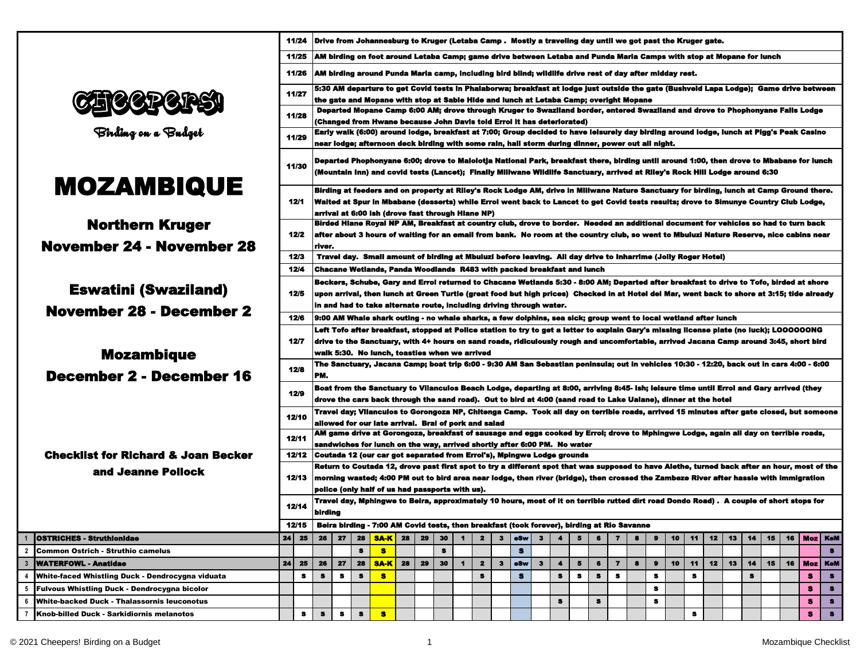|                                                     |    | 11/24        |           |           |           |                                                       |    |    |           |                |                         | Drive from Johannesburg to Kruger (Letaba Camp . Mostly a traveling day until we got past the Kruger gate.                                                                                                                                                                                                                                                                    |           |              |                      |   |           |                         |   |           |    |           |    |    |           |    |    |     |           |
|-----------------------------------------------------|----|--------------|-----------|-----------|-----------|-------------------------------------------------------|----|----|-----------|----------------|-------------------------|-------------------------------------------------------------------------------------------------------------------------------------------------------------------------------------------------------------------------------------------------------------------------------------------------------------------------------------------------------------------------------|-----------|--------------|----------------------|---|-----------|-------------------------|---|-----------|----|-----------|----|----|-----------|----|----|-----|-----------|
|                                                     |    | 11/25        |           |           |           |                                                       |    |    |           |                |                         | AM birding on foot around Letaba Camp; game drive between Letaba and Punda Maria Camps with stop at Mopane for lunch                                                                                                                                                                                                                                                          |           |              |                      |   |           |                         |   |           |    |           |    |    |           |    |    |     |           |
|                                                     |    | 11/26        |           |           |           |                                                       |    |    |           |                |                         | AM birding around Punda Maria camp, including bird blind; wildlife drive rest of day after midday rest.                                                                                                                                                                                                                                                                       |           |              |                      |   |           |                         |   |           |    |           |    |    |           |    |    |     |           |
|                                                     |    | 11/27        |           |           |           |                                                       |    |    |           |                |                         | 5:30 AM departure to get Covid tests in Phalaborwa; breakfast at lodge just outside the gate (Bushveld Lapa Lodge);  Game drive between<br>the gate and Mopane with stop at Sable Hide and lunch at Letaba Camp; overight Mopane                                                                                                                                              |           |              |                      |   |           |                         |   |           |    |           |    |    |           |    |    |     |           |
|                                                     |    | 11/28        |           |           |           |                                                       |    |    |           |                |                         | Departed Mopane Camp 6:00 AM; drove through Kruger to Swaziland border, entered Swaziland and drove to Phophonyane Falls Lodge                                                                                                                                                                                                                                                |           |              |                      |   |           |                         |   |           |    |           |    |    |           |    |    |     |           |
| Birding on a Budget                                 |    | 11/29        |           |           |           |                                                       |    |    |           |                |                         | (Changed from Hwane because John Davis told Errol it has deteriorated)<br>Early walk (6:00) around lodge, breakfast at 7:00; Group decided to have leisurely day birding around lodge, lunch at Pigg's Peak Casino                                                                                                                                                            |           |              |                      |   |           |                         |   |           |    |           |    |    |           |    |    |     |           |
|                                                     |    | 11/30        |           |           |           |                                                       |    |    |           |                |                         | near lodge; afternoon deck birding with some rain, hall storm during dinner, power out all night.<br>Departed Phophonyane 6:00; drove to Malolotja National Park, breakfast there, birding until around 1:00, then drove to Mbabane for lunch<br>(Mountain Inn) and covid tests (Lancet); Finally Millwane Wildlife Sanctuary, arrived at Riley's Rock Hill Lodge around 6:30 |           |              |                      |   |           |                         |   |           |    |           |    |    |           |    |    |     |           |
| <b>MOZAMBIQUE</b>                                   |    | 12/1         |           |           |           |                                                       |    |    |           |                |                         | Birding at feeders and on property at Riley's Rock Lodge AM, drive in Miliwane Nature Sanctuary for birding, lunch at Camp Ground there.<br>Walted at Spur in Mbabane (desserts) while Errol went back to Lancet to get Covid tests results; drove to Simunye Country Club Lodge,                                                                                             |           |              |                      |   |           |                         |   |           |    |           |    |    |           |    |    |     |           |
|                                                     |    |              |           |           |           | arrival at 6:00 ish (drove fast through Hiane NP)     |    |    |           |                |                         |                                                                                                                                                                                                                                                                                                                                                                               |           |              |                      |   |           |                         |   |           |    |           |    |    |           |    |    |     |           |
| <b>Northern Kruger</b>                              |    | 12/2         |           |           |           |                                                       |    |    |           |                |                         | Birded Hiane Royal NP AM, Breakfast at country club, drove to border. Needed an additional document for vehicles so had to turn back<br>after about 3 hours of waiting for an email from bank.  No room at the country club, so went to Mbuluzi Nature Reserve, nice cabins near                                                                                              |           |              |                      |   |           |                         |   |           |    |           |    |    |           |    |    |     |           |
| <b>November 24 - November 28</b>                    |    |              | river.    |           |           |                                                       |    |    |           |                |                         |                                                                                                                                                                                                                                                                                                                                                                               |           |              |                      |   |           |                         |   |           |    |           |    |    |           |    |    |     |           |
|                                                     |    | 12/3<br>12/4 |           |           |           |                                                       |    |    |           |                |                         | Travel day. Small amount of birding at Mbuluzi before leaving. All day drive to Inharrime (Jolly Roger Hotel)<br>Chacane Wetlands. Panda Woodlands R483 with packed breakfast and lunch                                                                                                                                                                                       |           |              |                      |   |           |                         |   |           |    |           |    |    |           |    |    |     |           |
|                                                     |    |              |           |           |           |                                                       |    |    |           |                |                         | Beckers, Schube, Gary and Errol returned to Chacane Wetlands 5:30 - 8:00 AM; Departed after breakfast to drive to Tofo, birded at shore                                                                                                                                                                                                                                       |           |              |                      |   |           |                         |   |           |    |           |    |    |           |    |    |     |           |
| <b>Eswatini (Swaziland)</b>                         |    | 12/5         |           |           |           |                                                       |    |    |           |                |                         | upon arrival, then lunch at Green Turtle (great food but high prices)  Checked in at Hotel del Mar, went back to shore at 3:15; tide already                                                                                                                                                                                                                                  |           |              |                      |   |           |                         |   |           |    |           |    |    |           |    |    |     |           |
| <b>November 28 - December 2</b>                     |    |              |           |           |           |                                                       |    |    |           |                |                         | in and had to take alternate route, including driving through water.                                                                                                                                                                                                                                                                                                          |           |              |                      |   |           |                         |   |           |    |           |    |    |           |    |    |     |           |
|                                                     |    | 12/6         |           |           |           |                                                       |    |    |           |                |                         | 9:00 AM Whale shark outing - no whale sharks, a few dolphins, sea sick; group went to local wetland after lunch<br>Left Tofo after breakfast, stopped at Police station to try to get a letter to explain Gary's missing license plate (no luck); LOOOOOONG                                                                                                                   |           |              |                      |   |           |                         |   |           |    |           |    |    |           |    |    |     |           |
|                                                     |    | 12/7         |           |           |           |                                                       |    |    |           |                |                         | drive to the Sanctuary, with 4+ hours on sand roads, ridiculously rough and uncomfortable, arrived Jacana Camp around 3:45, short bird                                                                                                                                                                                                                                        |           |              |                      |   |           |                         |   |           |    |           |    |    |           |    |    |     |           |
| <b>Mozambique</b>                                   |    |              |           |           |           | waik 5:30.  No lunch, toasties when we arrived        |    |    |           |                |                         |                                                                                                                                                                                                                                                                                                                                                                               |           |              |                      |   |           |                         |   |           |    |           |    |    |           |    |    |     |           |
| <b>December 2 - December 16</b>                     |    | 12/8         | PM.       |           |           |                                                       |    |    |           |                |                         | The Sanctuary, Jacana Camp; boat trip 6:00 - 9:30 AM San Sebastian peninsula; out in vehicles 10:30 - 12:20, back out in cars 4:00 - 6:00                                                                                                                                                                                                                                     |           |              |                      |   |           |                         |   |           |    |           |    |    |           |    |    |     |           |
|                                                     |    |              |           |           |           |                                                       |    |    |           |                |                         | Boat from the Sanctuary to Vilanculos Beach Lodge, departing at 8:00, arriving 8:45- ish; leisure time until Erroi and Gary arrived (they                                                                                                                                                                                                                                     |           |              |                      |   |           |                         |   |           |    |           |    |    |           |    |    |     |           |
|                                                     |    | 12/9         |           |           |           |                                                       |    |    |           |                |                         | drove the cars back through the sand road).  Out to bird at 4:00 (sand road to Lake Ualane), dinner at the hotel                                                                                                                                                                                                                                                              |           |              |                      |   |           |                         |   |           |    |           |    |    |           |    |    |     |           |
|                                                     |    | 12/10        |           |           |           |                                                       |    |    |           |                |                         | Travel day; Vilanculos to Gorongoza NP, Chitenga Camp.  Took all day on terrible roads, arrived 15 minutes after gate closed, but someone                                                                                                                                                                                                                                     |           |              |                      |   |           |                         |   |           |    |           |    |    |           |    |    |     |           |
|                                                     |    |              |           |           |           | allowed for our late arrival.  Brai of pork and salad |    |    |           |                |                         | AM game drive at Gorongoza, breakfast of sausage and eggs cooked by Errol; drove to Mphingwe Lodge, again all day on terrible roads,                                                                                                                                                                                                                                          |           |              |                      |   |           |                         |   |           |    |           |    |    |           |    |    |     |           |
|                                                     |    | 12/11        |           |           |           |                                                       |    |    |           |                |                         | sandwiches for lunch on the way, arrived shortly after 6:00 PM.  No water                                                                                                                                                                                                                                                                                                     |           |              |                      |   |           |                         |   |           |    |           |    |    |           |    |    |     |           |
| <b>Checklist for Richard &amp; Joan Becker</b>      |    | 12/12        |           |           |           |                                                       |    |    |           |                |                         | Coutada 12 (our car got separated from Errol's), Mpingwe Lodge grounds                                                                                                                                                                                                                                                                                                        |           |              |                      |   |           |                         |   |           |    |           |    |    |           |    |    |     |           |
| and Jeanne Pollock                                  |    | 12/13        |           |           |           |                                                       |    |    |           |                |                         | Return to Coutada 12, drove past first spot to try a different spot that was supposed to have Alethe, turned back after an hour, most of the<br>morning wasted; 4:00 PM out to bird area near lodge, then river (bridge), then crossed the Zambeze River after hassle with immigration                                                                                        |           |              |                      |   |           |                         |   |           |    |           |    |    |           |    |    |     |           |
|                                                     |    |              |           |           |           | police (only half of us had passports with us).       |    |    |           |                |                         |                                                                                                                                                                                                                                                                                                                                                                               |           |              |                      |   |           |                         |   |           |    |           |    |    |           |    |    |     |           |
|                                                     |    | 12/14        | birding   |           |           |                                                       |    |    |           |                |                         | Travel day, Mphingwe to Beira, approximately 10 hours, most of it on terrible rutted dirt road Dondo Road) .  A couple of short stops for                                                                                                                                                                                                                                     |           |              |                      |   |           |                         |   |           |    |           |    |    |           |    |    |     |           |
|                                                     |    | 12/15        |           |           |           |                                                       |    |    |           |                |                         | Beira birding - 7:00 AM Covid tests, then breakfast (took forever), birding at Rio Savanne                                                                                                                                                                                                                                                                                    |           |              |                      |   |           |                         |   |           |    |           |    |    |           |    |    |     |           |
| <b>OSTRICHES - Struthionidae</b>                    | 24 | 25           | 26        | 27        | 28        | <b>SA-K</b>                                           | 28 | 29 | 30        | $\blacksquare$ | $\overline{\mathbf{2}}$ | $\mathbf{3}$                                                                                                                                                                                                                                                                                                                                                                  | eSw       | $\mathbf{3}$ | $\blacktriangleleft$ | 5 | 6         | $\overline{7}$          | 8 | $\bullet$ | 10 | 11        | 12 | 13 | 14        | 15 | 16 |     | Moz   KeM |
| Common Ostrich - Struthio camelus                   |    |              |           |           | $\bullet$ | 8                                                     |    |    | $\bullet$ |                |                         |                                                                                                                                                                                                                                                                                                                                                                               | $\bullet$ |              |                      |   |           |                         |   |           |    |           |    |    |           |    |    |     | $\bullet$ |
| <b>WATERFOWL - Anatidae</b>                         | 24 | 25           | 26        | 27        | 28        | <b>SA-K</b>                                           | 28 | 29 | 30        | $\blacksquare$ | $\overline{\mathbf{z}}$ | $\mathbf{3}$                                                                                                                                                                                                                                                                                                                                                                  | eSw       | $\mathbf{3}$ | $\blacktriangleleft$ | 5 | 6         | $\overline{\mathbf{z}}$ | 8 | $\bullet$ | 10 | 11        | 12 | 13 | 14        | 15 | 16 | Moz | KeM       |
| White-faced Whistling Duck - Dendrocygna viduata    |    | 8            | $\bullet$ | $\bullet$ | $\bullet$ | 8                                                     |    |    |           |                | $\bullet$               |                                                                                                                                                                                                                                                                                                                                                                               | s         |              | $\pmb{3}$            | s | $\bullet$ | $\bullet$               |   | 8         |    | $\bullet$ |    |    | $\bullet$ |    |    | 8   | $\bullet$ |
| <b>Fulvous Whistling Duck - Dendrocygna bicolor</b> |    |              |           |           |           |                                                       |    |    |           |                |                         |                                                                                                                                                                                                                                                                                                                                                                               |           |              |                      |   |           |                         |   | $\bullet$ |    |           |    |    |           |    |    | s   | $\bullet$ |
| <b>White-backed Duck - Thalassornis leuconotus</b>  |    |              |           |           |           |                                                       |    |    |           |                |                         |                                                                                                                                                                                                                                                                                                                                                                               |           |              | 8                    |   | 8         |                         |   | 8         |    |           |    |    |           |    |    | s   | $\bullet$ |
| Knob-billed Duck - Sarkidiornis melanotos           |    | $\bullet$    | $\bullet$ | $\bullet$ | $\bullet$ | s                                                     |    |    |           |                |                         |                                                                                                                                                                                                                                                                                                                                                                               |           |              |                      |   |           |                         |   |           |    | s         |    |    |           |    |    | s   | $\bullet$ |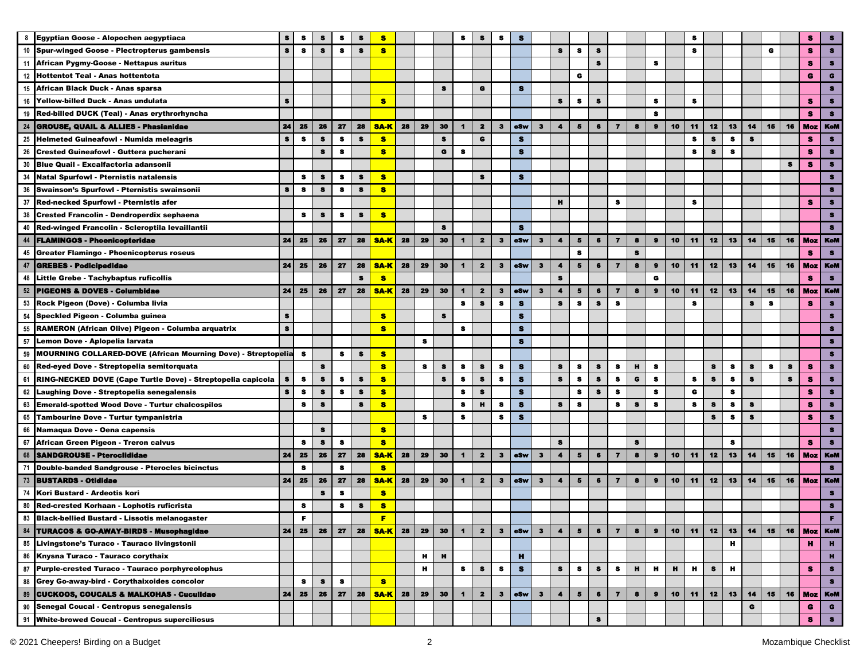| 8<br>Egyptian Goose - Alopochen aegyptiaca<br>s<br>я<br>s<br>s<br>-8<br>s<br>s<br>s<br>$\bullet$<br>$\bullet$<br>$\bullet$<br>G<br>10 Spur-winged Goose - Plectropterus gambensis<br>s<br>s<br>8<br>S<br>s<br>s<br>s<br>s.<br>$\bullet$<br>s<br>s<br>11<br>African Pygmy-Goose - Nettapus auritus<br>12<br><b>Hottentot Teal - Anas hottentota</b><br>G<br>G<br>African Black Duck - Anas sparsa<br>G<br>15<br>s<br>s<br>$\bullet$<br>s<br>$\bullet$<br>s<br>16<br>s<br>s<br>s<br>s<br>Yellow-billed Duck - Anas undulata<br>19 Red-billed DUCK (Teal) - Anas erythrorhyncha<br>s<br>8<br>24<br>Moz   KeM<br>24<br>28<br>29<br>30<br>12<br>15<br><b>GROUSE, QUAIL &amp; ALLIES - Phasianidae</b><br>25<br>26<br>27<br>28<br><b>SA-K</b><br>$\mathbf{z}$<br>oSw<br>3<br>4<br>$\overline{7}$<br>8<br>$\bullet$<br>10<br>11<br>13<br>14<br>16<br>3<br>5<br>6<br>$\bullet$<br>$\bullet$<br>s<br>$\pmb{3}$<br>$\mathbf G$<br>$\bullet$<br>$\bullet$<br>25<br>s<br>s<br>$\mathbf{s}$<br>$\bullet$<br>s<br>s<br>8<br><b>Helmeted Guineafowl - Numida meleagris</b><br>$\bullet$<br>26<br>8<br>$\bullet$<br>$\bullet$<br>$\bullet$<br>$\bullet$<br>$\bullet$<br>$\bullet$<br><b>Crested Guineafowl - Guttera pucherani</b><br>s<br>8<br>30<br>s<br><b>Blue Quail - Excalfactoria adansonii</b><br>s<br>34<br>$\bullet$<br>s.<br>$\bullet$<br>$\bullet$<br><b>Natal Spurfowl - Pternistis natalensis</b><br>s<br>s<br>s<br>36 Swainson's Spurfowl - Pternistis swainsonii<br>$\bullet$<br>8<br>s<br>8<br>s<br>s<br>37<br>Red-necked Spurfowl - Pternistis afer<br>н<br>8<br>s<br>я<br>38<br>Crested Francolin - Dendroperdix sephaena<br>s<br>s<br>s<br>s<br>s<br>Red-winged Francolin - Scleroptila levaillantii<br>40<br>$\bullet$<br>s<br><b>FLAMINGOS - Phoenicopteridae</b><br>24<br>25<br>28<br><b>SA-K</b><br>28<br>29<br>30<br>$\mathbf{2}$<br>$\mathbf{3}$<br>eSw<br>10<br>11<br>12<br>13<br>14<br>16<br>Moz   KeM<br>44<br>26<br>27<br>$\blacksquare$<br>з<br>$\blacktriangleleft$<br>5<br>6<br>$\overline{\mathbf{z}}$<br>8<br>$\bullet$<br>15<br>$\bullet$<br><b>Greater Flamingo - Phoenicopterus roseus</b><br>45<br>8<br>s<br>47<br>24<br>28<br>28<br>29<br>30<br>12<br><b>GREBES - Podicipedidae</b><br>25<br>26<br>27<br><b>SA-K</b><br>$\blacksquare$<br>$\mathbf{2}$<br>$\mathbf{3}$<br>eSw<br>$\mathbf{3}$<br>5<br>$\overline{\mathbf{z}}$<br>8<br>$\bullet$<br>10<br>11<br>13<br>14<br>15<br>16<br>$\blacktriangleleft$<br>6<br>Moz I<br>$\bullet$<br>$\bullet$<br>$\bullet$<br>G<br>Little Grebe - Tachybaptus ruficollis<br>s<br>48<br><b>PIGEONS &amp; DOVES - Columbidae</b><br>24<br>28<br>30<br>eSw<br>12<br>14<br>52<br>25<br>26<br>27<br><b>SA-K</b><br>28<br>29<br>$\overline{\mathbf{2}}$<br>$\mathbf{3}$<br>$\overline{ }$<br>8<br>$\bullet$<br>10<br>11<br>13<br>15<br>16<br><b>Moz</b><br>$\mathbf 1$<br>3<br>$\blacktriangleleft$<br>5<br>6<br>53 Rock Pigeon (Dove) - Columba livia<br>s<br>s<br>S<br>8<br>$\bullet$<br>8<br>8<br>s<br>s<br>8<br>s<br>s<br>s.<br>S<br>s<br>$\bullet$<br>54 Speckled Pigeon - Columba guinea<br>$\pmb{s}$<br>s<br>$\mathbf{s}$<br>55<br>s<br><b>RAMERON (African Olive) Pigeon - Columba arquatrix</b><br>57<br>Lemon Dove - Aplopelia larvata<br>s<br>$\bullet$<br>59<br>MOURNING COLLARED-DOVE (African Mourning Dove) - Streptopelia<br>s<br>s<br>$\pmb{3}$<br>s<br>8<br>s<br>$\bullet$<br>$\bullet$<br>н<br>s<br>$\pmb{s}$<br>s<br>s<br>s<br>s<br>s<br>s<br>s<br>s<br>s<br>s<br>s<br>s<br>s<br>60 Red-eyed Dove - Streptopelia semitorquata<br>$\pmb{s}$<br>s<br>$\pmb{s}$<br>s<br>s<br>$\bullet$<br>$\bullet$<br>s<br>$\bullet$<br>$\bullet$<br>$\bullet$<br>$\mathbf s$<br>$\bullet$<br>$\bullet$<br>61<br>$\bullet$<br>8<br>$\bullet$<br>s<br>s<br>s<br>8<br>RING-NECKED DOVE (Cape Turtle Dove) - Streptopelia capicola<br>s<br>s<br>$\bullet$<br>62 Laughing Dove - Streptopelia senegalensis<br>$\bullet$<br>$\pmb{s}$<br>8<br>$\pmb{s}$<br>$\bullet$<br>$\bullet$<br>$\bf{s}$<br>8<br>$\bullet$<br>8<br>s<br>8<br>s<br>G<br>8<br>63 Emerald-spotted Wood Dove - Turtur chalcospilos<br>н<br>$\bullet$<br>$\bullet$<br>8<br>s<br>s<br>8<br>s<br>s<br>$\bullet$<br>s<br>s<br>s<br>s<br>8<br>s<br>s<br>я<br>65<br>Tambourine Dove - Turtur tympanistria<br>8<br>s<br>8<br>s<br>s<br>s<br>s<br>8<br>66<br>Namaqua Dove - Oena capensis<br>s<br>s<br>67<br>African Green Pigeon - Treron calvus<br>$\bullet$<br>$\bullet$<br>s<br>8<br>8<br>s<br>s<br>s<br>68<br>24<br>28<br>28<br>29<br>30<br>$\overline{ }$<br>$\bullet$<br>10<br>11<br>12<br>13<br>14<br>15<br>16<br><b>SANDGROUSE - Pteroclididae</b><br>25<br>26<br>27<br><b>SA-K</b><br>$\overline{\mathbf{z}}$<br>$\bf{3}$<br>eSw<br>$\mathbf{3}$<br>$\blacktriangleleft$<br>5<br>6<br>8<br><b>Moz</b> KeM<br>$\mathbf{1}$<br>$\bullet$<br>s<br>s<br>71<br>Double-banded Sandgrouse - Pterocles bicinctus<br>24<br>25<br>27<br>28<br>28<br>30<br>$\mathbf{z}$<br>12<br>13<br>14<br>15<br>16<br>Moz   KeM<br>73<br><b>BUSTARDS - Otididae</b><br>26<br><b>SA-K</b><br>29<br>$\blacksquare$<br>eSw<br>$\mathbf{3}$<br>4<br>5<br>$\overline{ }$<br>8<br>10<br>11<br>$\mathbf{3}$<br>6<br>$\bullet$<br>s<br>$\bullet$<br>74<br>Kori Bustard - Ardeotis kori<br>s<br>80<br>s<br>Red-crested Korhaan - Lophotis ruficrista<br>8<br>8<br>8<br><b>Black-bellied Bustard - Lissotis melanogaster</b><br>84<br>24<br>30<br>$\overline{\mathbf{7}}$<br>11<br>12<br>14<br>15<br><b>TURACOS &amp; GO-AWAY-BIRDS - Musophagidae</b><br>25<br>26<br>27<br>28<br><b>SA-K</b><br>28<br>29<br>$\mathbf{z}$<br>eSw<br>$\bf{3}$<br>$\bf 5$<br>6<br>8<br>10<br>13<br>16<br><b>Moz</b> KeM<br>$\blacksquare$<br>З<br>$\blacktriangleleft$<br>$\bullet$<br>Livingstone's Turaco - Tauraco livingstonii<br>н<br>н<br>85<br>86<br>Knysna Turaco - Tauraco corythaix<br>н<br>н<br>н<br>н<br>н<br>н<br>н<br>н<br>н<br>87 Purple-crested Turaco - Tauraco porphyreolophus<br>s<br>s<br>s<br>$\bullet$<br>8<br>s<br>$\bf 8$<br>$\bullet$<br>s<br>s<br>88 Grey Go-away-bird - Corythaixoides concolor<br><b>S</b><br>s<br>s<br>8<br>28<br>30<br>89<br><b>CUCKOOS, COUCALS &amp; MALKOHAS - Cuculidae</b><br>24<br>25<br>26<br>27<br><b>SA-K</b><br>28<br>29<br>$\overline{\mathbf{2}}$<br>eSw<br>$\mathbf{3}$<br>$\overline{\mathbf{z}}$<br>8<br>10<br>11<br>12<br>13<br>14<br>15<br>16<br>$\blacktriangleleft$<br>$\mathbf{3}$<br>$\blacktriangleleft$<br>5<br>6<br>$\bullet$<br><b>Moz</b> KeM<br>Senegal Coucal - Centropus senegalensis<br>90<br>G<br>G<br>91 White-browed Coucal - Centropus superciliosus<br>s<br>s |  |  |  |  |  |  |  |  |  |  |  |  |  |  |  |            |
|--------------------------------------------------------------------------------------------------------------------------------------------------------------------------------------------------------------------------------------------------------------------------------------------------------------------------------------------------------------------------------------------------------------------------------------------------------------------------------------------------------------------------------------------------------------------------------------------------------------------------------------------------------------------------------------------------------------------------------------------------------------------------------------------------------------------------------------------------------------------------------------------------------------------------------------------------------------------------------------------------------------------------------------------------------------------------------------------------------------------------------------------------------------------------------------------------------------------------------------------------------------------------------------------------------------------------------------------------------------------------------------------------------------------------------------------------------------------------------------------------------------------------------------------------------------------------------------------------------------------------------------------------------------------------------------------------------------------------------------------------------------------------------------------------------------------------------------------------------------------------------------------------------------------------------------------------------------------------------------------------------------------------------------------------------------------------------------------------------------------------------------------------------------------------------------------------------------------------------------------------------------------------------------------------------------------------------------------------------------------------------------------------------------------------------------------------------------------------------------------------------------------------------------------------------------------------------------------------------------------------------------------------------------------------------------------------------------------------------------------------------------------------------------------------------------------------------------------------------------------------------------------------------------------------------------------------------------------------------------------------------------------------------------------------------------------------------------------------------------------------------------------------------------------------------------------------------------------------------------------------------------------------------------------------------------------------------------------------------------------------------------------------------------------------------------------------------------------------------------------------------------------------------------------------------------------------------------------------------------------------------------------------------------------------------------------------------------------------------------------------------------------------------------------------------------------------------------------------------------------------------------------------------------------------------------------------------------------------------------------------------------------------------------------------------------------------------------------------------------------------------------------------------------------------------------------------------------------------------------------------------------------------------------------------------------------------------------------------------------------------------------------------------------------------------------------------------------------------------------------------------------------------------------------------------------------------------------------------------------------------------------------------------------------------------------------------------------------------------------------------------------------------------------------------------------------------------------------------------------------------------------------------------------------------------------------------------------------------------------------------------------------------------------------------------------------------------------------------------------------------------------------------------------------------------------------------------------------------------------------------------------------------------------------------------------------------------------------------------------------------------------------------------------------------------------------------------------------------------------------------------------------------------------------------------------------------------------------------------------------------------------------------------------------------------------------------------------------------------------------------------------------------------------------------------------------------------------------------------------------------------------------------------------------------------------------------------------------------------------------------------------------------------------------------------------------------------------------------------------------------------------------------------------------------------------------------------------------------------------------------------------------------------------------------------------------------------------------------------------------------------------------------------------------------------------------------------------------------------------------------------------------|--|--|--|--|--|--|--|--|--|--|--|--|--|--|--|------------|
|                                                                                                                                                                                                                                                                                                                                                                                                                                                                                                                                                                                                                                                                                                                                                                                                                                                                                                                                                                                                                                                                                                                                                                                                                                                                                                                                                                                                                                                                                                                                                                                                                                                                                                                                                                                                                                                                                                                                                                                                                                                                                                                                                                                                                                                                                                                                                                                                                                                                                                                                                                                                                                                                                                                                                                                                                                                                                                                                                                                                                                                                                                                                                                                                                                                                                                                                                                                                                                                                                                                                                                                                                                                                                                                                                                                                                                                                                                                                                                                                                                                                                                                                                                                                                                                                                                                                                                                                                                                                                                                                                                                                                                                                                                                                                                                                                                                                                                                                                                                                                                                                                                                                                                                                                                                                                                                                                                                                                                                                                                                                                                                                                                                                                                                                                                                                                                                                                                                                                                                                                                                                                                                                                                                                                                                                                                                                                                                                                                                                                                                    |  |  |  |  |  |  |  |  |  |  |  |  |  |  |  | $\bullet$  |
|                                                                                                                                                                                                                                                                                                                                                                                                                                                                                                                                                                                                                                                                                                                                                                                                                                                                                                                                                                                                                                                                                                                                                                                                                                                                                                                                                                                                                                                                                                                                                                                                                                                                                                                                                                                                                                                                                                                                                                                                                                                                                                                                                                                                                                                                                                                                                                                                                                                                                                                                                                                                                                                                                                                                                                                                                                                                                                                                                                                                                                                                                                                                                                                                                                                                                                                                                                                                                                                                                                                                                                                                                                                                                                                                                                                                                                                                                                                                                                                                                                                                                                                                                                                                                                                                                                                                                                                                                                                                                                                                                                                                                                                                                                                                                                                                                                                                                                                                                                                                                                                                                                                                                                                                                                                                                                                                                                                                                                                                                                                                                                                                                                                                                                                                                                                                                                                                                                                                                                                                                                                                                                                                                                                                                                                                                                                                                                                                                                                                                                                    |  |  |  |  |  |  |  |  |  |  |  |  |  |  |  | $\bullet$  |
|                                                                                                                                                                                                                                                                                                                                                                                                                                                                                                                                                                                                                                                                                                                                                                                                                                                                                                                                                                                                                                                                                                                                                                                                                                                                                                                                                                                                                                                                                                                                                                                                                                                                                                                                                                                                                                                                                                                                                                                                                                                                                                                                                                                                                                                                                                                                                                                                                                                                                                                                                                                                                                                                                                                                                                                                                                                                                                                                                                                                                                                                                                                                                                                                                                                                                                                                                                                                                                                                                                                                                                                                                                                                                                                                                                                                                                                                                                                                                                                                                                                                                                                                                                                                                                                                                                                                                                                                                                                                                                                                                                                                                                                                                                                                                                                                                                                                                                                                                                                                                                                                                                                                                                                                                                                                                                                                                                                                                                                                                                                                                                                                                                                                                                                                                                                                                                                                                                                                                                                                                                                                                                                                                                                                                                                                                                                                                                                                                                                                                                                    |  |  |  |  |  |  |  |  |  |  |  |  |  |  |  | $\bullet$  |
|                                                                                                                                                                                                                                                                                                                                                                                                                                                                                                                                                                                                                                                                                                                                                                                                                                                                                                                                                                                                                                                                                                                                                                                                                                                                                                                                                                                                                                                                                                                                                                                                                                                                                                                                                                                                                                                                                                                                                                                                                                                                                                                                                                                                                                                                                                                                                                                                                                                                                                                                                                                                                                                                                                                                                                                                                                                                                                                                                                                                                                                                                                                                                                                                                                                                                                                                                                                                                                                                                                                                                                                                                                                                                                                                                                                                                                                                                                                                                                                                                                                                                                                                                                                                                                                                                                                                                                                                                                                                                                                                                                                                                                                                                                                                                                                                                                                                                                                                                                                                                                                                                                                                                                                                                                                                                                                                                                                                                                                                                                                                                                                                                                                                                                                                                                                                                                                                                                                                                                                                                                                                                                                                                                                                                                                                                                                                                                                                                                                                                                                    |  |  |  |  |  |  |  |  |  |  |  |  |  |  |  | G          |
|                                                                                                                                                                                                                                                                                                                                                                                                                                                                                                                                                                                                                                                                                                                                                                                                                                                                                                                                                                                                                                                                                                                                                                                                                                                                                                                                                                                                                                                                                                                                                                                                                                                                                                                                                                                                                                                                                                                                                                                                                                                                                                                                                                                                                                                                                                                                                                                                                                                                                                                                                                                                                                                                                                                                                                                                                                                                                                                                                                                                                                                                                                                                                                                                                                                                                                                                                                                                                                                                                                                                                                                                                                                                                                                                                                                                                                                                                                                                                                                                                                                                                                                                                                                                                                                                                                                                                                                                                                                                                                                                                                                                                                                                                                                                                                                                                                                                                                                                                                                                                                                                                                                                                                                                                                                                                                                                                                                                                                                                                                                                                                                                                                                                                                                                                                                                                                                                                                                                                                                                                                                                                                                                                                                                                                                                                                                                                                                                                                                                                                                    |  |  |  |  |  |  |  |  |  |  |  |  |  |  |  | s          |
| $\overline{\phantom{a}}_{83}$                                                                                                                                                                                                                                                                                                                                                                                                                                                                                                                                                                                                                                                                                                                                                                                                                                                                                                                                                                                                                                                                                                                                                                                                                                                                                                                                                                                                                                                                                                                                                                                                                                                                                                                                                                                                                                                                                                                                                                                                                                                                                                                                                                                                                                                                                                                                                                                                                                                                                                                                                                                                                                                                                                                                                                                                                                                                                                                                                                                                                                                                                                                                                                                                                                                                                                                                                                                                                                                                                                                                                                                                                                                                                                                                                                                                                                                                                                                                                                                                                                                                                                                                                                                                                                                                                                                                                                                                                                                                                                                                                                                                                                                                                                                                                                                                                                                                                                                                                                                                                                                                                                                                                                                                                                                                                                                                                                                                                                                                                                                                                                                                                                                                                                                                                                                                                                                                                                                                                                                                                                                                                                                                                                                                                                                                                                                                                                                                                                                                                      |  |  |  |  |  |  |  |  |  |  |  |  |  |  |  | $\bullet$  |
|                                                                                                                                                                                                                                                                                                                                                                                                                                                                                                                                                                                                                                                                                                                                                                                                                                                                                                                                                                                                                                                                                                                                                                                                                                                                                                                                                                                                                                                                                                                                                                                                                                                                                                                                                                                                                                                                                                                                                                                                                                                                                                                                                                                                                                                                                                                                                                                                                                                                                                                                                                                                                                                                                                                                                                                                                                                                                                                                                                                                                                                                                                                                                                                                                                                                                                                                                                                                                                                                                                                                                                                                                                                                                                                                                                                                                                                                                                                                                                                                                                                                                                                                                                                                                                                                                                                                                                                                                                                                                                                                                                                                                                                                                                                                                                                                                                                                                                                                                                                                                                                                                                                                                                                                                                                                                                                                                                                                                                                                                                                                                                                                                                                                                                                                                                                                                                                                                                                                                                                                                                                                                                                                                                                                                                                                                                                                                                                                                                                                                                                    |  |  |  |  |  |  |  |  |  |  |  |  |  |  |  | $\bullet$  |
|                                                                                                                                                                                                                                                                                                                                                                                                                                                                                                                                                                                                                                                                                                                                                                                                                                                                                                                                                                                                                                                                                                                                                                                                                                                                                                                                                                                                                                                                                                                                                                                                                                                                                                                                                                                                                                                                                                                                                                                                                                                                                                                                                                                                                                                                                                                                                                                                                                                                                                                                                                                                                                                                                                                                                                                                                                                                                                                                                                                                                                                                                                                                                                                                                                                                                                                                                                                                                                                                                                                                                                                                                                                                                                                                                                                                                                                                                                                                                                                                                                                                                                                                                                                                                                                                                                                                                                                                                                                                                                                                                                                                                                                                                                                                                                                                                                                                                                                                                                                                                                                                                                                                                                                                                                                                                                                                                                                                                                                                                                                                                                                                                                                                                                                                                                                                                                                                                                                                                                                                                                                                                                                                                                                                                                                                                                                                                                                                                                                                                                                    |  |  |  |  |  |  |  |  |  |  |  |  |  |  |  |            |
|                                                                                                                                                                                                                                                                                                                                                                                                                                                                                                                                                                                                                                                                                                                                                                                                                                                                                                                                                                                                                                                                                                                                                                                                                                                                                                                                                                                                                                                                                                                                                                                                                                                                                                                                                                                                                                                                                                                                                                                                                                                                                                                                                                                                                                                                                                                                                                                                                                                                                                                                                                                                                                                                                                                                                                                                                                                                                                                                                                                                                                                                                                                                                                                                                                                                                                                                                                                                                                                                                                                                                                                                                                                                                                                                                                                                                                                                                                                                                                                                                                                                                                                                                                                                                                                                                                                                                                                                                                                                                                                                                                                                                                                                                                                                                                                                                                                                                                                                                                                                                                                                                                                                                                                                                                                                                                                                                                                                                                                                                                                                                                                                                                                                                                                                                                                                                                                                                                                                                                                                                                                                                                                                                                                                                                                                                                                                                                                                                                                                                                                    |  |  |  |  |  |  |  |  |  |  |  |  |  |  |  | $\bullet$  |
|                                                                                                                                                                                                                                                                                                                                                                                                                                                                                                                                                                                                                                                                                                                                                                                                                                                                                                                                                                                                                                                                                                                                                                                                                                                                                                                                                                                                                                                                                                                                                                                                                                                                                                                                                                                                                                                                                                                                                                                                                                                                                                                                                                                                                                                                                                                                                                                                                                                                                                                                                                                                                                                                                                                                                                                                                                                                                                                                                                                                                                                                                                                                                                                                                                                                                                                                                                                                                                                                                                                                                                                                                                                                                                                                                                                                                                                                                                                                                                                                                                                                                                                                                                                                                                                                                                                                                                                                                                                                                                                                                                                                                                                                                                                                                                                                                                                                                                                                                                                                                                                                                                                                                                                                                                                                                                                                                                                                                                                                                                                                                                                                                                                                                                                                                                                                                                                                                                                                                                                                                                                                                                                                                                                                                                                                                                                                                                                                                                                                                                                    |  |  |  |  |  |  |  |  |  |  |  |  |  |  |  | $\bullet$  |
|                                                                                                                                                                                                                                                                                                                                                                                                                                                                                                                                                                                                                                                                                                                                                                                                                                                                                                                                                                                                                                                                                                                                                                                                                                                                                                                                                                                                                                                                                                                                                                                                                                                                                                                                                                                                                                                                                                                                                                                                                                                                                                                                                                                                                                                                                                                                                                                                                                                                                                                                                                                                                                                                                                                                                                                                                                                                                                                                                                                                                                                                                                                                                                                                                                                                                                                                                                                                                                                                                                                                                                                                                                                                                                                                                                                                                                                                                                                                                                                                                                                                                                                                                                                                                                                                                                                                                                                                                                                                                                                                                                                                                                                                                                                                                                                                                                                                                                                                                                                                                                                                                                                                                                                                                                                                                                                                                                                                                                                                                                                                                                                                                                                                                                                                                                                                                                                                                                                                                                                                                                                                                                                                                                                                                                                                                                                                                                                                                                                                                                                    |  |  |  |  |  |  |  |  |  |  |  |  |  |  |  | $\bullet$  |
|                                                                                                                                                                                                                                                                                                                                                                                                                                                                                                                                                                                                                                                                                                                                                                                                                                                                                                                                                                                                                                                                                                                                                                                                                                                                                                                                                                                                                                                                                                                                                                                                                                                                                                                                                                                                                                                                                                                                                                                                                                                                                                                                                                                                                                                                                                                                                                                                                                                                                                                                                                                                                                                                                                                                                                                                                                                                                                                                                                                                                                                                                                                                                                                                                                                                                                                                                                                                                                                                                                                                                                                                                                                                                                                                                                                                                                                                                                                                                                                                                                                                                                                                                                                                                                                                                                                                                                                                                                                                                                                                                                                                                                                                                                                                                                                                                                                                                                                                                                                                                                                                                                                                                                                                                                                                                                                                                                                                                                                                                                                                                                                                                                                                                                                                                                                                                                                                                                                                                                                                                                                                                                                                                                                                                                                                                                                                                                                                                                                                                                                    |  |  |  |  |  |  |  |  |  |  |  |  |  |  |  | $\bullet$  |
|                                                                                                                                                                                                                                                                                                                                                                                                                                                                                                                                                                                                                                                                                                                                                                                                                                                                                                                                                                                                                                                                                                                                                                                                                                                                                                                                                                                                                                                                                                                                                                                                                                                                                                                                                                                                                                                                                                                                                                                                                                                                                                                                                                                                                                                                                                                                                                                                                                                                                                                                                                                                                                                                                                                                                                                                                                                                                                                                                                                                                                                                                                                                                                                                                                                                                                                                                                                                                                                                                                                                                                                                                                                                                                                                                                                                                                                                                                                                                                                                                                                                                                                                                                                                                                                                                                                                                                                                                                                                                                                                                                                                                                                                                                                                                                                                                                                                                                                                                                                                                                                                                                                                                                                                                                                                                                                                                                                                                                                                                                                                                                                                                                                                                                                                                                                                                                                                                                                                                                                                                                                                                                                                                                                                                                                                                                                                                                                                                                                                                                                    |  |  |  |  |  |  |  |  |  |  |  |  |  |  |  | $\bullet$  |
|                                                                                                                                                                                                                                                                                                                                                                                                                                                                                                                                                                                                                                                                                                                                                                                                                                                                                                                                                                                                                                                                                                                                                                                                                                                                                                                                                                                                                                                                                                                                                                                                                                                                                                                                                                                                                                                                                                                                                                                                                                                                                                                                                                                                                                                                                                                                                                                                                                                                                                                                                                                                                                                                                                                                                                                                                                                                                                                                                                                                                                                                                                                                                                                                                                                                                                                                                                                                                                                                                                                                                                                                                                                                                                                                                                                                                                                                                                                                                                                                                                                                                                                                                                                                                                                                                                                                                                                                                                                                                                                                                                                                                                                                                                                                                                                                                                                                                                                                                                                                                                                                                                                                                                                                                                                                                                                                                                                                                                                                                                                                                                                                                                                                                                                                                                                                                                                                                                                                                                                                                                                                                                                                                                                                                                                                                                                                                                                                                                                                                                                    |  |  |  |  |  |  |  |  |  |  |  |  |  |  |  | $\bullet$  |
|                                                                                                                                                                                                                                                                                                                                                                                                                                                                                                                                                                                                                                                                                                                                                                                                                                                                                                                                                                                                                                                                                                                                                                                                                                                                                                                                                                                                                                                                                                                                                                                                                                                                                                                                                                                                                                                                                                                                                                                                                                                                                                                                                                                                                                                                                                                                                                                                                                                                                                                                                                                                                                                                                                                                                                                                                                                                                                                                                                                                                                                                                                                                                                                                                                                                                                                                                                                                                                                                                                                                                                                                                                                                                                                                                                                                                                                                                                                                                                                                                                                                                                                                                                                                                                                                                                                                                                                                                                                                                                                                                                                                                                                                                                                                                                                                                                                                                                                                                                                                                                                                                                                                                                                                                                                                                                                                                                                                                                                                                                                                                                                                                                                                                                                                                                                                                                                                                                                                                                                                                                                                                                                                                                                                                                                                                                                                                                                                                                                                                                                    |  |  |  |  |  |  |  |  |  |  |  |  |  |  |  | я          |
|                                                                                                                                                                                                                                                                                                                                                                                                                                                                                                                                                                                                                                                                                                                                                                                                                                                                                                                                                                                                                                                                                                                                                                                                                                                                                                                                                                                                                                                                                                                                                                                                                                                                                                                                                                                                                                                                                                                                                                                                                                                                                                                                                                                                                                                                                                                                                                                                                                                                                                                                                                                                                                                                                                                                                                                                                                                                                                                                                                                                                                                                                                                                                                                                                                                                                                                                                                                                                                                                                                                                                                                                                                                                                                                                                                                                                                                                                                                                                                                                                                                                                                                                                                                                                                                                                                                                                                                                                                                                                                                                                                                                                                                                                                                                                                                                                                                                                                                                                                                                                                                                                                                                                                                                                                                                                                                                                                                                                                                                                                                                                                                                                                                                                                                                                                                                                                                                                                                                                                                                                                                                                                                                                                                                                                                                                                                                                                                                                                                                                                                    |  |  |  |  |  |  |  |  |  |  |  |  |  |  |  | $\bullet$  |
|                                                                                                                                                                                                                                                                                                                                                                                                                                                                                                                                                                                                                                                                                                                                                                                                                                                                                                                                                                                                                                                                                                                                                                                                                                                                                                                                                                                                                                                                                                                                                                                                                                                                                                                                                                                                                                                                                                                                                                                                                                                                                                                                                                                                                                                                                                                                                                                                                                                                                                                                                                                                                                                                                                                                                                                                                                                                                                                                                                                                                                                                                                                                                                                                                                                                                                                                                                                                                                                                                                                                                                                                                                                                                                                                                                                                                                                                                                                                                                                                                                                                                                                                                                                                                                                                                                                                                                                                                                                                                                                                                                                                                                                                                                                                                                                                                                                                                                                                                                                                                                                                                                                                                                                                                                                                                                                                                                                                                                                                                                                                                                                                                                                                                                                                                                                                                                                                                                                                                                                                                                                                                                                                                                                                                                                                                                                                                                                                                                                                                                                    |  |  |  |  |  |  |  |  |  |  |  |  |  |  |  |            |
|                                                                                                                                                                                                                                                                                                                                                                                                                                                                                                                                                                                                                                                                                                                                                                                                                                                                                                                                                                                                                                                                                                                                                                                                                                                                                                                                                                                                                                                                                                                                                                                                                                                                                                                                                                                                                                                                                                                                                                                                                                                                                                                                                                                                                                                                                                                                                                                                                                                                                                                                                                                                                                                                                                                                                                                                                                                                                                                                                                                                                                                                                                                                                                                                                                                                                                                                                                                                                                                                                                                                                                                                                                                                                                                                                                                                                                                                                                                                                                                                                                                                                                                                                                                                                                                                                                                                                                                                                                                                                                                                                                                                                                                                                                                                                                                                                                                                                                                                                                                                                                                                                                                                                                                                                                                                                                                                                                                                                                                                                                                                                                                                                                                                                                                                                                                                                                                                                                                                                                                                                                                                                                                                                                                                                                                                                                                                                                                                                                                                                                                    |  |  |  |  |  |  |  |  |  |  |  |  |  |  |  | $\bullet$  |
|                                                                                                                                                                                                                                                                                                                                                                                                                                                                                                                                                                                                                                                                                                                                                                                                                                                                                                                                                                                                                                                                                                                                                                                                                                                                                                                                                                                                                                                                                                                                                                                                                                                                                                                                                                                                                                                                                                                                                                                                                                                                                                                                                                                                                                                                                                                                                                                                                                                                                                                                                                                                                                                                                                                                                                                                                                                                                                                                                                                                                                                                                                                                                                                                                                                                                                                                                                                                                                                                                                                                                                                                                                                                                                                                                                                                                                                                                                                                                                                                                                                                                                                                                                                                                                                                                                                                                                                                                                                                                                                                                                                                                                                                                                                                                                                                                                                                                                                                                                                                                                                                                                                                                                                                                                                                                                                                                                                                                                                                                                                                                                                                                                                                                                                                                                                                                                                                                                                                                                                                                                                                                                                                                                                                                                                                                                                                                                                                                                                                                                                    |  |  |  |  |  |  |  |  |  |  |  |  |  |  |  | <b>KeM</b> |
|                                                                                                                                                                                                                                                                                                                                                                                                                                                                                                                                                                                                                                                                                                                                                                                                                                                                                                                                                                                                                                                                                                                                                                                                                                                                                                                                                                                                                                                                                                                                                                                                                                                                                                                                                                                                                                                                                                                                                                                                                                                                                                                                                                                                                                                                                                                                                                                                                                                                                                                                                                                                                                                                                                                                                                                                                                                                                                                                                                                                                                                                                                                                                                                                                                                                                                                                                                                                                                                                                                                                                                                                                                                                                                                                                                                                                                                                                                                                                                                                                                                                                                                                                                                                                                                                                                                                                                                                                                                                                                                                                                                                                                                                                                                                                                                                                                                                                                                                                                                                                                                                                                                                                                                                                                                                                                                                                                                                                                                                                                                                                                                                                                                                                                                                                                                                                                                                                                                                                                                                                                                                                                                                                                                                                                                                                                                                                                                                                                                                                                                    |  |  |  |  |  |  |  |  |  |  |  |  |  |  |  | $\bullet$  |
|                                                                                                                                                                                                                                                                                                                                                                                                                                                                                                                                                                                                                                                                                                                                                                                                                                                                                                                                                                                                                                                                                                                                                                                                                                                                                                                                                                                                                                                                                                                                                                                                                                                                                                                                                                                                                                                                                                                                                                                                                                                                                                                                                                                                                                                                                                                                                                                                                                                                                                                                                                                                                                                                                                                                                                                                                                                                                                                                                                                                                                                                                                                                                                                                                                                                                                                                                                                                                                                                                                                                                                                                                                                                                                                                                                                                                                                                                                                                                                                                                                                                                                                                                                                                                                                                                                                                                                                                                                                                                                                                                                                                                                                                                                                                                                                                                                                                                                                                                                                                                                                                                                                                                                                                                                                                                                                                                                                                                                                                                                                                                                                                                                                                                                                                                                                                                                                                                                                                                                                                                                                                                                                                                                                                                                                                                                                                                                                                                                                                                                                    |  |  |  |  |  |  |  |  |  |  |  |  |  |  |  | <b>KeM</b> |
|                                                                                                                                                                                                                                                                                                                                                                                                                                                                                                                                                                                                                                                                                                                                                                                                                                                                                                                                                                                                                                                                                                                                                                                                                                                                                                                                                                                                                                                                                                                                                                                                                                                                                                                                                                                                                                                                                                                                                                                                                                                                                                                                                                                                                                                                                                                                                                                                                                                                                                                                                                                                                                                                                                                                                                                                                                                                                                                                                                                                                                                                                                                                                                                                                                                                                                                                                                                                                                                                                                                                                                                                                                                                                                                                                                                                                                                                                                                                                                                                                                                                                                                                                                                                                                                                                                                                                                                                                                                                                                                                                                                                                                                                                                                                                                                                                                                                                                                                                                                                                                                                                                                                                                                                                                                                                                                                                                                                                                                                                                                                                                                                                                                                                                                                                                                                                                                                                                                                                                                                                                                                                                                                                                                                                                                                                                                                                                                                                                                                                                                    |  |  |  |  |  |  |  |  |  |  |  |  |  |  |  | s          |
|                                                                                                                                                                                                                                                                                                                                                                                                                                                                                                                                                                                                                                                                                                                                                                                                                                                                                                                                                                                                                                                                                                                                                                                                                                                                                                                                                                                                                                                                                                                                                                                                                                                                                                                                                                                                                                                                                                                                                                                                                                                                                                                                                                                                                                                                                                                                                                                                                                                                                                                                                                                                                                                                                                                                                                                                                                                                                                                                                                                                                                                                                                                                                                                                                                                                                                                                                                                                                                                                                                                                                                                                                                                                                                                                                                                                                                                                                                                                                                                                                                                                                                                                                                                                                                                                                                                                                                                                                                                                                                                                                                                                                                                                                                                                                                                                                                                                                                                                                                                                                                                                                                                                                                                                                                                                                                                                                                                                                                                                                                                                                                                                                                                                                                                                                                                                                                                                                                                                                                                                                                                                                                                                                                                                                                                                                                                                                                                                                                                                                                                    |  |  |  |  |  |  |  |  |  |  |  |  |  |  |  |            |
|                                                                                                                                                                                                                                                                                                                                                                                                                                                                                                                                                                                                                                                                                                                                                                                                                                                                                                                                                                                                                                                                                                                                                                                                                                                                                                                                                                                                                                                                                                                                                                                                                                                                                                                                                                                                                                                                                                                                                                                                                                                                                                                                                                                                                                                                                                                                                                                                                                                                                                                                                                                                                                                                                                                                                                                                                                                                                                                                                                                                                                                                                                                                                                                                                                                                                                                                                                                                                                                                                                                                                                                                                                                                                                                                                                                                                                                                                                                                                                                                                                                                                                                                                                                                                                                                                                                                                                                                                                                                                                                                                                                                                                                                                                                                                                                                                                                                                                                                                                                                                                                                                                                                                                                                                                                                                                                                                                                                                                                                                                                                                                                                                                                                                                                                                                                                                                                                                                                                                                                                                                                                                                                                                                                                                                                                                                                                                                                                                                                                                                                    |  |  |  |  |  |  |  |  |  |  |  |  |  |  |  |            |
|                                                                                                                                                                                                                                                                                                                                                                                                                                                                                                                                                                                                                                                                                                                                                                                                                                                                                                                                                                                                                                                                                                                                                                                                                                                                                                                                                                                                                                                                                                                                                                                                                                                                                                                                                                                                                                                                                                                                                                                                                                                                                                                                                                                                                                                                                                                                                                                                                                                                                                                                                                                                                                                                                                                                                                                                                                                                                                                                                                                                                                                                                                                                                                                                                                                                                                                                                                                                                                                                                                                                                                                                                                                                                                                                                                                                                                                                                                                                                                                                                                                                                                                                                                                                                                                                                                                                                                                                                                                                                                                                                                                                                                                                                                                                                                                                                                                                                                                                                                                                                                                                                                                                                                                                                                                                                                                                                                                                                                                                                                                                                                                                                                                                                                                                                                                                                                                                                                                                                                                                                                                                                                                                                                                                                                                                                                                                                                                                                                                                                                                    |  |  |  |  |  |  |  |  |  |  |  |  |  |  |  | s          |
|                                                                                                                                                                                                                                                                                                                                                                                                                                                                                                                                                                                                                                                                                                                                                                                                                                                                                                                                                                                                                                                                                                                                                                                                                                                                                                                                                                                                                                                                                                                                                                                                                                                                                                                                                                                                                                                                                                                                                                                                                                                                                                                                                                                                                                                                                                                                                                                                                                                                                                                                                                                                                                                                                                                                                                                                                                                                                                                                                                                                                                                                                                                                                                                                                                                                                                                                                                                                                                                                                                                                                                                                                                                                                                                                                                                                                                                                                                                                                                                                                                                                                                                                                                                                                                                                                                                                                                                                                                                                                                                                                                                                                                                                                                                                                                                                                                                                                                                                                                                                                                                                                                                                                                                                                                                                                                                                                                                                                                                                                                                                                                                                                                                                                                                                                                                                                                                                                                                                                                                                                                                                                                                                                                                                                                                                                                                                                                                                                                                                                                                    |  |  |  |  |  |  |  |  |  |  |  |  |  |  |  | $\bullet$  |
|                                                                                                                                                                                                                                                                                                                                                                                                                                                                                                                                                                                                                                                                                                                                                                                                                                                                                                                                                                                                                                                                                                                                                                                                                                                                                                                                                                                                                                                                                                                                                                                                                                                                                                                                                                                                                                                                                                                                                                                                                                                                                                                                                                                                                                                                                                                                                                                                                                                                                                                                                                                                                                                                                                                                                                                                                                                                                                                                                                                                                                                                                                                                                                                                                                                                                                                                                                                                                                                                                                                                                                                                                                                                                                                                                                                                                                                                                                                                                                                                                                                                                                                                                                                                                                                                                                                                                                                                                                                                                                                                                                                                                                                                                                                                                                                                                                                                                                                                                                                                                                                                                                                                                                                                                                                                                                                                                                                                                                                                                                                                                                                                                                                                                                                                                                                                                                                                                                                                                                                                                                                                                                                                                                                                                                                                                                                                                                                                                                                                                                                    |  |  |  |  |  |  |  |  |  |  |  |  |  |  |  | $\bullet$  |
|                                                                                                                                                                                                                                                                                                                                                                                                                                                                                                                                                                                                                                                                                                                                                                                                                                                                                                                                                                                                                                                                                                                                                                                                                                                                                                                                                                                                                                                                                                                                                                                                                                                                                                                                                                                                                                                                                                                                                                                                                                                                                                                                                                                                                                                                                                                                                                                                                                                                                                                                                                                                                                                                                                                                                                                                                                                                                                                                                                                                                                                                                                                                                                                                                                                                                                                                                                                                                                                                                                                                                                                                                                                                                                                                                                                                                                                                                                                                                                                                                                                                                                                                                                                                                                                                                                                                                                                                                                                                                                                                                                                                                                                                                                                                                                                                                                                                                                                                                                                                                                                                                                                                                                                                                                                                                                                                                                                                                                                                                                                                                                                                                                                                                                                                                                                                                                                                                                                                                                                                                                                                                                                                                                                                                                                                                                                                                                                                                                                                                                                    |  |  |  |  |  |  |  |  |  |  |  |  |  |  |  | $\bullet$  |
|                                                                                                                                                                                                                                                                                                                                                                                                                                                                                                                                                                                                                                                                                                                                                                                                                                                                                                                                                                                                                                                                                                                                                                                                                                                                                                                                                                                                                                                                                                                                                                                                                                                                                                                                                                                                                                                                                                                                                                                                                                                                                                                                                                                                                                                                                                                                                                                                                                                                                                                                                                                                                                                                                                                                                                                                                                                                                                                                                                                                                                                                                                                                                                                                                                                                                                                                                                                                                                                                                                                                                                                                                                                                                                                                                                                                                                                                                                                                                                                                                                                                                                                                                                                                                                                                                                                                                                                                                                                                                                                                                                                                                                                                                                                                                                                                                                                                                                                                                                                                                                                                                                                                                                                                                                                                                                                                                                                                                                                                                                                                                                                                                                                                                                                                                                                                                                                                                                                                                                                                                                                                                                                                                                                                                                                                                                                                                                                                                                                                                                                    |  |  |  |  |  |  |  |  |  |  |  |  |  |  |  | $\bullet$  |
|                                                                                                                                                                                                                                                                                                                                                                                                                                                                                                                                                                                                                                                                                                                                                                                                                                                                                                                                                                                                                                                                                                                                                                                                                                                                                                                                                                                                                                                                                                                                                                                                                                                                                                                                                                                                                                                                                                                                                                                                                                                                                                                                                                                                                                                                                                                                                                                                                                                                                                                                                                                                                                                                                                                                                                                                                                                                                                                                                                                                                                                                                                                                                                                                                                                                                                                                                                                                                                                                                                                                                                                                                                                                                                                                                                                                                                                                                                                                                                                                                                                                                                                                                                                                                                                                                                                                                                                                                                                                                                                                                                                                                                                                                                                                                                                                                                                                                                                                                                                                                                                                                                                                                                                                                                                                                                                                                                                                                                                                                                                                                                                                                                                                                                                                                                                                                                                                                                                                                                                                                                                                                                                                                                                                                                                                                                                                                                                                                                                                                                                    |  |  |  |  |  |  |  |  |  |  |  |  |  |  |  | $\bullet$  |
|                                                                                                                                                                                                                                                                                                                                                                                                                                                                                                                                                                                                                                                                                                                                                                                                                                                                                                                                                                                                                                                                                                                                                                                                                                                                                                                                                                                                                                                                                                                                                                                                                                                                                                                                                                                                                                                                                                                                                                                                                                                                                                                                                                                                                                                                                                                                                                                                                                                                                                                                                                                                                                                                                                                                                                                                                                                                                                                                                                                                                                                                                                                                                                                                                                                                                                                                                                                                                                                                                                                                                                                                                                                                                                                                                                                                                                                                                                                                                                                                                                                                                                                                                                                                                                                                                                                                                                                                                                                                                                                                                                                                                                                                                                                                                                                                                                                                                                                                                                                                                                                                                                                                                                                                                                                                                                                                                                                                                                                                                                                                                                                                                                                                                                                                                                                                                                                                                                                                                                                                                                                                                                                                                                                                                                                                                                                                                                                                                                                                                                                    |  |  |  |  |  |  |  |  |  |  |  |  |  |  |  | 8          |
|                                                                                                                                                                                                                                                                                                                                                                                                                                                                                                                                                                                                                                                                                                                                                                                                                                                                                                                                                                                                                                                                                                                                                                                                                                                                                                                                                                                                                                                                                                                                                                                                                                                                                                                                                                                                                                                                                                                                                                                                                                                                                                                                                                                                                                                                                                                                                                                                                                                                                                                                                                                                                                                                                                                                                                                                                                                                                                                                                                                                                                                                                                                                                                                                                                                                                                                                                                                                                                                                                                                                                                                                                                                                                                                                                                                                                                                                                                                                                                                                                                                                                                                                                                                                                                                                                                                                                                                                                                                                                                                                                                                                                                                                                                                                                                                                                                                                                                                                                                                                                                                                                                                                                                                                                                                                                                                                                                                                                                                                                                                                                                                                                                                                                                                                                                                                                                                                                                                                                                                                                                                                                                                                                                                                                                                                                                                                                                                                                                                                                                                    |  |  |  |  |  |  |  |  |  |  |  |  |  |  |  | 8          |
|                                                                                                                                                                                                                                                                                                                                                                                                                                                                                                                                                                                                                                                                                                                                                                                                                                                                                                                                                                                                                                                                                                                                                                                                                                                                                                                                                                                                                                                                                                                                                                                                                                                                                                                                                                                                                                                                                                                                                                                                                                                                                                                                                                                                                                                                                                                                                                                                                                                                                                                                                                                                                                                                                                                                                                                                                                                                                                                                                                                                                                                                                                                                                                                                                                                                                                                                                                                                                                                                                                                                                                                                                                                                                                                                                                                                                                                                                                                                                                                                                                                                                                                                                                                                                                                                                                                                                                                                                                                                                                                                                                                                                                                                                                                                                                                                                                                                                                                                                                                                                                                                                                                                                                                                                                                                                                                                                                                                                                                                                                                                                                                                                                                                                                                                                                                                                                                                                                                                                                                                                                                                                                                                                                                                                                                                                                                                                                                                                                                                                                                    |  |  |  |  |  |  |  |  |  |  |  |  |  |  |  | $\bullet$  |
|                                                                                                                                                                                                                                                                                                                                                                                                                                                                                                                                                                                                                                                                                                                                                                                                                                                                                                                                                                                                                                                                                                                                                                                                                                                                                                                                                                                                                                                                                                                                                                                                                                                                                                                                                                                                                                                                                                                                                                                                                                                                                                                                                                                                                                                                                                                                                                                                                                                                                                                                                                                                                                                                                                                                                                                                                                                                                                                                                                                                                                                                                                                                                                                                                                                                                                                                                                                                                                                                                                                                                                                                                                                                                                                                                                                                                                                                                                                                                                                                                                                                                                                                                                                                                                                                                                                                                                                                                                                                                                                                                                                                                                                                                                                                                                                                                                                                                                                                                                                                                                                                                                                                                                                                                                                                                                                                                                                                                                                                                                                                                                                                                                                                                                                                                                                                                                                                                                                                                                                                                                                                                                                                                                                                                                                                                                                                                                                                                                                                                                                    |  |  |  |  |  |  |  |  |  |  |  |  |  |  |  |            |
|                                                                                                                                                                                                                                                                                                                                                                                                                                                                                                                                                                                                                                                                                                                                                                                                                                                                                                                                                                                                                                                                                                                                                                                                                                                                                                                                                                                                                                                                                                                                                                                                                                                                                                                                                                                                                                                                                                                                                                                                                                                                                                                                                                                                                                                                                                                                                                                                                                                                                                                                                                                                                                                                                                                                                                                                                                                                                                                                                                                                                                                                                                                                                                                                                                                                                                                                                                                                                                                                                                                                                                                                                                                                                                                                                                                                                                                                                                                                                                                                                                                                                                                                                                                                                                                                                                                                                                                                                                                                                                                                                                                                                                                                                                                                                                                                                                                                                                                                                                                                                                                                                                                                                                                                                                                                                                                                                                                                                                                                                                                                                                                                                                                                                                                                                                                                                                                                                                                                                                                                                                                                                                                                                                                                                                                                                                                                                                                                                                                                                                                    |  |  |  |  |  |  |  |  |  |  |  |  |  |  |  | $\bullet$  |
|                                                                                                                                                                                                                                                                                                                                                                                                                                                                                                                                                                                                                                                                                                                                                                                                                                                                                                                                                                                                                                                                                                                                                                                                                                                                                                                                                                                                                                                                                                                                                                                                                                                                                                                                                                                                                                                                                                                                                                                                                                                                                                                                                                                                                                                                                                                                                                                                                                                                                                                                                                                                                                                                                                                                                                                                                                                                                                                                                                                                                                                                                                                                                                                                                                                                                                                                                                                                                                                                                                                                                                                                                                                                                                                                                                                                                                                                                                                                                                                                                                                                                                                                                                                                                                                                                                                                                                                                                                                                                                                                                                                                                                                                                                                                                                                                                                                                                                                                                                                                                                                                                                                                                                                                                                                                                                                                                                                                                                                                                                                                                                                                                                                                                                                                                                                                                                                                                                                                                                                                                                                                                                                                                                                                                                                                                                                                                                                                                                                                                                                    |  |  |  |  |  |  |  |  |  |  |  |  |  |  |  |            |
|                                                                                                                                                                                                                                                                                                                                                                                                                                                                                                                                                                                                                                                                                                                                                                                                                                                                                                                                                                                                                                                                                                                                                                                                                                                                                                                                                                                                                                                                                                                                                                                                                                                                                                                                                                                                                                                                                                                                                                                                                                                                                                                                                                                                                                                                                                                                                                                                                                                                                                                                                                                                                                                                                                                                                                                                                                                                                                                                                                                                                                                                                                                                                                                                                                                                                                                                                                                                                                                                                                                                                                                                                                                                                                                                                                                                                                                                                                                                                                                                                                                                                                                                                                                                                                                                                                                                                                                                                                                                                                                                                                                                                                                                                                                                                                                                                                                                                                                                                                                                                                                                                                                                                                                                                                                                                                                                                                                                                                                                                                                                                                                                                                                                                                                                                                                                                                                                                                                                                                                                                                                                                                                                                                                                                                                                                                                                                                                                                                                                                                                    |  |  |  |  |  |  |  |  |  |  |  |  |  |  |  | $\bullet$  |
|                                                                                                                                                                                                                                                                                                                                                                                                                                                                                                                                                                                                                                                                                                                                                                                                                                                                                                                                                                                                                                                                                                                                                                                                                                                                                                                                                                                                                                                                                                                                                                                                                                                                                                                                                                                                                                                                                                                                                                                                                                                                                                                                                                                                                                                                                                                                                                                                                                                                                                                                                                                                                                                                                                                                                                                                                                                                                                                                                                                                                                                                                                                                                                                                                                                                                                                                                                                                                                                                                                                                                                                                                                                                                                                                                                                                                                                                                                                                                                                                                                                                                                                                                                                                                                                                                                                                                                                                                                                                                                                                                                                                                                                                                                                                                                                                                                                                                                                                                                                                                                                                                                                                                                                                                                                                                                                                                                                                                                                                                                                                                                                                                                                                                                                                                                                                                                                                                                                                                                                                                                                                                                                                                                                                                                                                                                                                                                                                                                                                                                                    |  |  |  |  |  |  |  |  |  |  |  |  |  |  |  | $\bullet$  |
|                                                                                                                                                                                                                                                                                                                                                                                                                                                                                                                                                                                                                                                                                                                                                                                                                                                                                                                                                                                                                                                                                                                                                                                                                                                                                                                                                                                                                                                                                                                                                                                                                                                                                                                                                                                                                                                                                                                                                                                                                                                                                                                                                                                                                                                                                                                                                                                                                                                                                                                                                                                                                                                                                                                                                                                                                                                                                                                                                                                                                                                                                                                                                                                                                                                                                                                                                                                                                                                                                                                                                                                                                                                                                                                                                                                                                                                                                                                                                                                                                                                                                                                                                                                                                                                                                                                                                                                                                                                                                                                                                                                                                                                                                                                                                                                                                                                                                                                                                                                                                                                                                                                                                                                                                                                                                                                                                                                                                                                                                                                                                                                                                                                                                                                                                                                                                                                                                                                                                                                                                                                                                                                                                                                                                                                                                                                                                                                                                                                                                                                    |  |  |  |  |  |  |  |  |  |  |  |  |  |  |  |            |
|                                                                                                                                                                                                                                                                                                                                                                                                                                                                                                                                                                                                                                                                                                                                                                                                                                                                                                                                                                                                                                                                                                                                                                                                                                                                                                                                                                                                                                                                                                                                                                                                                                                                                                                                                                                                                                                                                                                                                                                                                                                                                                                                                                                                                                                                                                                                                                                                                                                                                                                                                                                                                                                                                                                                                                                                                                                                                                                                                                                                                                                                                                                                                                                                                                                                                                                                                                                                                                                                                                                                                                                                                                                                                                                                                                                                                                                                                                                                                                                                                                                                                                                                                                                                                                                                                                                                                                                                                                                                                                                                                                                                                                                                                                                                                                                                                                                                                                                                                                                                                                                                                                                                                                                                                                                                                                                                                                                                                                                                                                                                                                                                                                                                                                                                                                                                                                                                                                                                                                                                                                                                                                                                                                                                                                                                                                                                                                                                                                                                                                                    |  |  |  |  |  |  |  |  |  |  |  |  |  |  |  |            |
|                                                                                                                                                                                                                                                                                                                                                                                                                                                                                                                                                                                                                                                                                                                                                                                                                                                                                                                                                                                                                                                                                                                                                                                                                                                                                                                                                                                                                                                                                                                                                                                                                                                                                                                                                                                                                                                                                                                                                                                                                                                                                                                                                                                                                                                                                                                                                                                                                                                                                                                                                                                                                                                                                                                                                                                                                                                                                                                                                                                                                                                                                                                                                                                                                                                                                                                                                                                                                                                                                                                                                                                                                                                                                                                                                                                                                                                                                                                                                                                                                                                                                                                                                                                                                                                                                                                                                                                                                                                                                                                                                                                                                                                                                                                                                                                                                                                                                                                                                                                                                                                                                                                                                                                                                                                                                                                                                                                                                                                                                                                                                                                                                                                                                                                                                                                                                                                                                                                                                                                                                                                                                                                                                                                                                                                                                                                                                                                                                                                                                                                    |  |  |  |  |  |  |  |  |  |  |  |  |  |  |  | ш          |
|                                                                                                                                                                                                                                                                                                                                                                                                                                                                                                                                                                                                                                                                                                                                                                                                                                                                                                                                                                                                                                                                                                                                                                                                                                                                                                                                                                                                                                                                                                                                                                                                                                                                                                                                                                                                                                                                                                                                                                                                                                                                                                                                                                                                                                                                                                                                                                                                                                                                                                                                                                                                                                                                                                                                                                                                                                                                                                                                                                                                                                                                                                                                                                                                                                                                                                                                                                                                                                                                                                                                                                                                                                                                                                                                                                                                                                                                                                                                                                                                                                                                                                                                                                                                                                                                                                                                                                                                                                                                                                                                                                                                                                                                                                                                                                                                                                                                                                                                                                                                                                                                                                                                                                                                                                                                                                                                                                                                                                                                                                                                                                                                                                                                                                                                                                                                                                                                                                                                                                                                                                                                                                                                                                                                                                                                                                                                                                                                                                                                                                                    |  |  |  |  |  |  |  |  |  |  |  |  |  |  |  | н.         |
|                                                                                                                                                                                                                                                                                                                                                                                                                                                                                                                                                                                                                                                                                                                                                                                                                                                                                                                                                                                                                                                                                                                                                                                                                                                                                                                                                                                                                                                                                                                                                                                                                                                                                                                                                                                                                                                                                                                                                                                                                                                                                                                                                                                                                                                                                                                                                                                                                                                                                                                                                                                                                                                                                                                                                                                                                                                                                                                                                                                                                                                                                                                                                                                                                                                                                                                                                                                                                                                                                                                                                                                                                                                                                                                                                                                                                                                                                                                                                                                                                                                                                                                                                                                                                                                                                                                                                                                                                                                                                                                                                                                                                                                                                                                                                                                                                                                                                                                                                                                                                                                                                                                                                                                                                                                                                                                                                                                                                                                                                                                                                                                                                                                                                                                                                                                                                                                                                                                                                                                                                                                                                                                                                                                                                                                                                                                                                                                                                                                                                                                    |  |  |  |  |  |  |  |  |  |  |  |  |  |  |  | 8          |
|                                                                                                                                                                                                                                                                                                                                                                                                                                                                                                                                                                                                                                                                                                                                                                                                                                                                                                                                                                                                                                                                                                                                                                                                                                                                                                                                                                                                                                                                                                                                                                                                                                                                                                                                                                                                                                                                                                                                                                                                                                                                                                                                                                                                                                                                                                                                                                                                                                                                                                                                                                                                                                                                                                                                                                                                                                                                                                                                                                                                                                                                                                                                                                                                                                                                                                                                                                                                                                                                                                                                                                                                                                                                                                                                                                                                                                                                                                                                                                                                                                                                                                                                                                                                                                                                                                                                                                                                                                                                                                                                                                                                                                                                                                                                                                                                                                                                                                                                                                                                                                                                                                                                                                                                                                                                                                                                                                                                                                                                                                                                                                                                                                                                                                                                                                                                                                                                                                                                                                                                                                                                                                                                                                                                                                                                                                                                                                                                                                                                                                                    |  |  |  |  |  |  |  |  |  |  |  |  |  |  |  | $\bullet$  |
|                                                                                                                                                                                                                                                                                                                                                                                                                                                                                                                                                                                                                                                                                                                                                                                                                                                                                                                                                                                                                                                                                                                                                                                                                                                                                                                                                                                                                                                                                                                                                                                                                                                                                                                                                                                                                                                                                                                                                                                                                                                                                                                                                                                                                                                                                                                                                                                                                                                                                                                                                                                                                                                                                                                                                                                                                                                                                                                                                                                                                                                                                                                                                                                                                                                                                                                                                                                                                                                                                                                                                                                                                                                                                                                                                                                                                                                                                                                                                                                                                                                                                                                                                                                                                                                                                                                                                                                                                                                                                                                                                                                                                                                                                                                                                                                                                                                                                                                                                                                                                                                                                                                                                                                                                                                                                                                                                                                                                                                                                                                                                                                                                                                                                                                                                                                                                                                                                                                                                                                                                                                                                                                                                                                                                                                                                                                                                                                                                                                                                                                    |  |  |  |  |  |  |  |  |  |  |  |  |  |  |  |            |
|                                                                                                                                                                                                                                                                                                                                                                                                                                                                                                                                                                                                                                                                                                                                                                                                                                                                                                                                                                                                                                                                                                                                                                                                                                                                                                                                                                                                                                                                                                                                                                                                                                                                                                                                                                                                                                                                                                                                                                                                                                                                                                                                                                                                                                                                                                                                                                                                                                                                                                                                                                                                                                                                                                                                                                                                                                                                                                                                                                                                                                                                                                                                                                                                                                                                                                                                                                                                                                                                                                                                                                                                                                                                                                                                                                                                                                                                                                                                                                                                                                                                                                                                                                                                                                                                                                                                                                                                                                                                                                                                                                                                                                                                                                                                                                                                                                                                                                                                                                                                                                                                                                                                                                                                                                                                                                                                                                                                                                                                                                                                                                                                                                                                                                                                                                                                                                                                                                                                                                                                                                                                                                                                                                                                                                                                                                                                                                                                                                                                                                                    |  |  |  |  |  |  |  |  |  |  |  |  |  |  |  | $\bullet$  |
|                                                                                                                                                                                                                                                                                                                                                                                                                                                                                                                                                                                                                                                                                                                                                                                                                                                                                                                                                                                                                                                                                                                                                                                                                                                                                                                                                                                                                                                                                                                                                                                                                                                                                                                                                                                                                                                                                                                                                                                                                                                                                                                                                                                                                                                                                                                                                                                                                                                                                                                                                                                                                                                                                                                                                                                                                                                                                                                                                                                                                                                                                                                                                                                                                                                                                                                                                                                                                                                                                                                                                                                                                                                                                                                                                                                                                                                                                                                                                                                                                                                                                                                                                                                                                                                                                                                                                                                                                                                                                                                                                                                                                                                                                                                                                                                                                                                                                                                                                                                                                                                                                                                                                                                                                                                                                                                                                                                                                                                                                                                                                                                                                                                                                                                                                                                                                                                                                                                                                                                                                                                                                                                                                                                                                                                                                                                                                                                                                                                                                                                    |  |  |  |  |  |  |  |  |  |  |  |  |  |  |  | $\bullet$  |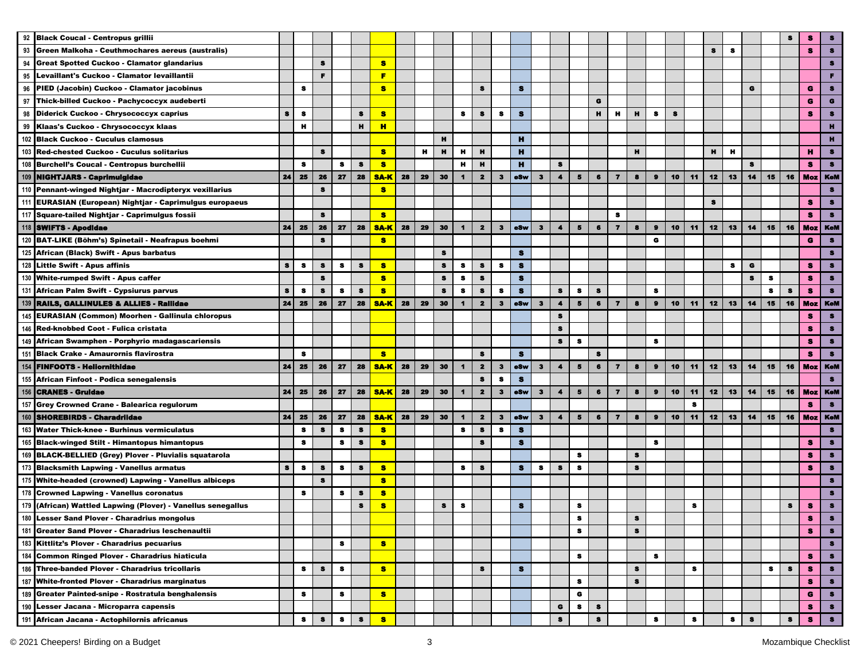|     | 92 Black Coucal - Centropus grillii                          |           |           |           |           |              |             |    |    |              |                      |                         |              |            |              |                      |           |                |                         |           |              |    |    |           |           |           |           |              |            |                |
|-----|--------------------------------------------------------------|-----------|-----------|-----------|-----------|--------------|-------------|----|----|--------------|----------------------|-------------------------|--------------|------------|--------------|----------------------|-----------|----------------|-------------------------|-----------|--------------|----|----|-----------|-----------|-----------|-----------|--------------|------------|----------------|
| 93  | Green Malkoha - Ceuthmochares aereus (australis)             |           |           |           |           |              |             |    |    |              |                      |                         |              |            |              |                      |           |                |                         |           |              |    |    | S         | s         |           |           |              | s          | $\bullet$      |
| 94  | <b>Great Spotted Cuckoo - Clamator glandarius</b>            |           |           | s         |           |              | s           |    |    |              |                      |                         |              |            |              |                      |           |                |                         |           |              |    |    |           |           |           |           |              |            | $\bullet$      |
|     | 95 Levaillant's Cuckoo - Clamator levaillantii               |           |           | F.        |           |              | п           |    |    |              |                      |                         |              |            |              |                      |           |                |                         |           |              |    |    |           |           |           |           |              |            | п.             |
|     | 96 PIED (Jacobin) Cuckoo - Clamator jacobinus                |           | s         |           |           |              | s           |    |    |              |                      | s                       |              | $\bullet$  |              |                      |           |                |                         |           |              |    |    |           |           | G         |           |              | G          | $\bullet$      |
|     | 97 Thick-billed Cuckoo - Pachycoccyx audeberti               |           |           |           |           |              |             |    |    |              |                      |                         |              |            |              |                      |           | G              |                         |           |              |    |    |           |           |           |           |              | G          | $\bullet$      |
|     | 98 Diderick Cuckoo - Chrysococcyx caprius                    | s         | $\bullet$ |           |           | s            | s           |    |    |              | s                    | s                       | s            | $\bullet$  |              |                      |           | н              | н                       | н         | s            | s  |    |           |           |           |           |              | 8          | 8              |
|     | 99 Klaas's Cuckoo - Chrysococcyx klaas                       |           | н         |           |           | $\mathbf{H}$ | H           |    |    |              |                      |                         |              |            |              |                      |           |                |                         |           |              |    |    |           |           |           |           |              |            | п              |
|     | 102 Black Cuckoo - Cuculus clamosus                          |           |           |           |           |              |             |    |    | н            |                      |                         |              | н          |              |                      |           |                |                         |           |              |    |    |           |           |           |           |              |            | н.             |
|     | 103 Red-chested Cuckoo - Cuculus solitarius                  |           |           | $\bullet$ |           |              | $\bullet$   |    | н  | $\mathbf{H}$ | н                    | н                       |              | н          |              |                      |           |                |                         | н         |              |    |    | н         | н         |           |           |              | н          | $\bullet$      |
|     | 108 Burchell's Coucal - Centropus burchellii                 |           | s         |           | 8         | $\bullet$    | s           |    |    |              | н                    | н                       |              | н          |              | s                    |           |                |                         |           |              |    |    |           |           | $\bullet$ |           |              | s          | $\bullet$      |
|     | 109 NIGHTJARS - Caprimulgidae                                | 24        | 25        | 26        | 27        | 28           | <b>SA-K</b> | 28 | 29 | 30           | $\mathbf{1}$         | $\overline{\mathbf{2}}$ | $\mathbf{3}$ | eSw        | $\mathbf{3}$ | $\blacktriangleleft$ | 5         | $6\phantom{1}$ | $\overline{7}$          | $\bullet$ | $\bullet$    | 10 | 11 | 12        | 13        | 14        | 15        | 16           | <b>Moz</b> | <b>KeM</b>     |
|     | 110 Pennant-winged Nightjar - Macrodipteryx vexillarius      |           |           | $\bullet$ |           |              | $\bullet$   |    |    |              |                      |                         |              |            |              |                      |           |                |                         |           |              |    |    |           |           |           |           |              |            | $\bullet$      |
|     | 111 EURASIAN (European) Nightjar - Caprimulgus europaeus     |           |           |           |           |              |             |    |    |              |                      |                         |              |            |              |                      |           |                |                         |           |              |    |    | $\bullet$ |           |           |           |              | s          | $\bullet$      |
|     | 117 Square-tailed Nightjar - Caprimulgus fossii              |           |           | s         |           |              | $\bullet$   |    |    |              |                      |                         |              |            |              |                      |           |                | 8                       |           |              |    |    |           |           |           |           |              | s.         | $\bullet$      |
|     | 118 SWIFTS - Apodidae                                        | 24        | 25        | 26        | 27        | 28           | <b>SA-K</b> | 28 | 29 | 30           | -1                   | $\mathbf{z}$            | З            | eSw        | $\mathbf{3}$ | 4                    | 5         | $\bullet$      | $\overline{\mathbf{z}}$ | 8         | $\mathbf{9}$ | 10 | 11 | 12        | 13        | 14        | 15        | 16           | <b>Moz</b> | <b>KeM</b>     |
|     | 120 BAT-LIKE (Böhm's) Spinetail - Neafrapus boehmi           |           |           | 8         |           |              | <b>S</b>    |    |    |              |                      |                         |              |            |              |                      |           |                |                         |           | G            |    |    |           |           |           |           |              | G          | $\bullet$      |
|     | 125 African (Black) Swift - Apus barbatus                    |           |           |           |           |              |             |    |    | 8            |                      |                         |              | s          |              |                      |           |                |                         |           |              |    |    |           |           |           |           |              |            | $\bullet$      |
| 128 | <b>Little Swift - Apus affinis</b>                           | $\bullet$ | $\bullet$ | S         | 8         | 8            | 8           |    |    | 8            | 8                    | 8                       | s            | s          |              |                      |           |                |                         |           |              |    |    |           | s         | G         |           |              | s.         | $\bullet$      |
|     | 130 White-rumped Swift - Apus caffer                         |           |           | 8         |           |              | s.          |    |    | 8            | s                    | s                       |              | s          |              |                      |           |                |                         |           |              |    |    |           |           | 8         | $\bullet$ |              | s.         | $\bullet$      |
|     | 131 African Palm Swift - Cypsiurus parvus                    | s         | 8         | s         | s         | $\bullet$    | <b>S</b>    |    |    | $\bf s$      | 8                    | $\bullet$               | s            | $\bullet$  |              | $\bullet$            | $\bullet$ | $\bullet$      |                         |           | 8            |    |    |           |           |           | s         | $\bullet$    | s          | $\bullet$      |
|     | 139 RAILS, GALLINULES & ALLIES - Railidae                    | 24        | 25        | 26        | 27        | 28           | <b>SA-K</b> | 28 | 29 | 30           | $\blacksquare$       | $\overline{\mathbf{2}}$ | $\mathbf{3}$ | <b>eSw</b> | $\mathbf{3}$ | $\blacktriangleleft$ | 5         | 6              | $\overline{\mathbf{z}}$ | 8         | $\bullet$    | 10 | 11 | 12        | 13        | 14        | 15        | 16           |            | Moz   KeM      |
|     | 145 EURASIAN (Common) Moorhen - Gallinula chloropus          |           |           |           |           |              |             |    |    |              |                      |                         |              |            |              | s                    |           |                |                         |           |              |    |    |           |           |           |           |              | s          | $\bullet$      |
|     | 146 Red-knobbed Coot - Fulica cristata                       |           |           |           |           |              |             |    |    |              |                      |                         |              |            |              | $\bullet$            |           |                |                         |           |              |    |    |           |           |           |           |              | s          | $\bullet$      |
|     | 149 African Swamphen - Porphyrio madagascariensis            |           |           |           |           |              |             |    |    |              |                      |                         |              |            |              | s                    | s         |                |                         |           | s            |    |    |           |           |           |           |              | s.         | $\bullet$      |
|     | 151 Black Crake - Amaurornis flavirostra                     |           | s         |           |           |              | <b>S</b>    |    |    |              |                      | s                       |              | s          |              |                      |           | 8              |                         |           |              |    |    |           |           |           |           |              | s          | $\bullet$      |
|     | 154 FINFOOTS - Hellornithidae                                | 24        | 25        | 26        | 27        | 28           | <b>SA-K</b> | 28 | 29 | 30           | $\blacktriangleleft$ | $\mathbf{2}$            | $\mathbf{3}$ | eSw        | 3            | $\ddot{\phantom{a}}$ | 5         | 6              | $\overline{\mathbf{z}}$ | 8         | $\bullet$    | 10 | 11 | 12        | 13        | 14        | 15        | 16           |            | <b>Moz</b> KeM |
|     | 155 African Finfoot - Podica senegalensis                    |           |           |           |           |              |             |    |    |              |                      | s                       | s            | $\bullet$  |              |                      |           |                |                         |           |              |    |    |           |           |           |           |              |            | $\bullet$      |
|     | 156 CRANES - Gruldae                                         | 24        | 25        | 26        | 27        | 28           | <b>SA-K</b> | 28 | 29 | 30           | $\mathbf{1}$         | $\overline{\mathbf{2}}$ | $\mathbf{3}$ | oSw        | $\mathbf{3}$ | $\blacktriangleleft$ | 5         | $\bullet$      | $\overline{\mathbf{z}}$ | 8         | $\bullet$    | 10 | 11 | 12        | 13        | 14        | 15        | 16           | <b>Moz</b> | <b>KeM</b>     |
|     | 157 Grey Crowned Crane - Balearica regulorum                 |           |           |           |           |              |             |    |    |              |                      |                         |              |            |              |                      |           |                |                         |           |              |    | s  |           |           |           |           |              | 8          | $\bullet$      |
|     | 160 SHOREBIRDS - Charadriidae                                | 24        | 25        | 26        | 27        | 28           | <b>SA-K</b> | 28 | 29 | 30           | $\mathbf 1$          | $\overline{\mathbf{2}}$ | $\mathbf{3}$ | eSw        | $\mathbf{3}$ | $\blacktriangleleft$ | 5         | $\bullet$      | $\overline{\mathbf{z}}$ | 8         | $\mathbf{9}$ | 10 | 11 | 12        | 13        | 14        | 15        | 16           |            | Moz   KeM      |
|     | 163 Water Thick-knee - Burhinus vermiculatus                 |           | s         | 8         | s         | 8            | 8           |    |    |              | s                    | s                       | s            | s          |              |                      |           |                |                         |           |              |    |    |           |           |           |           |              |            | 8              |
|     | 165 Black-winged Stilt - Himantopus himantopus               |           | s         |           |           | 8            | 8           |    |    |              |                      | s                       |              | $\bullet$  |              |                      |           |                |                         |           | 8            |    |    |           |           |           |           |              | s          | $\bullet$      |
|     | 169 BLACK-BELLIED (Grey) Plover - Pluvialis squatarola       |           |           |           | 8         |              |             |    |    |              |                      |                         |              |            |              |                      | $\bullet$ |                |                         | $\bullet$ |              |    |    |           |           |           |           |              | s          | $\bullet$      |
|     |                                                              | $\bullet$ |           | s         |           |              |             |    |    |              |                      | S                       |              |            | $\bullet$    |                      |           |                |                         |           |              |    |    |           |           |           |           |              |            | $\bullet$      |
|     | 173 Blacksmith Lapwing - Vanellus armatus                    |           | $\bullet$ | $\bullet$ | $\bullet$ | 8            | s           |    |    |              | $\bullet$            |                         |              | s          |              | 8                    | s         |                |                         | 8         |              |    |    |           |           |           |           |              | s          | $\bullet$      |
|     | 175 White-headed (crowned) Lapwing - Vanellus albiceps       |           |           |           |           |              | s.          |    |    |              |                      |                         |              |            |              |                      |           |                |                         |           |              |    |    |           |           |           |           |              |            |                |
|     | 178 Crowned Lapwing - Vanellus coronatus                     |           | $\bullet$ |           | 8         | $\bullet$    | s.          |    |    |              |                      |                         |              |            |              |                      |           |                |                         |           |              |    |    |           |           |           |           |              |            | $\bullet$      |
|     | 179 (African) Wattled Lapwing (Plover) - Vanellus senegallus |           |           |           |           | 8            | s           |    |    | $\bullet$    | 8                    |                         |              | $\bullet$  |              |                      | 8         |                |                         |           |              |    | s  |           |           |           |           | $\mathbf{s}$ | s          | $\bullet$      |
|     | 180 Lesser Sand Plover - Charadrius mongolus                 |           |           |           |           |              |             |    |    |              |                      |                         |              |            |              |                      | õ         |                |                         | ÷         |              |    |    |           |           |           |           |              | s.         | $\pmb{3}$      |
|     | 181 Greater Sand Plover - Charadrius leschenaultii           |           |           |           |           |              |             |    |    |              |                      |                         |              |            |              |                      | 8         |                |                         | $\bullet$ |              |    |    |           |           |           |           |              | s          | $\bullet$      |
|     | 183 Kittlitz's Plover - Charadrius pecuarius                 |           |           |           | 8         |              | s.          |    |    |              |                      |                         |              |            |              |                      |           |                |                         |           |              |    |    |           |           |           |           |              |            | $\bullet$      |
|     | 184 Common Ringed Plover - Charadrius hiaticula              |           |           |           |           |              |             |    |    |              |                      |                         |              |            |              |                      | 8         |                |                         |           | 8            |    |    |           |           |           |           |              | s.         | $\bullet$      |
|     | 186 Three-banded Plover - Charadrius tricollaris             |           | 8         | s         | 8         |              | $\bullet$   |    |    |              |                      | s                       |              | s          |              |                      |           |                |                         | 8         |              |    | s  |           |           |           | 8         | 8            | s          | $\bullet$      |
|     | 187 White-fronted Plover - Charadrius marginatus             |           |           |           |           |              |             |    |    |              |                      |                         |              |            |              |                      | s         |                |                         | 8         |              |    |    |           |           |           |           |              | s          | $\bullet$      |
|     | 189 Greater Painted-snipe - Rostratula benghalensis          |           | s         |           | s         |              | <b>S</b>    |    |    |              |                      |                         |              |            |              |                      | G         |                |                         |           |              |    |    |           |           |           |           |              | G          | $\bullet$      |
|     | 190 Lesser Jacana - Microparra capensis                      |           |           |           |           |              |             |    |    |              |                      |                         |              |            |              | G                    | 8         | $\bullet$      |                         |           |              |    |    |           |           |           |           |              | s          | $\bullet$      |
|     | 191 African Jacana - Actophilornis africanus                 |           | $\bullet$ | $\bullet$ | $\bullet$ | $\bullet$    | $\bullet$   |    |    |              |                      |                         |              |            |              | $\bullet$            |           | $\bullet$      |                         |           | 8            |    | s  |           | $\bullet$ | s         |           | s            | s          | $\bullet$      |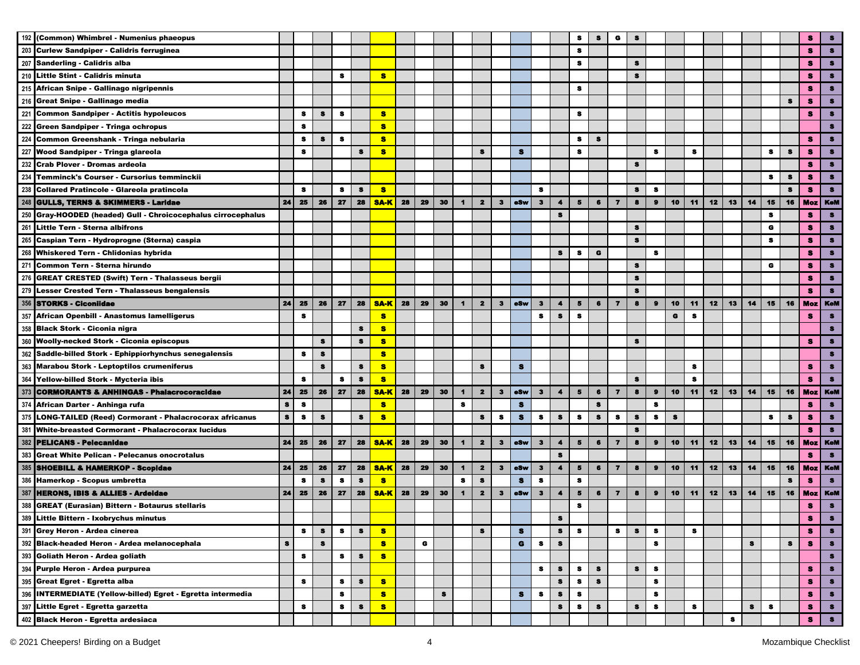| 192 | (Common) Whimbrel - Numenius phaeopus                         |    |           |           |           |              |             |    |    |    |                      |                         |              |            |              |                      | s                       | 8         | G                       |           |           |           |    |    |    |    |           |           | s          | s          |
|-----|---------------------------------------------------------------|----|-----------|-----------|-----------|--------------|-------------|----|----|----|----------------------|-------------------------|--------------|------------|--------------|----------------------|-------------------------|-----------|-------------------------|-----------|-----------|-----------|----|----|----|----|-----------|-----------|------------|------------|
| 203 | <b>Curlew Sandpiper - Calidris ferruginea</b>                 |    |           |           |           |              |             |    |    |    |                      |                         |              |            |              |                      | s                       |           |                         |           |           |           |    |    |    |    |           |           | s          | $\bullet$  |
| 207 | Sanderling - Calidris alba                                    |    |           |           |           |              |             |    |    |    |                      |                         |              |            |              |                      | s.                      |           |                         | $\bullet$ |           |           |    |    |    |    |           |           | s.         | $\bullet$  |
|     | 210 Little Stint - Calidris minuta                            |    |           |           | s         |              | s           |    |    |    |                      |                         |              |            |              |                      |                         |           |                         | s         |           |           |    |    |    |    |           |           | s          | $\bullet$  |
| 215 | African Snipe - Gallinago nigripennis                         |    |           |           |           |              |             |    |    |    |                      |                         |              |            |              |                      | 8                       |           |                         |           |           |           |    |    |    |    |           |           | s          | $\bullet$  |
|     | 216 Great Snipe - Gallinago media                             |    |           |           |           |              |             |    |    |    |                      |                         |              |            |              |                      |                         |           |                         |           |           |           |    |    |    |    |           | s         | s          | $\bullet$  |
|     | 221 Common Sandpiper - Actitis hypoleucos                     |    | s         | s         | s         |              | $\bullet$   |    |    |    |                      |                         |              |            |              |                      | s                       |           |                         |           |           |           |    |    |    |    |           |           | 8          | 8          |
|     | 222 Green Sandpiper - Tringa ochropus                         |    | s         |           |           |              | $\bullet$   |    |    |    |                      |                         |              |            |              |                      |                         |           |                         |           |           |           |    |    |    |    |           |           |            | s          |
| 224 | Common Greenshank - Tringa nebularia                          |    | 8         | $\bullet$ | 8         |              | 8           |    |    |    |                      |                         |              |            |              |                      | 8                       | 8         |                         |           |           |           |    |    |    |    |           |           | s          | $\bullet$  |
| 227 | Wood Sandpiper - Tringa glareola                              |    | $\bullet$ |           |           | $\bullet$    | 8           |    |    |    |                      | $\bullet$               |              | $\bullet$  |              |                      | s                       |           |                         |           | 8         |           | s  |    |    |    | $\bullet$ | $\bullet$ | 8          | $\bullet$  |
|     | 232 Crab Plover - Dromas ardeola                              |    |           |           |           |              |             |    |    |    |                      |                         |              |            |              |                      |                         |           |                         | $\bullet$ |           |           |    |    |    |    |           |           | $\bullet$  | $\bullet$  |
| 234 | Temminck's Courser - Cursorius temminckii                     |    |           |           |           |              |             |    |    |    |                      |                         |              |            |              |                      |                         |           |                         |           |           |           |    |    |    |    | $\bullet$ | $\pmb{3}$ | $\bullet$  | $\bullet$  |
| 238 | Collared Pratincole - Glareola pratincola                     |    | $\bullet$ |           | $\bullet$ | $\bullet$    | $\bullet$   |    |    |    |                      |                         |              |            | $\bullet$    |                      |                         |           |                         | $\bullet$ | $\bullet$ |           |    |    |    |    |           | $\bullet$ | s          | $\bullet$  |
|     | 248 GULLS, TERNS & SKIMMERS - Laridae                         | 24 | 25        | 26        | 27        | 28           | <b>SA-K</b> | 28 | 29 | 30 | $\mathbf{1}$         | $\mathbf{2}$            | $\mathbf{3}$ | <b>eSw</b> | $\mathbf{3}$ | $\blacktriangleleft$ | 5 <sub>5</sub>          | $\bullet$ | $\overline{ }$          | 8         | $\bullet$ | 10        | 11 | 12 | 13 | 14 | 15        | 16        |            | Moz   KeM  |
| 250 | Gray-HOODED (headed) Gull - Chroicocephalus cirrocephalus     |    |           |           |           |              |             |    |    |    |                      |                         |              |            |              | s                    |                         |           |                         |           |           |           |    |    |    |    | з         |           | s          | 8          |
| 261 | Little Tern - Sterna albifrons                                |    |           |           |           |              |             |    |    |    |                      |                         |              |            |              |                      |                         |           |                         | $\bullet$ |           |           |    |    |    |    | G         |           | s          | $\bullet$  |
| 265 | Caspian Tern - Hydroprogne (Sterna) caspia                    |    |           |           |           |              |             |    |    |    |                      |                         |              |            |              |                      |                         |           |                         | 8         |           |           |    |    |    |    | 8         |           | s          | $\bullet$  |
| 268 | Whiskered Tern - Chlidonias hybrida                           |    |           |           |           |              |             |    |    |    |                      |                         |              |            |              | 8                    | 8                       | G         |                         |           | 8         |           |    |    |    |    |           |           | s          | $\bullet$  |
| 271 | Common Tern - Sterna hirundo                                  |    |           |           |           |              |             |    |    |    |                      |                         |              |            |              |                      |                         |           |                         | 8         |           |           |    |    |    |    | G         |           | s          | $\bullet$  |
| 276 | <b>GREAT CRESTED (Swift) Tern - Thalasseus bergii</b>         |    |           |           |           |              |             |    |    |    |                      |                         |              |            |              |                      |                         |           |                         | $\bullet$ |           |           |    |    |    |    |           |           | s.         | $\bullet$  |
| 279 | <b>Lesser Crested Tern - Thalasseus bengalensis</b>           |    |           |           |           |              |             |    |    |    |                      |                         |              |            |              |                      |                         |           |                         | $\bullet$ |           |           |    |    |    |    |           |           | s          | $\bullet$  |
| 356 | <b>STORKS - Ciconiidae</b>                                    | 24 | 25        | 26        | 27        | 28           | <b>SA-K</b> | 28 | 29 | 30 | $\blacksquare$       | $\mathbf{2}$            | $\mathbf{3}$ | eSw        | $\mathbf{3}$ | $\blacktriangleleft$ | 5                       | 6         | $\overline{7}$          | 8         | $\bullet$ | 10        | 11 | 12 | 13 | 14 | 15        | 16        | <b>Moz</b> | <b>KeM</b> |
| 357 | African Openbill - Anastomus lamelligerus                     |    | s         |           |           |              | s           |    |    |    |                      |                         |              |            | 8            | 8                    | 8                       |           |                         |           |           | G         | s  |    |    |    |           |           | s          | $\bullet$  |
| 358 | <b>Black Stork - Ciconia nigra</b>                            |    |           |           |           | $\bullet$    | s           |    |    |    |                      |                         |              |            |              |                      |                         |           |                         |           |           |           |    |    |    |    |           |           |            | З          |
| 360 | <b>Woolly-necked Stork - Ciconia episcopus</b>                |    |           | s         |           | s            | $\bullet$   |    |    |    |                      |                         |              |            |              |                      |                         |           |                         | s         |           |           |    |    |    |    |           |           | s          | s          |
|     | 362 Saddle-billed Stork - Ephippiorhynchus senegalensis       |    | s         | $\bullet$ |           |              | s           |    |    |    |                      |                         |              |            |              |                      |                         |           |                         |           |           |           |    |    |    |    |           |           |            | 8          |
| 363 | <b>Marabou Stork - Leptoptilos crumeniferus</b>               |    |           | s         |           | s            | 8           |    |    |    |                      | s                       |              | $\bullet$  |              |                      |                         |           |                         |           |           |           | s  |    |    |    |           |           | s          | $\bullet$  |
|     | 364 Yellow-billed Stork - Mycteria ibis                       |    | $\pmb{s}$ |           | $\bullet$ | $\bullet$    | s           |    |    |    |                      |                         |              |            |              |                      |                         |           |                         | s         |           |           | s  |    |    |    |           |           | s          | $\bullet$  |
| 373 | <b>CORMORANTS &amp; ANHINGAS - Phalacrocoracidae</b>          | 24 | 25        | 26        | 27        | 28           | <b>SA-K</b> | 28 | 29 | 30 | $\mathbf{1}$         | $\overline{\mathbf{2}}$ | $\mathbf{3}$ | eSw        | $\mathbf{3}$ | $\blacktriangleleft$ | $\overline{\mathbf{5}}$ | 6         | $\overline{ }$          | 8         | $\bullet$ | 10        | 11 | 12 | 13 | 14 | 15        | 16        | <b>Moz</b> | <b>KeM</b> |
|     | 374 African Darter - Anhinga rufa                             | s  | $\bullet$ |           |           |              | $\bullet$   |    |    |    | 8                    |                         |              | $\bullet$  |              |                      |                         | $\bullet$ |                         |           | s         |           |    |    |    |    |           |           | 8          | $\bullet$  |
| 375 | <b>LONG-TAILED (Reed) Cormorant - Phalacrocorax africanus</b> | s  | $\bullet$ | $\bullet$ |           | $\bullet$    | 8           |    |    |    |                      | $\bullet$               | s            | $\bullet$  | $\bullet$    | $\bullet$            | $\bullet$               | $\bullet$ | s                       | $\bullet$ | s         | $\bullet$ |    |    |    |    | s         | $\bullet$ | 8          | $\bullet$  |
| 381 | <b>White-breasted Cormorant - Phalacrocorax lucidus</b>       |    |           |           |           |              |             |    |    |    |                      |                         |              |            |              |                      |                         |           |                         | s         |           |           |    |    |    |    |           |           | 8          | $\bullet$  |
| 382 | <b>PELICANS - Pelecanidae</b>                                 | 24 | 25        | 26        | 27        | 28           | <b>SA-K</b> | 28 | 29 | 30 | $\blacktriangleleft$ | $\overline{\mathbf{z}}$ | $\mathbf{3}$ | <b>eSw</b> | $\mathbf{3}$ | $\blacktriangleleft$ | 5                       | 6         | $\overline{\mathbf{z}}$ | 8         | $\bullet$ | 10        | 11 | 12 | 13 | 14 | 15        | 16        | Moz        | <b>KeM</b> |
| 383 | <b>Great White Pelican - Pelecanus onocrotalus</b>            |    |           |           |           |              |             |    |    |    |                      |                         |              |            |              | $\bullet$            |                         |           |                         |           |           |           |    |    |    |    |           |           | s          | $\bullet$  |
| 385 | <b>SHOEBILL &amp; HAMERKOP - Scopidae</b>                     | 24 | 25        | 26        | 27        | 28           | <b>SA-K</b> | 28 | 29 | 30 | $\blacksquare$       | $\mathbf{z}$            | $\mathbf{3}$ | oSw        | $\mathbf{3}$ | $\blacktriangleleft$ | 5                       | 6         | $\overline{7}$          | 8         | $\bullet$ | 10        | 11 | 12 | 13 | 14 | 15        | 16        | <b>Moz</b> | <b>KeM</b> |
|     | 386 Hamerkop - Scopus umbretta                                |    | 8         | s         | s         | $\mathbf{s}$ | $\bullet$   |    |    |    | $\bullet$            | s                       |              | s          | $\bullet$    |                      | $\bullet$               |           |                         |           |           |           |    |    |    |    |           | s         | s.         | $\bullet$  |
|     |                                                               | 24 | 25        | 26        | 27        | 28           |             | 28 | 29 | 30 |                      | $\overline{\mathbf{z}}$ | $\mathbf{3}$ | eSw        | з            | $\blacktriangleleft$ | 5                       | 6         | $\overline{7}$          | 8         | $\bullet$ | 10        | 11 | 12 | 13 | 14 | 15        | 16        |            | <b>KeM</b> |
| 387 | <b>HERONS, IBIS &amp; ALLIES - Ardeldae</b>                   |    |           |           |           |              | <b>SA-K</b> |    |    |    | $\blacksquare$       |                         |              |            |              |                      |                         |           |                         |           |           |           |    |    |    |    |           |           | Moz        |            |
| 388 | <b>GREAT (Eurasian) Bittern - Botaurus stellaris</b>          |    |           |           |           |              |             |    |    |    |                      |                         |              |            |              |                      | 8                       |           |                         |           |           |           |    |    |    |    |           |           | s          | $\bullet$  |
| 389 | Little Bittern - Ixobrychus minutus                           |    |           |           |           |              |             |    |    |    |                      |                         |              |            |              | 8                    |                         |           |                         |           |           |           |    |    |    |    |           |           | s          |            |
|     | 391 Grey Heron - Ardea cinerea                                |    | s         | 8         | 8         | 8            | <b>S</b>    |    |    |    |                      | s                       |              | s          |              | 8                    | 8                       |           | 8                       | $\bullet$ | 8         |           | s  |    |    |    |           |           | s          | $\bullet$  |
|     | 392 Black-headed Heron - Ardea melanocephala                  | 8  |           | $\bf 8$   |           |              | s           |    | G  |    |                      |                         |              | G          | 8            | 8                    |                         |           |                         |           | 8         |           |    |    |    | 8  |           | 8         | s          | $\bullet$  |
|     | 393 Goliath Heron - Ardea goliath                             |    | 8         |           | 8         | 8            | s           |    |    |    |                      |                         |              |            |              |                      |                         |           |                         |           |           |           |    |    |    |    |           |           |            | $\bullet$  |
|     | 394 Purple Heron - Ardea purpurea                             |    |           |           |           |              |             |    |    |    |                      |                         |              |            | 8            | s                    | 8                       | 8         |                         | $\bullet$ | 8         |           |    |    |    |    |           |           | s          | $\bullet$  |
|     | 395 Great Egret - Egretta alba                                |    | 8         |           | 8         | 8            | s           |    |    |    |                      |                         |              |            |              | s                    | s                       | 8         |                         |           | 8         |           |    |    |    |    |           |           | s          | $\bullet$  |
|     | 396 INTERMEDIATE (Yellow-billed) Egret - Egretta intermedia   |    |           |           | s         |              | s           |    |    | s  |                      |                         |              | s          | s            | s                    | s                       |           |                         |           | 8         |           |    |    |    |    |           |           | s          | $\bullet$  |
|     | 397 Little Egret - Egretta garzetta                           |    | 8         |           | s         | s            | s           |    |    |    |                      |                         |              |            |              | 8                    | 8                       | s         |                         | s         | 8         |           | s  |    |    | s  | s         |           | s          | $\bullet$  |
|     | 402 Black Heron - Egretta ardesiaca                           |    |           |           |           |              |             |    |    |    |                      |                         |              |            |              |                      |                         |           |                         |           |           |           |    |    | s  |    |           |           | s          | $\bullet$  |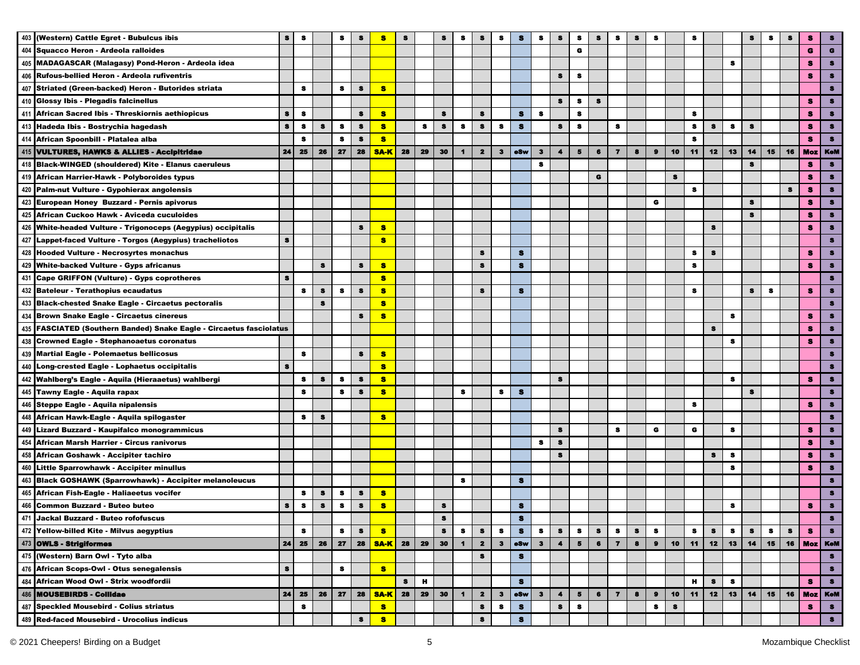|     | 403 (Western) Cattle Egret - Bubulcus ibis                          | $\bullet$ | 8         |           | s         | s         | s           | 8         |    | S            | s                    | s                       | s            | s         | 8            | 8                    | 8                       | 8         | 8                       | s       | 8            |    | s         |           |           | s           | s        | s       | s              |           |
|-----|---------------------------------------------------------------------|-----------|-----------|-----------|-----------|-----------|-------------|-----------|----|--------------|----------------------|-------------------------|--------------|-----------|--------------|----------------------|-------------------------|-----------|-------------------------|---------|--------------|----|-----------|-----------|-----------|-------------|----------|---------|----------------|-----------|
|     | 404 Squacco Heron - Ardeola ralloides                               |           |           |           |           |           |             |           |    |              |                      |                         |              |           |              |                      | G                       |           |                         |         |              |    |           |           |           |             |          |         | G              |           |
|     | 405 MADAGASCAR (Malagasy) Pond-Heron - Ardeola idea                 |           |           |           |           |           |             |           |    |              |                      |                         |              |           |              |                      |                         |           |                         |         |              |    |           |           | s         |             |          |         | s              |           |
|     | 406 Rufous-bellied Heron - Ardeola rufiventris                      |           |           |           |           |           |             |           |    |              |                      |                         |              |           |              | s                    | s                       |           |                         |         |              |    |           |           |           |             |          |         | s              |           |
|     | 407 Striated (Green-backed) Heron - Butorides striata               |           | s         |           | s         | s         | $\bullet$   |           |    |              |                      |                         |              |           |              |                      |                         |           |                         |         |              |    |           |           |           |             |          |         |                |           |
|     | 410 Glossy Ibis - Plegadis falcinellus                              |           |           |           |           |           |             |           |    |              |                      |                         |              |           |              | $\bullet$            | s                       | s         |                         |         |              |    |           |           |           |             |          |         | 8              |           |
|     | 411 African Sacred Ibis - Threskiornis aethiopicus                  | $\bullet$ | $\bullet$ |           |           | $\bullet$ | s           |           |    | $\bullet$    |                      | s                       |              | $\bullet$ | $\bullet$    |                      | $\pmb{s}$               |           |                         |         |              |    | s         |           |           |             |          |         | 8              |           |
|     | 413 Hadeda Ibis - Bostrychia hagedash                               | $\bullet$ | $\bullet$ | 8         | s         | $\pmb{s}$ | 8           |           | 8  | $\bullet$    | $\bullet$            | $\bullet$               | s            | s         |              | $\bullet$            | 8                       |           | $\bullet$               |         |              |    | s         | $\bullet$ | $\bullet$ | $\bullet$   |          |         | 8              | 8         |
|     | 414 African Spoonbill - Platalea alba                               |           | s         |           | $\bullet$ | $\bullet$ | s           |           |    |              |                      |                         |              |           |              |                      |                         |           |                         |         |              |    | s         |           |           |             |          |         | 8              | $\bullet$ |
|     | 415 VULTURES, HAWKS & ALLIES - Accipitridae                         | 24        | 25        | 26        | 27        | 28        | <b>SA-K</b> | 28        | 29 | 30           | $\blacktriangleleft$ | $\overline{\mathbf{2}}$ | $\bf{3}$     | eSw       | $\mathbf{3}$ | $\blacktriangleleft$ | $5\phantom{1}$          | 6         | $\overline{7}$          | 8       | $\mathbf{9}$ | 10 | 11        | 12        | 13        | 14          | 15       | 16      | <b>Moz</b>     | KeM       |
|     | 418 Black-WINGED (shouldered) Kite - Elanus caeruleus               |           |           |           |           |           |             |           |    |              |                      |                         |              |           | 8            |                      |                         |           |                         |         |              |    |           |           |           | $\bullet$   |          |         | 8              | з         |
| 419 | African Harrier-Hawk - Polyboroides typus                           |           |           |           |           |           |             |           |    |              |                      |                         |              |           |              |                      |                         | G         |                         |         |              | s  |           |           |           |             |          |         | s              | 8         |
| 420 | Palm-nut Vulture - Gypohierax angolensis                            |           |           |           |           |           |             |           |    |              |                      |                         |              |           |              |                      |                         |           |                         |         |              |    | s         |           |           |             |          | s       | 8              |           |
| 423 | European Honey Buzzard - Pernis apivorus                            |           |           |           |           |           |             |           |    |              |                      |                         |              |           |              |                      |                         |           |                         |         | G            |    |           |           |           | $\bullet$   |          |         | s              | s.        |
|     | 425 African Cuckoo Hawk - Aviceda cuculoides                        |           |           |           |           |           |             |           |    |              |                      |                         |              |           |              |                      |                         |           |                         |         |              |    |           |           |           | $\bullet$   |          |         | s              |           |
|     | 426 White-headed Vulture - Trigonoceps (Aegypius) occipitalis       |           |           |           |           | 8         | s           |           |    |              |                      |                         |              |           |              |                      |                         |           |                         |         |              |    |           | s         |           |             |          |         | s              |           |
|     | 427 Lappet-faced Vulture - Torgos (Aegypius) tracheliotos           | $\bullet$ |           |           |           |           | s           |           |    |              |                      |                         |              |           |              |                      |                         |           |                         |         |              |    |           |           |           |             |          |         |                |           |
|     | 428 Hooded Vulture - Necrosyrtes monachus                           |           |           |           |           |           |             |           |    |              |                      | 8                       |              | s         |              |                      |                         |           |                         |         |              |    | 8         | 8         |           |             |          |         | s              |           |
|     | 429 White-backed Vulture - Gyps africanus                           |           |           | s         |           | s         | s           |           |    |              |                      | $\bullet$               |              | $\bullet$ |              |                      |                         |           |                         |         |              |    | s         |           |           |             |          |         | s              |           |
|     | 431 Cape GRIFFON (Vulture) - Gyps coprotheres                       | 8         |           |           |           |           | s           |           |    |              |                      |                         |              |           |              |                      |                         |           |                         |         |              |    |           |           |           |             |          |         |                |           |
|     | 432 Bateleur - Terathopius ecaudatus                                |           | s         | 8         | 8         | $\bullet$ | s           |           |    |              |                      | 8                       |              | s         |              |                      |                         |           |                         |         |              |    | s         |           |           | $\bullet$   | s        |         | s              |           |
|     | 433 Black-chested Snake Eagle - Circaetus pectoralis                |           |           | s         |           |           | s           |           |    |              |                      |                         |              |           |              |                      |                         |           |                         |         |              |    |           |           |           |             |          |         |                |           |
|     | 434 Brown Snake Eagle - Circaetus cinereus                          |           |           |           |           | s         | s           |           |    |              |                      |                         |              |           |              |                      |                         |           |                         |         |              |    |           |           | s         |             |          |         | s              |           |
|     | 435 FASCIATED (Southern Banded) Snake Eagle - Circaetus fasciolatus |           |           |           |           |           |             |           |    |              |                      |                         |              |           |              |                      |                         |           |                         |         |              |    |           | $\bullet$ |           |             |          |         | s              |           |
|     | 438 Crowned Eagle - Stephanoaetus coronatus                         |           |           |           |           |           |             |           |    |              |                      |                         |              |           |              |                      |                         |           |                         |         |              |    |           |           | s         |             |          |         | s              |           |
|     | 439 Martial Eagle - Polemaetus bellicosus                           |           | s         |           |           | s         | s           |           |    |              |                      |                         |              |           |              |                      |                         |           |                         |         |              |    |           |           |           |             |          |         |                | $\bullet$ |
|     | 440 Long-crested Eagle - Lophaetus occipitalis                      | 8         |           |           |           |           | s           |           |    |              |                      |                         |              |           |              |                      |                         |           |                         |         |              |    |           |           |           |             |          |         |                |           |
|     | 442 Wahlberg's Eagle - Aquila (Hieraaetus) wahlbergi                |           | s         | 8         | s         | 8         | 8           |           |    |              |                      |                         |              |           |              | 8                    |                         |           |                         |         |              |    |           |           | -8        |             |          |         | я              |           |
|     | 445 Tawny Eagle - Aquila rapax                                      |           | s         |           | 8         | 8         | 8           |           |    |              | s                    |                         | s            | 8         |              |                      |                         |           |                         |         |              |    |           |           |           | $\bullet$   |          |         |                | з         |
| 446 | Steppe Eagle - Aquila nipalensis                                    |           |           |           |           |           |             |           |    |              |                      |                         |              |           |              |                      |                         |           |                         |         |              |    | s         |           |           |             |          |         | 8              |           |
|     | 448 African Hawk-Eagle - Aquila spilogaster                         |           | s         | -8        |           |           | 8           |           |    |              |                      |                         |              |           |              |                      |                         |           |                         |         |              |    |           |           |           |             |          |         |                | з         |
| 449 | <b>Lizard Buzzard - Kaupifalco monogrammicus</b>                    |           |           |           |           |           |             |           |    |              |                      |                         |              |           |              | $\bullet$            |                         |           | s                       |         | $\bullet$    |    | $\bullet$ |           | $\bullet$ |             |          |         | 8              |           |
| 454 | African Marsh Harrier - Circus ranivorus                            |           |           |           |           |           |             |           |    |              |                      |                         |              |           | 8            | $\bullet$            |                         |           |                         |         |              |    |           |           |           |             |          |         | 8              |           |
| 458 | African Goshawk - Accipiter tachiro                                 |           |           |           |           |           |             |           |    |              |                      |                         |              |           |              | s                    |                         |           |                         |         |              |    |           | $\bullet$ | $\bullet$ |             |          |         | s              |           |
|     | 460 Little Sparrowhawk - Accipiter minullus                         |           |           |           |           |           |             |           |    |              |                      |                         |              |           |              |                      |                         |           |                         |         |              |    |           |           | 8         |             |          |         | s              |           |
|     | 463 Black GOSHAWK (Sparrowhawk) - Accipiter melanoleucus            |           |           |           |           |           |             |           |    |              | s                    |                         |              | S         |              |                      |                         |           |                         |         |              |    |           |           |           |             |          |         |                |           |
|     | 465 African Fish-Eagle - Haliaeetus vocifer                         |           | 8         | 8         | s         | s         | s.          |           |    |              |                      |                         |              |           |              |                      |                         |           |                         |         |              |    |           |           |           |             |          |         |                |           |
|     | 466 Common Buzzard - Buteo buteo                                    | $\bullet$ | $\bullet$ | $\bullet$ | $\bf s$   | $\bullet$ | s           |           |    | $\pmb{3}$    |                      |                         |              | s         |              |                      |                         |           |                         |         |              |    |           |           | $\bullet$ |             |          |         | s              |           |
| 471 | Jackal Buzzard - Buteo rofofuscus                                   |           |           |           |           |           |             |           |    | $\mathbf{R}$ |                      |                         |              | $\bullet$ |              |                      |                         |           |                         |         |              |    |           |           |           |             |          |         |                |           |
|     | 472 Yellow-billed Kite - Milvus aegyptius                           |           | 8         |           | $\pmb{3}$ | $\bf s$   | s           |           |    | $\pmb{3}$    | 8                    | $\bf s$                 | s            | $\bullet$ | $\bf s$      | $\pmb{s}$            | 8                       | 8         | 8                       | $\bf 8$ | $\bullet$    |    | s         | s         | $\bullet$ | $\mathbf s$ | $\bf{s}$ | $\bf 8$ | s              | $\bullet$ |
|     | 473 OWLS - Strigiformes                                             | 24        | 25        | 26        | 27        | 28        | <b>SA-K</b> | 28        | 29 | 30           | $\blacktriangleleft$ | $\overline{\mathbf{2}}$ | $\mathbf{3}$ | eSw       | $\mathbf{3}$ | $\blacktriangleleft$ | $\overline{\mathbf{5}}$ | $\bullet$ | $\overline{ }$          | 8       | $\bullet$    | 10 | 11        | 12        | 13        | 14          | 15       |         | 16   Moz   KeM |           |
|     | 475 (Western) Barn Owl - Tyto alba                                  |           |           |           |           |           |             |           |    |              |                      | s                       |              | $\bullet$ |              |                      |                         |           |                         |         |              |    |           |           |           |             |          |         |                | $\bullet$ |
|     | 476 African Scops-Owl - Otus senegalensis                           | $\bullet$ |           |           | s         |           | <b>S</b>    |           |    |              |                      |                         |              |           |              |                      |                         |           |                         |         |              |    |           |           |           |             |          |         |                | $\bullet$ |
|     | 484 African Wood Owl - Strix woodfordii                             |           |           |           |           |           |             | $\bullet$ | м  |              |                      |                         |              | s         |              |                      |                         |           |                         |         |              |    | н         | $\bullet$ | $\bullet$ |             |          |         | s              | $\bullet$ |
| 486 | <b>MOUSEBIRDS - Collidae</b>                                        | 24        | 25        | 26        | 27        | 28        | <b>SA-K</b> | 28        | 29 | 30           | $\mathbf{1}$         | $\mathbf{2}$            | З            | eSw       | $\mathbf{3}$ | $\blacktriangleleft$ | 5                       | 6         | $\overline{\mathbf{z}}$ | 8       | 9            | 10 | 11        | 12        | 13        | $14$   15   |          |         | 16   Moz   KeM |           |
| 487 | <b>Speckled Mousebird - Colius striatus</b>                         |           | s         |           |           |           | s           |           |    |              |                      | s                       | s            | s         |              | s                    | s                       |           |                         |         | s            | S  |           |           |           |             |          |         | s              | $\bullet$ |
|     | 489 Red-faced Mousebird - Urocolius indicus                         |           |           |           |           | $\bullet$ | s           |           |    |              |                      | s                       |              | $\bullet$ |              |                      |                         |           |                         |         |              |    |           |           |           |             |          |         |                | $\bullet$ |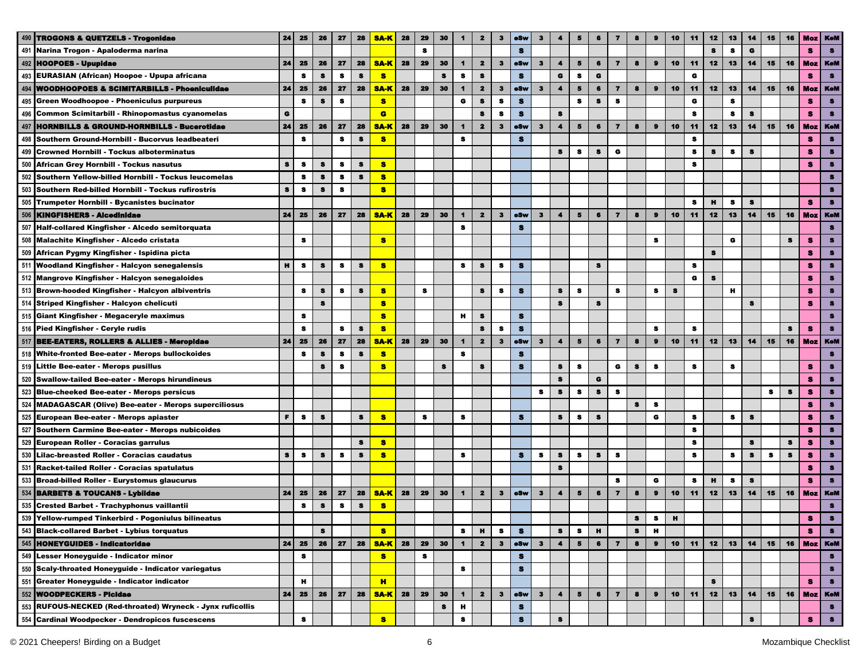| 490 | <b>TROGONS &amp; QUETZELS - Trogonidae</b>                 | 24        | 25        | 26        | 27        | 28           | <b>SA-K</b> | 28 | 29 | 30 | 1                    | $\mathbf{z}$            | 3            | oSw          | 3                       |                      | 5                       |           | 7                       |           |              | 10     | 11        | 12           | 13           | 14          | 15        | 16        | Moz            | <b>KeM</b>     |
|-----|------------------------------------------------------------|-----------|-----------|-----------|-----------|--------------|-------------|----|----|----|----------------------|-------------------------|--------------|--------------|-------------------------|----------------------|-------------------------|-----------|-------------------------|-----------|--------------|--------|-----------|--------------|--------------|-------------|-----------|-----------|----------------|----------------|
| 491 | Narina Trogon - Apaloderma narina                          |           |           |           |           |              |             |    | s  |    |                      |                         |              | $\mathbf{s}$ |                         |                      |                         |           |                         |           |              |        |           | s            | $\bullet$    | $\mathbf G$ |           |           | $\bullet$      | $\bullet$      |
| 492 | <b>HOOPOES - Upupidae</b>                                  | 24        | 25        | 26        | 27        | 28           | <b>SA-K</b> | 28 | 29 | 30 | $\blacktriangleleft$ | $\mathbf{2}$            | 3            | eSw          | $\mathbf{3}$            | $\blacktriangleleft$ | 5                       | 6         | $\overline{\mathbf{z}}$ | 8         | $\bullet$    | 10     | 11        | 12           | 13           | 14          | 15        | 16        | <b>Moz</b>     | <b>KoM</b>     |
|     | 493 EURASIAN (African) Hoopoe - Upupa africana             |           | s         | 8         | 8         | s            | $\bullet$   |    |    | s  | s                    | s                       |              | $\bullet$    |                         | $\mathbf G$          | s                       | G         |                         |           |              |        | G         |              |              |             |           |           | s              |                |
| 494 | <b>WOODHOOPOES &amp; SCIMITARBILLS - Phoeniculidae</b>     | 24        | 25        | 26        | 27        | 28           | <b>SA-K</b> | 28 | 29 | 30 | $\blacktriangleleft$ | $\mathbf{2}$            | $\bf{3}$     | oSw          | $\mathbf{3}$            | $\blacktriangleleft$ | $\overline{\mathbf{5}}$ | $\bf{6}$  | $\overline{\mathbf{z}}$ | 8         | $\pmb{9}$    | 10     | 11        | 12           | 13           | 14          | 15        | 16        | <b>Moz</b>     | KoM            |
| 495 | Green Woodhoopoe - Phoeniculus purpureus                   |           | $\bullet$ | $\pmb{s}$ | s         |              | $\bullet$   |    |    |    | $\bullet$            | s                       | s            | $\bullet$    |                         |                      | $\bullet$               | $\bf s$   | s                       |           |              |        | $\bullet$ |              | $\bullet$    |             |           |           | s              | $\bullet$      |
|     | 496 Common Scimitarbill - Rhinopomastus cyanomelas         | $\bullet$ |           |           |           |              | $\bullet$   |    |    |    |                      | $\mathbf s$             | s            | $\bullet$    |                         | $\bullet$            |                         |           |                         |           |              |        | s         |              | $\bullet$    | $\bullet$   |           |           | s              |                |
| 497 | <b>HORNBILLS &amp; GROUND-HORNBILLS - Bucerotidae</b>      | 24        | 25        | 26        | 27        | 28           | <b>SA-K</b> | 28 | 29 | 30 | $\blacktriangleleft$ | $\mathbf{z}$            | $\mathbf{3}$ | eSw          | $\bf{3}$                | $\blacktriangleleft$ | $5\phantom{.0}$         | 6         | $\overline{\mathbf{z}}$ | 8         | $\mathbf{9}$ | 10     | 11        | 12           | 13           | 14          | 15        | 16        | Moz            | <b>KeM</b>     |
| 498 | Southern Ground-Hornbill - Bucorvus leadbeateri            |           | $\bullet$ |           | $\bullet$ | $\mathbf{s}$ | s           |    |    |    | $\bullet$            |                         |              | $\mathbf{s}$ |                         |                      |                         |           |                         |           |              |        | $\bullet$ |              |              |             |           |           | 8              |                |
| 499 | <b>Crowned Hornbill - Tockus alboterminatus</b>            |           |           |           |           |              |             |    |    |    |                      |                         |              |              |                         | $\bullet$            | s                       | $\bullet$ | $\bullet$               |           |              |        | s         | $\bullet$    | $\bullet$    | $\bullet$   |           |           | 8              | $\bullet$      |
| 500 | African Grey Hornbill - Tockus nasutus                     | $\bullet$ | $\bullet$ | $\bullet$ | $\bullet$ | $\pmb{s}$    | s           |    |    |    |                      |                         |              |              |                         |                      |                         |           |                         |           |              |        | s         |              |              |             |           |           | s              | $\bullet$      |
| 502 | Southern Yellow-billed Hornbill - Tockus leucomelas        |           | s         | $\bullet$ | s         | $\bullet$    | 8           |    |    |    |                      |                         |              |              |                         |                      |                         |           |                         |           |              |        |           |              |              |             |           |           |                | я              |
| 503 | Southern Red-billed Hornbill - Tockus rufirostris          | $\bullet$ | - 8       | $\bullet$ | s         |              | 8           |    |    |    |                      |                         |              |              |                         |                      |                         |           |                         |           |              |        |           |              |              |             |           |           |                |                |
| 505 | Trumpeter Hornbill - Bycanistes bucinator                  |           |           |           |           |              |             |    |    |    |                      |                         |              |              |                         |                      |                         |           |                         |           |              |        | s         | $\mathbf{H}$ | $\bullet$    | $\bullet$   |           |           | s              |                |
| 506 | <b>KINGFISHERS - Alcedinidae</b>                           | 24        | 25        | 26        | 27        | 28           | <b>SA-K</b> | 28 | 29 | 30 | $\mathbf 1$          | $\mathbf{2}$            | $\mathbf{3}$ | e8w          | $\mathbf{3}$            | $\blacktriangleleft$ | 5                       | 6         | $\overline{ }$          |           | $\mathbf{9}$ | 10     | 11        | 12           | 13           | 14          | 15        | 16        | <b>Moz</b>     | <b>KeM</b>     |
| 507 | Half-collared Kingfisher - Alcedo semitorquata             |           |           |           |           |              |             |    |    |    | $\bullet$            |                         |              | s            |                         |                      |                         |           |                         |           |              |        |           |              |              |             |           |           |                | 8              |
| 508 | Malachite Kingfisher - Alcedo cristata                     |           | 8         |           |           |              | s           |    |    |    |                      |                         |              |              |                         |                      |                         |           |                         |           | 8            |        |           |              | $\bullet$    |             |           | 8         | s              |                |
| 509 | African Pygmy Kingfisher - Ispidina picta                  |           |           |           |           |              |             |    |    |    |                      |                         |              |              |                         |                      |                         |           |                         |           |              |        |           | $\bullet$    |              |             |           |           | s              |                |
| 511 | <b>Woodland Kingfisher - Halcyon senegalensis</b>          | н         | $\bullet$ | s         | 8         | s            | $\bullet$   |    |    |    | 8                    | S                       | $\bullet$    | $\mathbf{s}$ |                         |                      |                         | 8         |                         |           |              |        | s         |              |              |             |           |           | s              |                |
|     | 512 Mangrove Kingfisher - Halcyon senegaloides             |           |           |           |           |              |             |    |    |    |                      |                         |              |              |                         |                      |                         |           |                         |           |              |        | G         | 8            |              |             |           |           | s              |                |
|     | 513 Brown-hooded Kingfisher - Halcyon albiventris          |           | 8         | 8         | s         | s            | s           |    | 8  |    |                      | 8                       | s            | s            |                         | 8                    | 8                       |           | 8                       |           | s            | s      |           |              | $\mathbf{H}$ |             |           |           | s              |                |
|     | 514 Striped Kingfisher - Halcyon chelicuti                 |           |           | s         |           |              | s           |    |    |    |                      |                         |              |              |                         | $\bullet$            |                         | $\bullet$ |                         |           |              |        |           |              |              | s           |           |           | s              |                |
|     | 515 Giant Kingfisher - Megaceryle maximus                  |           | 8         |           |           |              | S           |    |    |    | н                    | s                       |              | $\bullet$    |                         |                      |                         |           |                         |           |              |        |           |              |              |             |           |           |                |                |
|     | 516 Pied Kingfisher - Ceryle rudis                         |           | s         |           | s         | $\pmb{s}$    | s           |    |    |    |                      | s                       | s            | $\bullet$    |                         |                      |                         |           |                         |           | s            |        | s         |              |              |             |           | s         | s              |                |
|     | 517 BEE-EATERS, ROLLERS & ALLIES - Meropidae               | 24        | 25        | 26        | 27        | 28           | <b>SA-K</b> | 28 | 29 | 30 | $\blacksquare$       | $\mathbf{2}$            | $\mathbf{3}$ | eSw          | $\overline{\mathbf{3}}$ | $\blacktriangleleft$ | $\overline{\mathbf{5}}$ | 6         | $\overline{\mathbf{z}}$ | 8         | $\bullet$    | 10     | 11        | 12           | 13           | 14          | 15        | 16        | <b>Moz</b>     | <b>KoM</b>     |
|     | 518 White-fronted Bee-eater - Merops bullockoides          |           | s         | s         | s         | $\bullet$    | s           |    |    |    | $\mathbf{s}$         |                         |              | $\mathbf{s}$ |                         |                      |                         |           |                         |           |              |        |           |              |              |             |           |           |                |                |
|     | 519 Little Bee-eater - Merops pusillus                     |           |           | $\bullet$ | 8         |              | s           |    |    | s  |                      | s                       |              | $\bullet$    |                         | $\pmb{3}$            | 8                       |           | G                       | s         | $\bullet$    |        | s         |              | s            |             |           |           | s              |                |
| 520 | <b>Swallow-tailed Bee-eater - Merops hirundineus</b>       |           |           |           |           |              |             |    |    |    |                      |                         |              |              |                         | $\bullet$            |                         | G         |                         |           |              |        |           |              |              |             |           |           | 8              | $\bullet$      |
|     | 523 Blue-cheeked Bee-eater - Merops persicus               |           |           |           |           |              |             |    |    |    |                      |                         |              |              | 8                       | $\bullet$            | 8                       | 8         | s                       |           |              |        |           |              |              |             | s         | s         | 8              | 8              |
| 524 | <b>MADAGASCAR (Olive) Bee-eater - Merops superciliosus</b> |           |           |           |           |              |             |    |    |    |                      |                         |              |              |                         |                      |                         |           |                         | 8         | s            |        |           |              |              |             |           |           | 8              | 8              |
| 525 | European Bee-eater - Merops apiaster                       | F         | - 8       | 8         |           | $\bullet$    | s           |    | s  |    | s                    |                         |              | s            |                         | 8                    | -9                      | s         |                         |           | G            |        | s         |              | s            | $\bullet$   |           |           | 8              |                |
| 527 | Southern Carmine Bee-eater - Merops nubicoides             |           |           |           |           |              |             |    |    |    |                      |                         |              |              |                         |                      |                         |           |                         |           |              |        | s         |              |              |             |           |           | 8              | 8              |
| 529 | <b>European Roller - Coracias garrulus</b>                 |           |           |           |           | 8            | я           |    |    |    |                      |                         |              |              |                         |                      |                         |           |                         |           |              |        | s         |              |              | $\bullet$   |           | s         | 8              | $\bullet$      |
| 530 | Lilac-breasted Roller - Coracias caudatus                  | $\bullet$ | $\bullet$ | s         | $\bullet$ | s            | s           |    |    |    | s                    |                         |              | 8            | s                       | $\bullet$            | $\bullet$               | s         | $\bullet$               |           |              |        | s         |              | $\bullet$    | $\bullet$   | $\bullet$ | $\bullet$ | 8              |                |
| 531 | Racket-tailed Roller - Coracias spatulatus                 |           |           |           |           |              |             |    |    |    |                      |                         |              |              |                         | $\bullet$            |                         |           |                         |           |              |        |           |              |              |             |           |           | s              |                |
|     | 533 Broad-billed Roller - Eurystomus glaucurus             |           |           |           |           |              |             |    |    |    |                      |                         |              |              |                         |                      |                         |           | 8                       |           | G            |        | $\bullet$ | н            | $\bullet$    | $\bullet$   |           |           | s              | $\bullet$      |
| 534 | <b>BARBETS &amp; TOUCANS - Lybildae</b>                    | 24        | 25        | 26        | 27        | 28           | <b>SA-K</b> | 28 | 29 | 30 | $\mathbf{1}$         | $\overline{\mathbf{z}}$ | $\mathbf{3}$ | eSw          | $\mathbf{3}$            | $\blacktriangleleft$ | 5                       | 6         | $\overline{7}$          | 8         | $\bullet$    | 10     | 11        | 12           | 13           | 14          | 15        | 16        | <b>Moz</b>     | <b>KeM</b>     |
| 535 | <b>Crested Barbet - Trachyphonus vaillantii</b>            |           | s         | 8         | 8         | $\bullet$    | s           |    |    |    |                      |                         |              |              |                         |                      |                         |           |                         |           |              |        |           |              |              |             |           |           |                | $\bullet$      |
|     | Yellow-rumped Tinkerbird - Pogoniulus bilineatus           |           |           |           |           |              |             |    |    |    |                      |                         |              |              |                         |                      |                         |           |                         | $\bullet$ | 8            | $\,$ H |           |              |              |             |           |           |                |                |
|     | 543 Black-collared Barbet - Lybius torquatus               |           |           | 8         |           |              | s.          |    |    |    | s                    | н                       | s            | $\bullet$    |                         | $\bullet$            | 8                       | н         |                         | 8         | н            |        |           |              |              |             |           |           | s              | 8              |
|     | 545 HONEYGUIDES - Indicatoridae                            | 24        | 25        | 26        | 27        | 28           | <b>SA-K</b> | 28 | 29 | 30 | $\blacksquare$       | $\mathbf{2}$            | $\bf{3}$     | eSw          | $\mathbf{3}$            | $\blacktriangleleft$ | $5^{\circ}$             | 6         | $\overline{7}$          | 8         | $\bullet$    | 10     | 11        | 12           | 13           | 14          | 15        |           | 16   Moz   KeM |                |
|     | 549 Lesser Honeyguide - Indicator minor                    |           | s         |           |           |              | <b>S</b>    |    | 8  |    |                      |                         |              | s            |                         |                      |                         |           |                         |           |              |        |           |              |              |             |           |           |                | 8              |
|     | 550 Scaly-throated Honeyguide - Indicator variegatus       |           |           |           |           |              |             |    |    |    | s                    |                         |              | $\bullet$    |                         |                      |                         |           |                         |           |              |        |           |              |              |             |           |           |                | $\bullet$      |
|     | 551 Greater Honeyguide - Indicator indicator               |           | н         |           |           |              | H           |    |    |    |                      |                         |              |              |                         |                      |                         |           |                         |           |              |        |           | s            |              |             |           |           | s              | $\bullet$      |
| 552 | <b>WOODPECKERS - Picidae</b>                               | 24        | 25        | 26        | 27        | 28           | <b>SA-K</b> | 28 | 29 | 30 | $\blacktriangleleft$ | $\mathbf{2}$            | $\mathbf{3}$ | eSw          | $\mathbf{3}$            | $\blacktriangleleft$ | $\overline{\mathbf{5}}$ | 6         | $\overline{\mathbf{z}}$ | 8         | $\bullet$    | 10     | 11        | 12           | 13           |             | $14$   15 | 16        |                | <b>Moz</b> KeM |
| 553 | RUFOUS-NECKED (Red-throated) Wryneck - Jynx ruficollis     |           |           |           |           |              |             |    |    | s  | н                    |                         |              | s            |                         |                      |                         |           |                         |           |              |        |           |              |              |             |           |           |                | $\bullet$      |
|     | 554 Cardinal Woodpecker - Dendropicos fuscescens           |           | 8         |           |           |              | s           |    |    |    | s                    |                         |              | $\bullet$    |                         | s                    |                         |           |                         |           |              |        |           |              |              | s           |           |           | s              |                |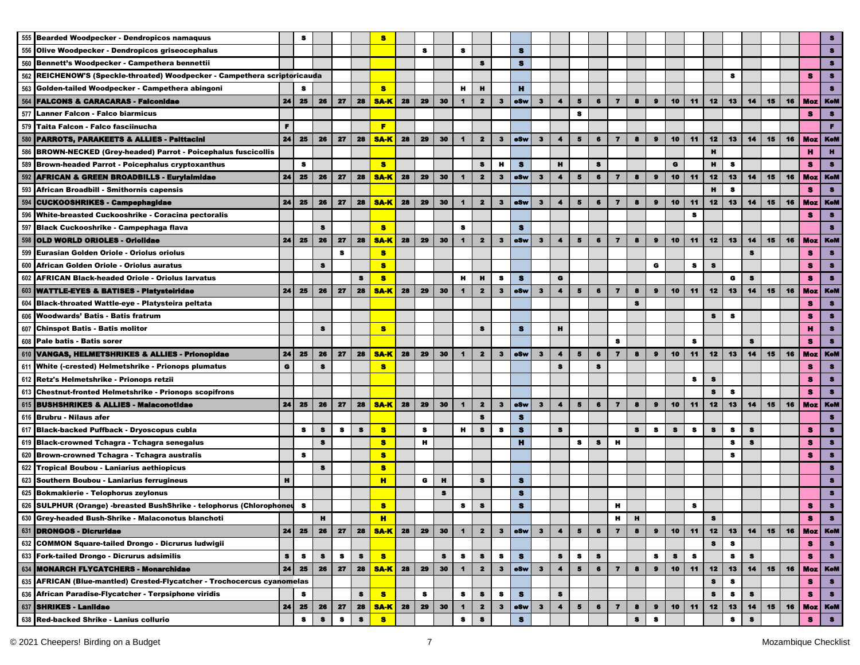|     | 555 Bearded Woodpecker - Dendropicos namaquus                             |           | 8         |           |           |           | я           |    |    |              |                      |                         |                |              |              |                      |                         |           |                         |           |                       |           |           |           |         |         |    |    |                |            |
|-----|---------------------------------------------------------------------------|-----------|-----------|-----------|-----------|-----------|-------------|----|----|--------------|----------------------|-------------------------|----------------|--------------|--------------|----------------------|-------------------------|-----------|-------------------------|-----------|-----------------------|-----------|-----------|-----------|---------|---------|----|----|----------------|------------|
| 556 | Olive Woodpecker - Dendropicos griseocephalus                             |           |           |           |           |           |             |    | s  |              | s                    |                         |                | s            |              |                      |                         |           |                         |           |                       |           |           |           |         |         |    |    |                |            |
|     | 560 Bennett's Woodpecker - Campethera bennettii                           |           |           |           |           |           |             |    |    |              |                      | s                       |                | s            |              |                      |                         |           |                         |           |                       |           |           |           |         |         |    |    |                |            |
|     | 562 REICHENOW'S (Speckle-throated) Woodpecker - Campethera scriptoricauda |           |           |           |           |           |             |    |    |              |                      |                         |                |              |              |                      |                         |           |                         |           |                       |           |           |           | s       |         |    |    | s              | s          |
| 563 | Golden-tailed Woodpecker - Campethera abingoni                            |           |           |           |           |           | s           |    |    |              | н                    | н                       |                | $\mathbf{H}$ |              |                      |                         |           |                         |           |                       |           |           |           |         |         |    |    |                | s          |
| 564 | <b>FALCONS &amp; CARACARAS - Falconidae</b>                               | 24        | 25        | 26        | 27        | 28        | <b>SA-K</b> | 28 | 29 | 30           |                      | $\mathbf{2}$            | 3              | oSw          | 3            | $\blacktriangleleft$ | $\overline{5}$          | 6         | $\overline{\mathbf{z}}$ | 8         | $\boldsymbol{\theta}$ | 10        | 11        | 12        | 13      | 14      | 15 | 16 | <b>Moz</b>     | <b>KeM</b> |
|     | 577 Lanner Falcon - Falco biarmicus                                       |           |           |           |           |           |             |    |    |              |                      |                         |                |              |              |                      | $\bullet$               |           |                         |           |                       |           |           |           |         |         |    |    | s              | $\bullet$  |
|     | 579 Taita Falcon - Falco fasciinucha                                      | F.        |           |           |           |           | F           |    |    |              |                      |                         |                |              |              |                      |                         |           |                         |           |                       |           |           |           |         |         |    |    |                | F.         |
|     | 580 PARROTS, PARAKEETS & ALLIES - Psittacini                              | 24        | 25        | 26        | 27        | 28        | <b>SA-K</b> | 28 | 29 | 30           | $\blacktriangleleft$ | $\overline{\mathbf{2}}$ | $\mathbf{3}$   | eSw          | $\mathbf{3}$ | $\blacktriangleleft$ | $\overline{\mathbf{5}}$ | 6         | $\overline{7}$          | 8         | $\bullet$             | 10        | 11        | 12        | 13      | 14      | 15 | 16 | <b>Moz</b>     | KeM        |
|     | 586 BROWN-NECKED (Grey-headed) Parrot - Poicephalus fuscicollis           |           |           |           |           |           |             |    |    |              |                      |                         |                |              |              |                      |                         |           |                         |           |                       |           |           | н         |         |         |    |    | н              | н.         |
|     | 589 Brown-headed Parrot - Poicephalus cryptoxanthus                       |           | 8         |           |           |           | s.          |    |    |              |                      | $\bullet$               | н              | $\bullet$    |              | $\mathbf{H}$         |                         | $\bullet$ |                         |           |                       | $\bullet$ |           | н         | s       |         |    |    | s              | $\bullet$  |
|     | 592 AFRICAN & GREEN BROADBILLS - Eurylalmidae                             | 24        | 25        | 26        | 27        | 28        | <b>SA-K</b> | 28 | 29 | 30           | $\mathbf 1$          | $\overline{\mathbf{2}}$ | $\mathbf{3}$   | oSw          | $\mathbf{3}$ | $\blacktriangleleft$ | 5                       | 6         | $\overline{ }$          | 8         | $\bullet$             | 10        | 11        | 12        | 13      | 14      | 15 | 16 | <b>Moz</b>     | KoM        |
| 593 | African Broadbill - Smithornis capensis                                   |           |           |           |           |           |             |    |    |              |                      |                         |                |              |              |                      |                         |           |                         |           |                       |           |           | н         | s       |         |    |    | s              | $\bullet$  |
| 594 | <b>CUCKOOSHRIKES - Campephagidae</b>                                      | 24        | 25        | 26        | 27        | 28        | <b>SA-K</b> | 28 | 29 | 30           |                      | $\mathbf{2}$            | 3              | oSw          | 3            | 4                    | 5                       | 6         | $\overline{\mathbf{z}}$ | 8         | $\mathbf{a}$          | 10        | 11        | 12        | 13      | 14      | 15 | 16 | Moz            | KoM        |
| 596 | White-breasted Cuckooshrike - Coracina pectoralis                         |           |           |           |           |           |             |    |    |              |                      |                         |                |              |              |                      |                         |           |                         |           |                       |           | $\bullet$ |           |         |         |    |    | s              | $\bullet$  |
|     | 597 Black Cuckooshrike - Campephaga flava                                 |           |           | 8         |           |           | s           |    |    |              | s                    |                         |                | s            |              |                      |                         |           |                         |           |                       |           |           |           |         |         |    |    |                | $\bullet$  |
| 598 | OLD WORLD ORIOLES - Oriolidae                                             | 24        | 25        | 26        | 27        | 28        | <b>SA-K</b> | 28 | 29 | 30           | $\mathbf 1$          | $\overline{\mathbf{z}}$ | $\mathbf{3}$   | e8w          | 3            | $\blacktriangleleft$ | 5                       | 6         | $\overline{ }$          |           | $\bullet$             | 10        | 11        | 12        | 13      | 14      | 15 | 16 | Moz            | <b>KeM</b> |
| 599 | <b>Eurasian Golden Oriole - Oriolus oriolus</b>                           |           |           |           | $\bullet$ |           | s           |    |    |              |                      |                         |                |              |              |                      |                         |           |                         |           |                       |           |           |           |         | s       |    |    | s              | 8          |
| 600 | African Golden Oriole - Oriolus auratus                                   |           |           | 8         |           |           | s           |    |    |              |                      |                         |                |              |              |                      |                         |           |                         |           | G                     |           | 8         | $\bullet$ |         |         |    |    | s              | 8          |
|     | 602 AFRICAN Black-headed Oriole - Oriolus larvatus                        |           |           |           |           | 8         | s           |    |    |              | н                    | н                       | s              | s            |              | G                    |                         |           |                         |           |                       |           |           |           | G       | 8       |    |    | s              | $\bullet$  |
|     | 603 WATTLE-EYES & BATISES - Platysteiridae                                | 24        | 25        | 26        | 27        | 28        | <b>SA-K</b> | 28 | 29 | 30           | $\mathbf 1$          | $\mathbf{z}$            | 3              | eSw          | $\bf{3}$     | $\blacktriangleleft$ | 5                       | 6         | $\overline{\mathbf{z}}$ | 8         | $\bullet$             | 10        | 11        | 12        | 13      | 14      | 15 | 16 | Moz            | <b>KeM</b> |
|     | 604 Black-throated Wattle-eye - Platysteira peltata                       |           |           |           |           |           |             |    |    |              |                      |                         |                |              |              |                      |                         |           |                         | s         |                       |           |           |           |         |         |    |    | s              | 8          |
| 606 | Woodwards' Batis - Batis fratrum                                          |           |           |           |           |           |             |    |    |              |                      |                         |                |              |              |                      |                         |           |                         |           |                       |           |           | s         | s       |         |    |    | s              | 8          |
|     | 607 Chinspot Batis - Batis molitor                                        |           |           | s         |           |           | <b>S</b>    |    |    |              |                      | s                       |                | s            |              | н                    |                         |           |                         |           |                       |           |           |           |         |         |    |    | н              | s          |
|     | 608 Pale batis - Batis sorer                                              |           |           |           |           |           |             |    |    |              |                      |                         |                |              |              |                      |                         |           | $\bullet$               |           |                       |           | s         |           |         | s       |    |    | s              | $\bullet$  |
|     | 610 VANGAS, HELMETSHRIKES & ALLIES - Prionopidae                          | 24        | 25        | 26        | 27        | 28        | <b>SA-K</b> | 28 | 29 | 30           | $\blacktriangleleft$ | $\overline{\mathbf{2}}$ | 3 <sup>2</sup> | oSw          | $\mathbf{3}$ | $\blacktriangleleft$ | $\overline{\mathbf{5}}$ | 6         | $\overline{7}$          | 8         | $\bullet$             | 10        | 11        | 12        | 13      | 14      | 15 | 16 | Moz            | <b>KeM</b> |
|     | 611 White (-crested) Helmetshrike - Prionops plumatus                     | $\bullet$ |           | $\bullet$ |           |           | s           |    |    |              |                      |                         |                |              |              | s                    |                         | $\bullet$ |                         |           |                       |           |           |           |         |         |    |    | s              | 8          |
|     | 612 Retz's Helmetshrike - Prionops retzii                                 |           |           |           |           |           |             |    |    |              |                      |                         |                |              |              |                      |                         |           |                         |           |                       |           | s         | s         |         |         |    |    | 8              | $\bullet$  |
|     | 613 Chestnut-fronted Helmetshrike - Prionops scopifrons                   |           |           |           |           |           |             |    |    |              |                      |                         |                |              |              |                      |                         |           |                         |           |                       |           |           | $\bullet$ | s       |         |    |    | 8              | 8          |
|     | 615 BUSHSHRIKES & ALLIES - Malaconotidae                                  | 24        | 25        | 26        | 27        | 28        | <b>SA-K</b> | 28 | 29 | 30           | $\mathbf 1$          | $\overline{\mathbf{z}}$ | 3              | eSw          | 3            | 4                    | Б                       | 6         | $\overline{\mathbf{z}}$ | 8         | $\bullet$             | 10        | 11        | 12        | 13      | 14      | 15 | 16 | <b>Moz</b>     | <b>KoM</b> |
|     | 616 Brubru - Nilaus afer                                                  |           |           |           |           |           |             |    |    |              |                      | $\mathbf{s}$            |                | $\bullet$    |              |                      |                         |           |                         |           |                       |           |           |           |         |         |    |    |                | 8          |
| 617 | <b>Black-backed Puffback - Dryoscopus cubla</b>                           |           | s         | s         | $\bullet$ | $\bullet$ | s           |    | s  |              | н                    | $\bullet$               | s              | $\bullet$    |              | $\bullet$            |                         |           |                         | $\bullet$ | s                     | s         | s         | s         | s       | s       |    |    | 8              | $\bullet$  |
|     | 619 Black-crowned Tchagra - Tchagra senegalus                             |           |           | 8         |           |           | s           |    | н  |              |                      |                         |                | н            |              |                      | s                       | s         | н                       |           |                       |           |           |           | s       | s       |    |    | 8              | $\bullet$  |
|     | 620 Brown-crowned Tchagra - Tchagra australis                             |           | $\bullet$ |           |           |           | 8           |    |    |              |                      |                         |                |              |              |                      |                         |           |                         |           |                       |           |           |           | s       |         |    |    | s              | $\bullet$  |
|     | 622 Tropical Boubou - Laniarius aethiopicus                               |           |           | 8         |           |           | s           |    |    |              |                      |                         |                |              |              |                      |                         |           |                         |           |                       |           |           |           |         |         |    |    |                | 8          |
|     | 623 Southern Boubou - Laniarius ferrugineus                               | н         |           |           |           |           | H.          |    | G  | $\mathbf{H}$ |                      | $\bullet$               |                | $\bullet$    |              |                      |                         |           |                         |           |                       |           |           |           |         |         |    |    |                |            |
|     | 625 Bokmakierie - Telophorus zeylonus                                     |           |           |           |           |           |             |    |    | $\bullet$    |                      |                         |                | s            |              |                      |                         |           |                         |           |                       |           |           |           |         |         |    |    |                | 8          |
|     | 626 SULPHUR (Orange) -breasted BushShrike - telophorus (Chlorophoneu      |           | 8         |           |           |           | s           |    |    |              | s                    | $\bullet$               |                | $\bullet$    |              |                      |                         |           | н                       |           |                       |           | s         |           |         |         |    |    | s              | я          |
| H   | Grey-headed Bush-Shrike - Malaconotus blanchoti                           |           |           | и         |           |           | H           |    |    |              |                      |                         |                |              |              |                      |                         |           | ш                       | ш         |                       |           |           |           |         |         |    |    |                |            |
|     | 631 DRONGOS - Dicruridae                                                  | 24        | 25        | 26        | 27        | 28        | <b>SA-K</b> | 28 | 29 | 30           | $\blacksquare$       | $\mathbf{z}$            | з              | eSw          | $\mathbf{3}$ | 4                    | 5                       | 6         | $\overline{\mathbf{z}}$ | 8         | $\bullet$             | 10        | 11        | 12        | 13      | 14      | 15 | 16 | Moz            | KeM        |
|     | 632 COMMON Square-tailed Drongo - Dicrurus ludwigii                       |           |           |           |           |           |             |    |    |              |                      |                         |                |              |              |                      |                         |           |                         |           |                       |           |           | s         | $\bf s$ |         |    |    | s              | $\bullet$  |
|     | 633 Fork-tailed Drongo - Dicrurus adsimilis                               | s         | 8         | 8         | s         | s         | <b>S</b>    |    |    | s            | s                    | s                       | s              | s            |              | s                    | 8                       | s         |                         |           | 8                     | 8         | s         |           | s       | $\bf 8$ |    |    | s              | $\bullet$  |
|     | 634 MONARCH FLYCATCHERS - Monarchidae                                     | 24        | 25        | 26        | 27        | 28        | <b>SA-K</b> | 28 | 29 | 30           | $\blacksquare$       | $\mathbf{2}$            | $\mathbf{3}$   | eSw          | $\mathbf{3}$ | $\blacktriangleleft$ | $\overline{\mathbf{5}}$ | $\bullet$ | $\overline{7}$          | 8         | $\bullet$             | 10        | 11        | 12        | 13      | 14      | 15 | 16 | <b>Moz</b> KeM |            |
|     | 635 AFRICAN (Blue-mantled) Crested-Flycatcher - Trochocercus cyanomelas   |           |           |           |           |           |             |    |    |              |                      |                         |                |              |              |                      |                         |           |                         |           |                       |           |           | s         | s       |         |    |    | s              | s          |
|     | 636 African Paradise-Flycatcher - Terpsiphone viridis                     |           | s         |           |           | s         | S           |    | 8  |              | s                    | $\pmb{s}$               | s              | $\bullet$    |              | $\bullet$            |                         |           |                         |           |                       |           |           | s         | 8       | s       |    |    | s              | $\bullet$  |
|     | 637 SHRIKES - Laniidae                                                    | 24        | 25        | 26        | 27        | 28        | <u>SA-K</u> | 28 | 29 | 30           | $\mathbf{1}$         | $\mathbf{2}$            | З              | oSw          | $\mathbf{3}$ | $\blacktriangleleft$ | 5                       | 6         | $\overline{ }$          | 8         | $\bullet$             | 10        | 11        | 12        | 13      | 14      | 15 | 16 | Moz            | <b>KeM</b> |
|     | 638 Red-backed Shrike - Lanius collurio                                   |           | 8         | s         | 8         | s         | s           |    |    |              | s                    | s                       |                | s            |              |                      |                         |           |                         | s         | s                     |           |           |           | s       | S       |    |    | s              | $\bullet$  |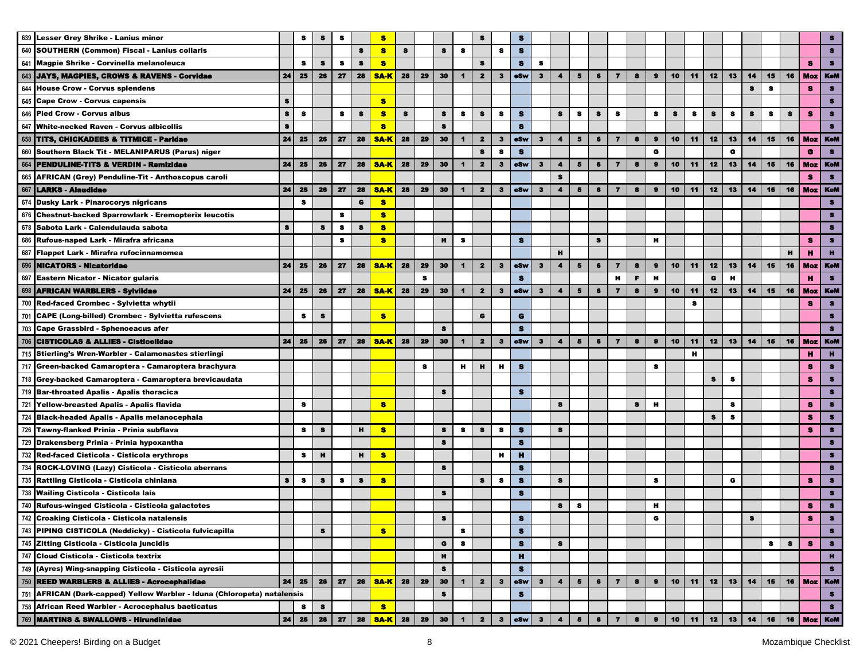|     | 639 Lesser Grey Shrike - Lanius minor                                    |           | s            |    | 8         |           | s                    |           |           |                 |                      |                         |                |                     |              |                         |                         |                |                         |           |                |           |         |    |              |                |    |           |                |                |
|-----|--------------------------------------------------------------------------|-----------|--------------|----|-----------|-----------|----------------------|-----------|-----------|-----------------|----------------------|-------------------------|----------------|---------------------|--------------|-------------------------|-------------------------|----------------|-------------------------|-----------|----------------|-----------|---------|----|--------------|----------------|----|-----------|----------------|----------------|
|     | 640 SOUTHERN (Common) Fiscal - Lanius collaris                           |           |              |    |           | s         | s                    | s         |           | 8               | s                    |                         | s              | $\bullet$           |              |                         |                         |                |                         |           |                |           |         |    |              |                |    |           |                | s              |
|     | 641 Magpie Shrike - Corvinella melanoleuca                               |           | s            | s  | $\bullet$ | s         | s                    |           |           |                 |                      | $\bullet$               |                | $\bullet$           | $\bullet$    |                         |                         |                |                         |           |                |           |         |    |              |                |    |           | я              | $\bullet$      |
|     | 643 JAYS, MAGPIES, CROWS & RAVENS - Corvidae                             | 24        | 25           | 26 | 27        | 28        | <b>SA-K</b>          | 28        | 29        | 30              | $\blacktriangleleft$ | $\overline{\mathbf{2}}$ | $\mathbf{3}$   | <b>eSw</b>          | $\mathbf{3}$ | $\blacktriangleleft$    | $\overline{\mathbf{5}}$ | 6              | $\overline{7}$          | 8         | $\bullet$      | 10        | 11      | 12 | 13           | 14             | 15 | 16        | <b>Moz</b> KeM |                |
|     | 644 House Crow - Corvus splendens                                        |           |              |    |           |           |                      |           |           |                 |                      |                         |                |                     |              |                         |                         |                |                         |           |                |           |         |    |              | S              | s  |           | s              | $\bullet$      |
|     | 645 Cape Crow - Corvus capensis                                          | s         |              |    |           |           | <b>S</b>             |           |           |                 |                      |                         |                |                     |              |                         |                         |                |                         |           |                |           |         |    |              |                |    |           |                | s              |
|     | 646 Pied Crow - Corvus albus                                             | $\bullet$ | 8            |    | 8         | $\bullet$ | 8                    | $\bullet$ |           | $\bullet$       | s                    | $\bullet$               | s              | $\bullet$           |              | $\bullet$               | 8                       | $\bullet$      | s                       |           | 8              | $\bullet$ | $\bf s$ | s  | s            | $\mathbf s$    | s  | s         | 8              | $\bullet$      |
| 647 | <b>White-necked Raven - Corvus albicollis</b>                            | $\bullet$ |              |    |           |           | 8                    |           |           | $\bullet$       |                      |                         |                | $\bullet$           |              |                         |                         |                |                         |           |                |           |         |    |              |                |    |           |                |                |
|     | 658 TITS, CHICKADEES & TITMICE - Paridae                                 | 24        | 25           | 26 | 27        | 28        | <b>SA-K</b>          | 28        | 29        | 30              | $\mathbf{1}$         | $\overline{\mathbf{2}}$ | $\mathbf{3}$   | eSw                 | $\mathbf{3}$ | $\blacktriangleleft$    | 5                       | 6              | $\overline{ }$          | 8         | $\bullet$      | 10        | 11      | 12 | 13           | 14             | 15 | 16        |                | Moz   KeM      |
|     | 660 Southern Black Tit - MELANIPARUS (Parus) niger                       |           |              |    |           |           |                      |           |           |                 |                      | $\bullet$               | $\bullet$      | $\bullet$           |              |                         |                         |                |                         |           | G              |           |         |    | G            |                |    |           | G              | $\bullet$      |
|     | 664 PENDULINE-TITS & VERDIN - Remizidae                                  | 24        | 25           | 26 | 27        | 28        | <b>SA-K</b>          | 28        | 29        | 30              | $\blacksquare$       | $\overline{\mathbf{2}}$ | $\mathbf{3}$   | eSw                 | $\mathbf{3}$ | $\blacktriangleleft$    | 5                       | 6              | $\overline{ }$          | 8         | $\bullet$      | 10        | 11      | 12 | 13           | 14             | 15 | 16        | <b>Moz</b>     | KoM            |
|     | 665 AFRICAN (Grey) Penduline-Tit - Anthoscopus caroli                    |           |              |    |           |           |                      |           |           |                 |                      |                         |                |                     |              | $\bullet$               |                         |                |                         |           |                |           |         |    |              |                |    |           | s              | $\bullet$      |
| 667 | <b>LARKS - Alaudidae</b>                                                 | 24        | 25           | 26 | 27        | 28        | <b>SA-K</b>          | 28        | 29        | 30 <sub>1</sub> | $\mathbf{1}$         | $\overline{\mathbf{2}}$ | $\mathbf{3}$   | oSw                 | $\mathbf{3}$ | $\blacktriangleleft$    | 5                       | $\bullet$      | $\overline{7}$          | 8         | $\bullet$      | 10        | 11      | 12 | 13           | 14             | 15 | 16        | Moz KeM        |                |
|     | 674 Dusky Lark - Pinarocorys nigricans                                   |           | $\bullet$    |    |           | G         | s.                   |           |           |                 |                      |                         |                |                     |              |                         |                         |                |                         |           |                |           |         |    |              |                |    |           |                | я              |
|     | 676 Chestnut-backed Sparrowlark - Eremopterix leucotis                   |           |              |    | s         |           | s.                   |           |           |                 |                      |                         |                |                     |              |                         |                         |                |                         |           |                |           |         |    |              |                |    |           |                | я              |
| 678 | Sabota Lark - Calendulauda sabota                                        | $\bullet$ |              | 8  | s         | s         | s.                   |           |           |                 |                      |                         |                |                     |              |                         |                         |                |                         |           |                |           |         |    |              |                |    |           |                | $\bullet$      |
|     | 686 Rufous-naped Lark - Mirafra africana                                 |           |              |    | 8         |           | s.                   |           |           | H.              | 8                    |                         |                | $\bullet$           |              |                         |                         | 8              |                         |           | н              |           |         |    |              |                |    |           | s              | $\bullet$      |
| 687 | Flappet Lark - Mirafra rufocinnamomea                                    |           |              |    |           |           |                      |           |           |                 |                      |                         |                |                     |              | н                       |                         |                |                         |           |                |           |         |    |              |                |    | н         | н              | $\mathbf{H}$   |
| 696 | <b>NICATORS - Nicatoridae</b>                                            | 24        | 25           | 26 | 27        | 28        | <b>SA-K</b>          | 28        | 29        | 30              | $\blacksquare$       | $\overline{\mathbf{2}}$ | $\mathbf{3}$   | eSw                 | $\mathbf{3}$ | $\blacktriangleleft$    | 5                       | 6              | $\overline{\mathbf{z}}$ | 8         | $\bullet$      | 10        | 11      | 12 | 13           | 14             | 15 | 16        | <b>Moz</b>     | <b>KeM</b>     |
|     | 697 Eastern Nicator - Nicator gularis                                    |           |              |    |           |           |                      |           | $\bullet$ |                 |                      |                         |                | $\bullet$           |              |                         |                         |                | н                       | F.        | $\mathbf H$    |           |         | G  | $\mathbf{H}$ |                |    |           | н              | $\bullet$      |
|     |                                                                          |           |              | 26 |           | 28        | <b>SA-K</b>          | 28        |           |                 |                      | $\mathbf{2}$            |                |                     |              | $\blacktriangleleft$    |                         | 6              |                         | 8         | $\bullet$      |           |         | 12 |              |                |    |           |                |                |
| 698 | <b>AFRICAN WARBLERS - Sylvildae</b>                                      | 24        | 25           |    | 27        |           |                      |           | 29        | 30              | $\blacktriangleleft$ |                         | $\mathbf{3}$   | eSw                 | $\mathbf{3}$ |                         | 5                       |                | $\overline{7}$          |           |                | 10        | 11      |    | 13           | 14             | 15 | 16        | <b>Moz</b>     | <b>KeM</b>     |
|     | 700 Red-faced Crombec - Sylvietta whytii                                 |           |              |    |           |           |                      |           |           |                 |                      |                         |                |                     |              |                         |                         |                |                         |           |                |           | s       |    |              |                |    |           | s              | $\bullet$      |
|     | 701 CAPE (Long-billed) Crombec - Sylvietta rufescens                     |           | s            | s  |           |           | s.                   |           |           |                 |                      | $\bullet$               |                | G                   |              |                         |                         |                |                         |           |                |           |         |    |              |                |    |           |                | s              |
|     | 703 Cape Grassbird - Sphenoeacus afer                                    |           |              |    |           |           |                      |           |           | <b>S</b>        |                      |                         |                | $\bullet$           |              |                         |                         |                |                         |           |                |           |         |    |              |                |    |           |                | З              |
|     | 706 CISTICOLAS & ALLIES - Cisticolidae                                   | 24        | 25           | 26 | 27        | 28        | <b>SA-K</b>          | 28        | 29        | 30              | $\blacktriangleleft$ | $\overline{\mathbf{2}}$ | $\mathbf{3}$   | <b>eSw</b>          | 3            | $\blacktriangleleft$    | 5                       | 6              | $\overline{\mathbf{z}}$ | 8         | $\bullet$      | 10        | 11      | 12 | 13           | 14             | 15 | 16        | <b>Moz</b> KeM |                |
|     | 715 Stierling's Wren-Warbler - Calamonastes stierlingi                   |           |              |    |           |           |                      |           |           |                 |                      |                         |                |                     |              |                         |                         |                |                         |           |                |           | н       |    |              |                |    |           | н              | $\mathbf{H}$   |
|     | 717 Green-backed Camaroptera - Camaroptera brachyura                     |           |              |    |           |           |                      |           | 8         |                 | н                    | н                       | н              | $\bullet$           |              |                         |                         |                |                         |           | s              |           |         |    |              |                |    |           | 8              | $\bullet$      |
|     | 718 Grey-backed Camaroptera - Camaroptera brevicaudata                   |           |              |    |           |           |                      |           |           |                 |                      |                         |                |                     |              |                         |                         |                |                         |           |                |           |         | s  | s            |                |    |           | 8              | $\bullet$      |
|     | 719 Bar-throated Apalis - Apalis thoracica                               |           |              |    |           |           |                      |           |           | $\bullet$       |                      |                         |                | $\bullet$           |              |                         |                         |                |                         |           |                |           |         |    |              |                |    |           |                | $\bullet$      |
|     | 721 Yellow-breasted Apalis - Apalis flavida                              |           | 8            |    |           |           | 8                    |           |           |                 |                      |                         |                |                     |              | $\bullet$               |                         |                |                         | $\bullet$ | н              |           |         |    | s            |                |    |           | я              | $\bullet$      |
|     | 724 Black-headed Apalis - Apalis melanocephala                           |           |              |    |           |           |                      |           |           |                 |                      |                         |                |                     |              |                         |                         |                |                         |           |                |           |         | s  | s            |                |    |           | я              | $\bullet$      |
|     | 726 Tawny-flanked Prinia - Prinia subflava                               |           | s.           | 8  |           | н         | 8                    |           |           | $\bullet$       | 8                    | s                       | s              | 8                   |              | s                       |                         |                |                         |           |                |           |         |    |              |                |    |           | я              | s              |
|     | 729 Drakensberg Prinia - Prinia hypoxantha                               |           |              |    |           |           |                      |           |           | $\bullet$       |                      |                         |                | $\bullet$           |              |                         |                         |                |                         |           |                |           |         |    |              |                |    |           |                | 8              |
| 732 | Red-faced Cisticola - Cisticola erythrops                                |           | $\bullet$    | н  |           | H.        | 8                    |           |           |                 |                      |                         | н              | н                   |              |                         |                         |                |                         |           |                |           |         |    |              |                |    |           |                | s.             |
|     | 734 ROCK-LOVING (Lazy) Cisticola - Cisticola aberrans                    |           |              |    |           |           |                      |           |           | $\bullet$       |                      |                         |                | s                   |              |                         |                         |                |                         |           |                |           |         |    |              |                |    |           |                | 8              |
|     | 735 Rattling Cisticola - Cisticola chiniana                              | $\bullet$ | $\bullet$    | s  | $\bullet$ | s         | s                    |           |           |                 |                      | $\bullet$               | $\bullet$      | s                   |              | s                       |                         |                |                         |           | $\bullet$      |           |         |    | G            |                |    |           | s              | 8              |
| 738 | <b>Wailing Cisticola - Cisticola lais</b>                                |           |              |    |           |           |                      |           |           | $\bullet$       |                      |                         |                | $\bullet$           |              |                         |                         |                |                         |           |                |           |         |    |              |                |    |           |                | $\bullet$      |
|     | 740 Rufous-winged Cisticola - Cisticola galactotes                       |           |              |    |           |           |                      |           |           |                 |                      |                         |                |                     |              | $\bullet$               | 8                       |                |                         |           | н              |           |         |    |              |                |    |           | s              | $\bullet$      |
|     | 742 Croaking Cisticola - Cisticola natalensis                            |           |              |    |           |           |                      |           |           | s               |                      |                         |                | -5                  |              |                         |                         |                |                         |           | G              |           |         |    |              | ъ              |    |           | ъ              |                |
|     | 743 PIPING CISTICOLA (Neddicky) - Cisticola fulvicapilla                 |           |              | 8  |           |           | s                    |           |           |                 | s                    |                         |                | $\mathbf s$         |              |                         |                         |                |                         |           |                |           |         |    |              |                |    |           |                | $\bullet$      |
|     | 745 Zitting Cisticola - Cisticola juncidis                               |           |              |    |           |           |                      |           |           | G               | -8                   |                         |                | <b>S</b>            |              | 8                       |                         |                |                         |           |                |           |         |    |              |                | 8  | $\bullet$ | s              | 8              |
|     | 747 Cloud Cisticola - Cisticola textrix                                  |           |              |    |           |           |                      |           |           | н               |                      |                         |                | н                   |              |                         |                         |                |                         |           |                |           |         |    |              |                |    |           |                | н              |
|     | 749 (Ayres) Wing-snapping Cisticola - Cisticola ayresii                  |           |              |    |           |           |                      |           |           | 8               |                      |                         |                | s                   |              |                         |                         |                |                         |           |                |           |         |    |              |                |    |           |                | $\bullet$      |
|     | 750 REED WARBLERS & ALLIES - Acrocephalidae                              | 24        | 25           | 26 | 27        | 28        | <b>SA-K</b>          | 28        | 29        | 30              | $\blacksquare$       | $\mathbf{2}$            | $\mathbf{3}$   | eSw                 | 3            | $\blacktriangleleft$    | 5                       | 6              | $\overline{\mathbf{z}}$ | 8         | $\pmb{9}$      | 10        | 11      | 12 | 13           | 14             | 15 | 16        |                | <b>Moz</b> KeM |
|     |                                                                          |           |              |    |           |           |                      |           |           | $\bullet$       |                      |                         |                | $\mathbf s$         |              |                         |                         |                |                         |           |                |           |         |    |              |                |    |           |                | $\bullet$      |
|     | 751 AFRICAN (Dark-capped) Yellow Warbler - Iduna (Chloropeta) natalensis |           |              |    |           |           |                      |           |           |                 |                      |                         |                |                     |              |                         |                         |                |                         |           |                |           |         |    |              |                |    |           |                | $\bullet$      |
|     | 758 African Reed Warbler - Acrocephalus baeticatus                       |           | s.           | s  |           |           | <b>S</b>             |           |           |                 |                      |                         |                |                     |              |                         |                         |                |                         |           |                |           |         |    |              |                |    |           |                |                |
|     | 769 MARTINS & SWALLOWS - Hirundinidae                                    |           | $24 \mid 25$ | 26 |           | 27 28     | <b>SA-K</b> 28 29 30 |           |           |                 | $\blacksquare$       | $\mathbf{2}$            | 3 <sup>7</sup> | $ \bullet$ Sw $ $ 3 |              | $\overline{\mathbf{4}}$ | 5 <sub>1</sub>          | 6 <sub>1</sub> | $\overline{7}$          | $\bullet$ | 9 <sup>1</sup> | 10        | 11      | 12 |              | $13$   14   15 |    |           | 16   Moz   KeM |                |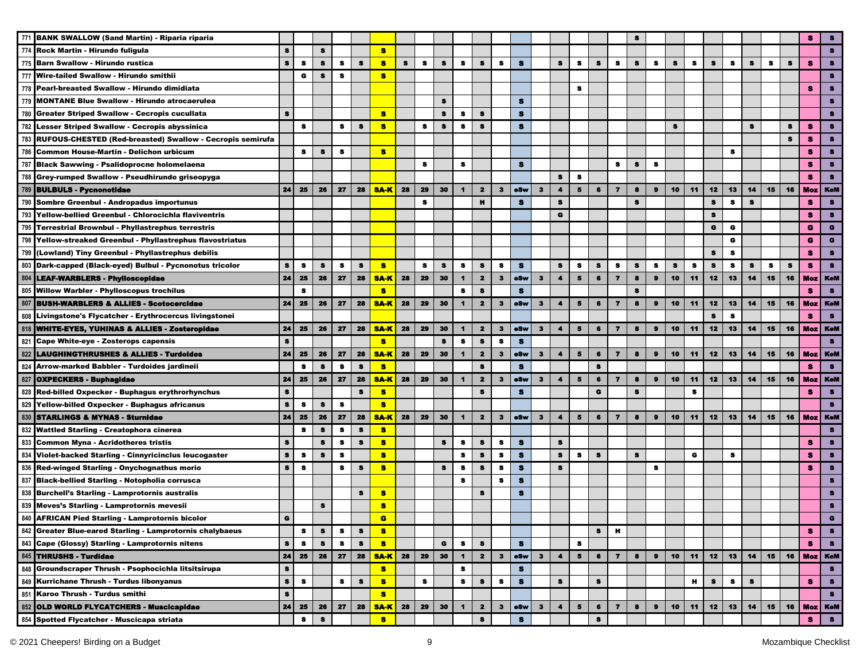|     | 771 BANK SWALLOW (Sand Martin) - Riparia riparia                                                                                                                                                                                              |           |           |           |           |           |             |    |           |           |                      |                         |                |            |              |                      |                          |           |                         |           |           |                 |             |           |           |           |    |    |                |                |
|-----|-----------------------------------------------------------------------------------------------------------------------------------------------------------------------------------------------------------------------------------------------|-----------|-----------|-----------|-----------|-----------|-------------|----|-----------|-----------|----------------------|-------------------------|----------------|------------|--------------|----------------------|--------------------------|-----------|-------------------------|-----------|-----------|-----------------|-------------|-----------|-----------|-----------|----|----|----------------|----------------|
|     | 774 Rock Martin - Hirundo fuligula                                                                                                                                                                                                            | s         |           | s         |           |           | $\bullet$   |    |           |           |                      |                         |                |            |              |                      |                          |           |                         |           |           |                 |             |           |           |           |    |    |                | $\bullet$      |
|     | 775 Barn Swallow - Hirundo rustica                                                                                                                                                                                                            | s         | $\bullet$ | s         | s         | $\bullet$ | s           | s  | s         | 8         | s                    | S                       | s              | s          |              | s                    | s                        | s         | s                       | $\bullet$ | s         | s               | s           | s         | s         | s         | s  | S  | s              | $\bullet$      |
|     | 777 Wire-tailed Swallow - Hirundo smithii                                                                                                                                                                                                     |           | G         | s         | s         |           | s           |    |           |           |                      |                         |                |            |              |                      |                          |           |                         |           |           |                 |             |           |           |           |    |    |                | $\bullet$      |
| 778 | Pearl-breasted Swallow - Hirundo dimidiata                                                                                                                                                                                                    |           |           |           |           |           |             |    |           |           |                      |                         |                |            |              |                      | 8                        |           |                         |           |           |                 |             |           |           |           |    |    | s              | $\bullet$      |
| 779 | <b>MONTANE Blue Swallow - Hirundo atrocaerulea</b>                                                                                                                                                                                            |           |           |           |           |           |             |    |           | $\bullet$ |                      |                         |                | s          |              |                      |                          |           |                         |           |           |                 |             |           |           |           |    |    |                | 8              |
|     | 780 Greater Striped Swallow - Cecropis cucullata                                                                                                                                                                                              | $\bullet$ |           |           |           |           | 8           |    |           | $\bullet$ | s                    | $\bullet$               |                | $\bullet$  |              |                      |                          |           |                         |           |           |                 |             |           |           |           |    |    |                | з              |
|     | 782 Lesser Striped Swallow - Cecropis abyssinica                                                                                                                                                                                              |           | s         |           | s         | -8        | 8           |    | 8         | 8         | s                    | s                       |                | $\bullet$  |              |                      |                          |           |                         |           |           | 8               |             |           |           | S         |    | s  | 8              | $\bullet$      |
|     | 783 RUFOUS-CHESTED (Red-breasted) Swallow - Cecropis semirufa                                                                                                                                                                                 |           |           |           |           |           |             |    |           |           |                      |                         |                |            |              |                      |                          |           |                         |           |           |                 |             |           |           |           |    | s  | я              |                |
|     | 786 Common House-Martin - Delichon urbicum                                                                                                                                                                                                    |           | 8         | 8         | 8         |           | 8           |    |           |           |                      |                         |                |            |              |                      |                          |           |                         |           |           |                 |             |           | s         |           |    |    | s              | $\bullet$      |
|     | 787 Black Sawwing - Psalidoprocne holomelaena                                                                                                                                                                                                 |           |           |           |           |           |             |    | $\bullet$ |           | s                    |                         |                | $\bullet$  |              |                      |                          |           | s                       | $\bullet$ | s         |                 |             |           |           |           |    |    | 8              | $\bullet$      |
|     | 788 Grey-rumped Swallow - Pseudhirundo griseopyga                                                                                                                                                                                             |           |           |           |           |           |             |    |           |           |                      |                         |                |            |              | $\bullet$            | $\bullet$                |           |                         |           |           |                 |             |           |           |           |    |    | 8              | $\bullet$      |
|     | 789 BULBULS - Pycnonotidae                                                                                                                                                                                                                    | 24        | 25        | 26        | 27        | 28        | <b>SA-K</b> | 28 | 29        | 30        | $\mathbf{1}$         | $\overline{\mathbf{z}}$ | 3 <sup>2</sup> | oSw        | $\mathbf{3}$ | $\blacktriangleleft$ | 5                        | $\bf{6}$  | $\overline{\mathbf{r}}$ | 8         | $\bullet$ | 10              | 11          | 12        | 13        | 14        | 15 | 16 | Moz I          | <b>KoM</b>     |
|     | 790 Sombre Greenbul - Andropadus importunus                                                                                                                                                                                                   |           |           |           |           |           |             |    | 8         |           |                      | $\mathbf{H}$            |                | $\bullet$  |              | $\bullet$            |                          |           |                         | $\bullet$ |           |                 |             | $\bullet$ | $\bullet$ | $\bullet$ |    |    | s              | $\bullet$      |
|     | 793 Yellow-bellied Greenbul - Chlorocichla flaviventris                                                                                                                                                                                       |           |           |           |           |           |             |    |           |           |                      |                         |                |            |              | G                    |                          |           |                         |           |           |                 |             | $\bullet$ |           |           |    |    | s              | $\bullet$      |
|     | 795 Terrestrial Brownbul - Phyllastrephus terrestris                                                                                                                                                                                          |           |           |           |           |           |             |    |           |           |                      |                         |                |            |              |                      |                          |           |                         |           |           |                 |             | G         | G         |           |    |    | G              | G              |
|     | 798 Yellow-streaked Greenbul - Phyllastrephus flavostriatus                                                                                                                                                                                   |           |           |           |           |           |             |    |           |           |                      |                         |                |            |              |                      |                          |           |                         |           |           |                 |             |           | G         |           |    |    | G              | G              |
| 799 | (Lowland) Tiny Greenbul - Phyllastrephus debilis                                                                                                                                                                                              |           |           |           |           |           |             |    |           |           |                      |                         |                |            |              |                      |                          |           |                         |           |           |                 |             | 8         | 8         |           |    |    | s              | 8              |
|     | 803 Dark-capped (Black-eyed) Bulbul - Pycnonotus tricolor                                                                                                                                                                                     | s         | s         | s         | 8         | 8         | $\bullet$   |    | 8         | 8         | 8                    | 8                       | 8              | s          |              | s                    | 8                        | 8         | 8                       | 8         | 8         | s               | s           | s         | 8         | 8         | 8  | 8  | s.             | $\bullet$      |
|     | 804 LEAF-WARBLERS - Phylloscopidae                                                                                                                                                                                                            | 24        | 25        | 26        | 27        | 28        | <b>SA-K</b> | 28 | 29        | 30        | $\blacktriangleleft$ | $\mathbf{2}$            | $\mathbf{3}$   | eSw        | $\mathbf{3}$ | $\blacktriangleleft$ | $5\phantom{1}$           | 6         | $\overline{\mathbf{z}}$ | 8         | $\pmb{9}$ | 10              | 11          | 12        | 13        | 14        | 15 | 16 | <b>Moz</b>     | <b>KeM</b>     |
|     | 805 Willow Warbler - Phylloscopus trochilus                                                                                                                                                                                                   |           | 8         |           |           |           | s           |    |           |           | s                    | $\bullet$               |                | s          |              |                      |                          |           |                         | 8         |           |                 |             |           |           |           |    |    | s              | 8              |
|     | 807 BUSH-WARBLERS & ALLIES - Scotocercidae                                                                                                                                                                                                    | 24        | 25        | 26        | 27        | 28        | <b>SA-K</b> | 28 | 29        | 30        | $\blacksquare$       | $\overline{\mathbf{2}}$ | $\mathbf{3}$   | <b>eSw</b> | $\mathbf{3}$ | $\blacktriangleleft$ | 5                        | 6         | $\overline{7}$          | 8         | $\bullet$ | 10              | 11          | 12        | 13        | 14        | 15 | 16 |                | Moz   KeM      |
| 808 | Livingstone's Flycatcher - Erythrocercus livingstonei                                                                                                                                                                                         |           |           |           |           |           |             |    |           |           |                      |                         |                |            |              |                      |                          |           |                         |           |           |                 |             | $\bullet$ | s         |           |    |    | s              | $\bullet$      |
|     | 818 WHITE-EYES, YUHINAS & ALLIES - Zosteropidae                                                                                                                                                                                               | 24        | 25        | 26        | 27        | 28        | <b>SA-K</b> | 28 | 29        | 30        | $\mathbf 1$          | $\overline{\mathbf{2}}$ | $\mathbf{3}$   | <b>eSw</b> | $\mathbf{3}$ | $\blacktriangleleft$ | 5                        | $\bullet$ | $\overline{\mathbf{z}}$ | 8         | $\bullet$ | 10              | 11          | 12        | 13        | 14        | 15 | 16 | <b>Moz</b> KeM |                |
|     | 821 Cape White-eye - Zosterops capensis                                                                                                                                                                                                       | s         |           |           |           |           | <b>S</b>    |    |           | s         | s                    | s                       | s              | s          |              |                      |                          |           |                         |           |           |                 |             |           |           |           |    |    |                | s              |
| 822 | LAUGHINGTHRUSHES & ALLIES - Turdoides                                                                                                                                                                                                         | 24        | 25        | 26        | 27        | 28        | <b>SA-K</b> | 28 | 29        | 30        | $\blacktriangleleft$ | $\mathbf{2}$            | $\mathbf{3}$   | eSw        | 3            | $\blacktriangleleft$ | 5                        | 6         | $\overline{\mathbf{z}}$ | 8         | $\pmb{9}$ | 10              | 11          | 12        | 13        | 14        | 15 | 16 |                | Moz   KeM      |
|     | 824 Arrow-marked Babbler - Turdoides jardineii                                                                                                                                                                                                |           | s         | 8         | s         | $\bullet$ | $\bullet$   |    |           |           |                      | $\bullet$               |                | s          |              |                      |                          | $\bullet$ |                         |           |           |                 |             |           |           |           |    |    | s              | $\bullet$      |
|     | 827 OXPECKERS - Buphagidae                                                                                                                                                                                                                    | 24        | 25        | 26        | 27        | 28        | <b>SA-K</b> | 28 | 29        | 30        | $\blacksquare$       | $\mathbf{2}$            | $\mathbf{3}$   | eSw        | 3            | $\blacktriangleleft$ | $\overline{\phantom{a}}$ | 6         | $\overline{7}$          | 8         | $\bullet$ | 10              | 11          | 12        | 13        | 14        | 15 | 16 |                | <b>Moz</b> KeM |
|     | 828 Red-billed Oxpecker - Buphagus erythrorhynchus                                                                                                                                                                                            | $\bullet$ |           |           |           | s         | s           |    |           |           |                      | s                       |                | s          |              |                      |                          | $\bullet$ |                         | $\bullet$ |           |                 | $\mathbf s$ |           |           |           |    |    | s              | $\bullet$      |
|     | 829 Yellow-billed Oxpecker - Buphagus africanus                                                                                                                                                                                               | $\bullet$ | 8         | $\bullet$ | 8         |           | 8           |    |           |           |                      |                         |                |            |              |                      |                          |           |                         |           |           |                 |             |           |           |           |    |    |                | $\bullet$      |
|     | 830 STARLINGS & MYNAS - Sturnidae                                                                                                                                                                                                             | 24        | 25        | 26        | 27        | 28        | <b>SA-K</b> | 28 | 29        | 30        | $\mathbf{1}$         | $\overline{\mathbf{2}}$ | $\mathbf{3}$   | eSw        | $\mathbf{3}$ | $\blacktriangleleft$ | $\overline{5}$           | $\bullet$ | $\overline{\mathbf{z}}$ | 8         | $\bullet$ | 10              | 11          | 12        | 13        | 14        | 15 | 16 |                | Moz   KeM      |
|     | 832 Wattled Starling - Creatophora cinerea                                                                                                                                                                                                    |           | s         | 8         | s         | $\bullet$ | $\bullet$   |    |           |           |                      |                         |                |            |              |                      |                          |           |                         |           |           |                 |             |           |           |           |    |    |                | $\bullet$      |
|     | 833 Common Myna - Acridotheres tristis                                                                                                                                                                                                        | s         |           | $\bullet$ | 8         | $\bullet$ | 8           |    |           | 8         | s                    | $\bullet$               | s              | s          |              | $\bullet$            |                          |           |                         |           |           |                 |             |           |           |           |    |    | я              | 8              |
| 834 | Violet-backed Starling - Cinnyricinclus leucogaster                                                                                                                                                                                           | $\bullet$ | - 8       | 8         | $\bullet$ |           | 8           |    |           |           | s                    | $\bullet$               | $\bullet$      | $\bullet$  |              | $\bullet$            | $\bullet$                | $\bullet$ |                         | $\bullet$ |           |                 | G           |           | s         |           |    |    | я              | $\bullet$      |
| 836 | Red-winged Starling - Onychognathus morio                                                                                                                                                                                                     | $\bullet$ | $\bullet$ |           | s         | -8        | s.          |    |           | $\bullet$ | s                    | $\bullet$               | s              | s          |              | s                    |                          |           |                         |           | 8         |                 |             |           |           |           |    |    | s              | $\bullet$      |
|     | 837 Black-bellied Starling - Notopholia corrusca                                                                                                                                                                                              |           |           |           |           |           |             |    |           |           | $\bf s$              |                         | $\bf s$        | s          |              |                      |                          |           |                         |           |           |                 |             |           |           |           |    |    |                | $\bullet$      |
| 838 | <b>Burchell's Starling - Lamprotornis australis</b>                                                                                                                                                                                           |           |           |           |           | 8         | s           |    |           |           |                      | $\bullet$               |                | s          |              |                      |                          |           |                         |           |           |                 |             |           |           |           |    |    |                | $\bullet$      |
|     | 839 Meves's Starling - Lamprotornis mevesii                                                                                                                                                                                                   |           |           |           |           |           | s           |    |           |           |                      |                         |                |            |              |                      |                          |           |                         |           |           |                 |             |           |           |           |    |    |                | $\bullet$      |
|     | 840 AFRICAN Pied Starling - Lamprotornis bicolor                                                                                                                                                                                              | G         |           |           |           |           | G           |    |           |           |                      |                         |                |            |              |                      |                          |           |                         |           |           |                 |             |           |           |           |    |    |                | G              |
|     | 842 Greater Blue-eared Starling - Lamprotornis chalybaeus                                                                                                                                                                                     |           | 8         | s         | 8         | 8         | $\bullet$   |    |           |           |                      |                         |                |            |              |                      |                          | $\bullet$ | H.                      |           |           |                 |             |           |           |           |    |    | s.             | $\bullet$      |
|     |                                                                                                                                                                                                                                               | s         | s         | 8         | s         | s         | s           |    |           | G         | s                    | s                       |                | s          |              |                      | 8                        |           |                         |           |           |                 |             |           |           |           |    |    | s              | $\bullet$      |
|     |                                                                                                                                                                                                                                               | 24        | 25        | 26        | 27        | 28        | <b>SAK</b>  | 28 | 29        | 30        | $\blacksquare$       | $\mathbf{2}$            | 3              | eSw        | $\mathbf{3}$ | $\blacktriangleleft$ | 5                        | 6         | $\overline{7}$          | $\bullet$ | $\bullet$ | 10 <sup>1</sup> | 11          | 12        | 13        | 14        | 15 | 16 | <b>Moz</b> KeM |                |
|     | 843 Cape (Glossy) Starling - Lamprotornis nitens<br>845 THRUSHS - Turdidae<br>848 Groundscraper Thrush - Psophocichia litsitsirupa<br>849 Kurrichane Thrush - Turdus libonyanus<br>851 Karoo Thrush - Turdus smithi<br>852 OLD WORLD FLYCATCH | $\bullet$ |           |           |           |           | <b>S</b>    |    |           |           | s                    |                         |                | <b>S</b>   |              |                      |                          |           |                         |           |           |                 |             |           |           |           |    |    |                | $\bullet$      |
|     |                                                                                                                                                                                                                                               | $\bullet$ | s         |           | s         | s         | <b>S</b>    |    | 8         |           | s                    | s                       | 8              | s          |              | s                    |                          | s         |                         |           |           |                 | н           | s         | 8         | 8         |    |    | s.             | $\bullet$      |
|     |                                                                                                                                                                                                                                               | $\bullet$ |           |           |           |           | <b>S</b>    |    |           |           |                      |                         |                |            |              |                      |                          |           |                         |           |           |                 |             |           |           |           |    |    |                | $\bullet$      |
|     |                                                                                                                                                                                                                                               | 24        | 25        | 26        | 27        | 28        | <b>SA-K</b> | 28 | 29        | 30        | $\blacksquare$       | $\mathbf{2}$            | $\mathbf{3}$   | eSw        | $\mathbf{3}$ | $\blacktriangleleft$ | 5                        | $\bullet$ | $\overline{7}$          | 8         | $\bullet$ | 10              | 11          | 12        | 13        | 14        | 15 | 16 |                | Moz   KeM      |
|     | 854 Spotted Flycatcher - Muscicapa striata                                                                                                                                                                                                    |           | s         | $\pmb{s}$ |           |           | 8           |    |           |           |                      | $\mathbf s$             |                | $\bullet$  |              |                      |                          | $\bullet$ |                         |           |           |                 |             |           |           |           |    |    | s              | $\bullet$      |
|     |                                                                                                                                                                                                                                               |           |           |           |           |           |             |    |           |           |                      |                         |                |            |              |                      |                          |           |                         |           |           |                 |             |           |           |           |    |    |                |                |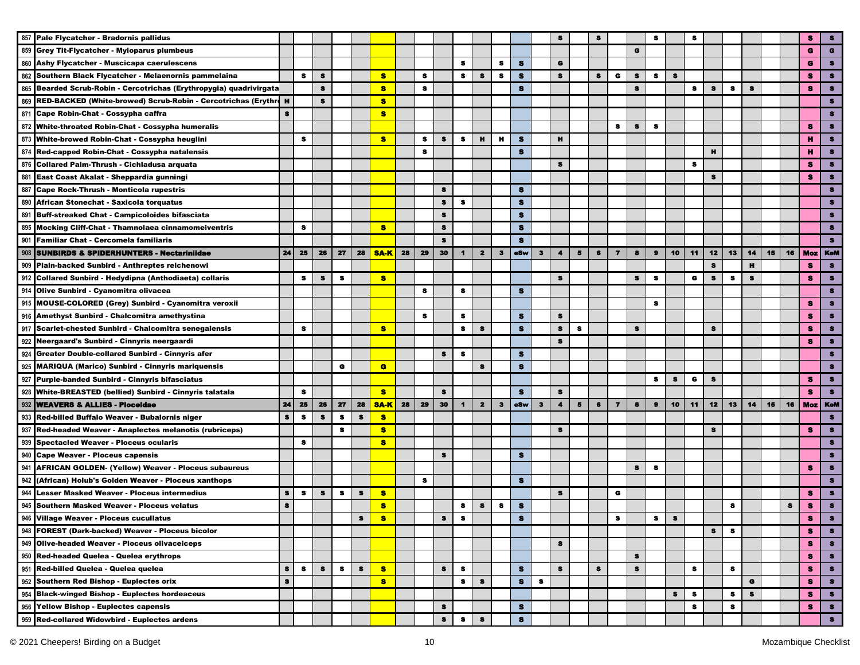| 857 | Pale Flycatcher - Bradornis pallidus                                |           |           |           |    |           |             |    |           |           |                |                         |              |              |              |                      |                |                |                         |           |           |    |           |    |    |    |    |    |            |            |
|-----|---------------------------------------------------------------------|-----------|-----------|-----------|----|-----------|-------------|----|-----------|-----------|----------------|-------------------------|--------------|--------------|--------------|----------------------|----------------|----------------|-------------------------|-----------|-----------|----|-----------|----|----|----|----|----|------------|------------|
| 859 | <b>Grey Tit-Flycatcher - Myioparus plumbeus</b>                     |           |           |           |    |           |             |    |           |           |                |                         |              |              |              |                      |                |                |                         | G         |           |    |           |    |    |    |    |    | G          | $\bullet$  |
| 860 | Ashy Flycatcher - Muscicapa caerulescens                            |           |           |           |    |           |             |    |           |           | s              |                         | s            | s            |              | G                    |                |                |                         |           |           |    |           |    |    |    |    |    | G          |            |
| 862 | Southern Black Flycatcher - Melaenornis pammelaina                  |           | $\bullet$ | $\bullet$ |    |           | 8           |    | s         |           | s              | s                       | s            | s            |              | s                    |                | 8              | G                       | $\bullet$ | s.        | s  |           |    |    |    |    |    | з          | s          |
| 865 | Bearded Scrub-Robin - Cercotrichas (Erythropygia) quadrivirgata     |           |           | $\bullet$ |    |           | $\bullet$   |    | s         |           |                |                         |              | s            |              |                      |                |                |                         | s         |           |    | s         | s  | s  | s  |    |    | я          | я          |
|     | 869 RED-BACKED (White-browed) Scrub-Robin - Cercotrichas (Erythre H |           |           | $\bullet$ |    |           | $\bullet$   |    |           |           |                |                         |              |              |              |                      |                |                |                         |           |           |    |           |    |    |    |    |    |            | я          |
|     | 871 Cape Robin-Chat - Cossypha caffra                               | s         |           |           |    |           | 8           |    |           |           |                |                         |              |              |              |                      |                |                |                         |           |           |    |           |    |    |    |    |    |            | я          |
|     | 872 White-throated Robin-Chat - Cossypha humeralis                  |           |           |           |    |           |             |    |           |           |                |                         |              |              |              |                      |                |                | 8                       | $\bullet$ | s         |    |           |    |    |    |    |    | я          |            |
| 873 | White-browed Robin-Chat - Cossypha heuglini                         |           | s         |           |    |           | $\bullet$   |    | s         | s         | 8              | $\mathbf{H}$            | н            | $\bullet$    |              | н                    |                |                |                         |           |           |    |           |    |    |    |    |    |            |            |
| 874 | Red-capped Robin-Chat - Cossypha natalensis                         |           |           |           |    |           |             |    | $\bullet$ |           |                |                         |              | $\bullet$    |              |                      |                |                |                         |           |           |    |           | н  |    |    |    |    |            |            |
|     | 876 Collared Palm-Thrush - Cichladusa arquata                       |           |           |           |    |           |             |    |           |           |                |                         |              |              |              | s                    |                |                |                         |           |           |    | $\bullet$ |    |    |    |    |    | я          | $\bullet$  |
|     | 881 East Coast Akalat - Sheppardia gunningi                         |           |           |           |    |           |             |    |           |           |                |                         |              |              |              |                      |                |                |                         |           |           |    |           | s  |    |    |    |    | s          | s.         |
|     | 887 Cape Rock-Thrush - Monticola rupestris                          |           |           |           |    |           |             |    |           | s         |                |                         |              | s            |              |                      |                |                |                         |           |           |    |           |    |    |    |    |    |            | я          |
|     | 890 African Stonechat - Saxicola torquatus                          |           |           |           |    |           |             |    |           | $\bullet$ | -8             |                         |              | s            |              |                      |                |                |                         |           |           |    |           |    |    |    |    |    |            |            |
| 891 | <b>Buff-streaked Chat - Campicoloides bifasciata</b>                |           |           |           |    |           |             |    |           | $\bullet$ |                |                         |              | $\bullet$    |              |                      |                |                |                         |           |           |    |           |    |    |    |    |    |            |            |
| 895 | <b>Mocking Cliff-Chat - Thamnolaea cinnamomeiventris</b>            |           | 8         |           |    |           | s           |    |           | 8         |                |                         |              | s            |              |                      |                |                |                         |           |           |    |           |    |    |    |    |    |            |            |
| 901 | <b>Familiar Chat - Cercomela familiaris</b>                         |           |           |           |    |           |             |    |           | $\bullet$ |                |                         |              | s            |              |                      |                |                |                         |           |           |    |           |    |    |    |    |    |            |            |
| 908 | <b>SUNBIRDS &amp; SPIDERHUNTERS - Nectariniidae</b>                 | 24        | 25        | 26        | 27 | 28        | <b>SAK</b>  | 28 | 29        | 30        | $\blacksquare$ | $\mathbf{2}$            | $\mathbf{3}$ | eSw          | з            | $\blacktriangleleft$ | 5              | 6              | $\overline{\mathbf{z}}$ | 8         | $\bullet$ | 10 | 11        | 12 | 13 | 14 | 15 | 16 | <b>Moz</b> | <b>KeM</b> |
| 909 | Plain-backed Sunbird - Anthreptes reichenowi                        |           |           |           |    |           |             |    |           |           |                |                         |              |              |              |                      |                |                |                         |           |           |    |           | s  |    | н  |    |    | s          | 8          |
| 912 | Collared Sunbird - Hedydipna (Anthodiaeta) collaris                 |           | 8         | s         | s  |           | s           |    |           |           |                |                         |              |              |              | 8                    |                |                |                         | 8         | 8         |    | G         | 8  | 8  | 8  |    |    | s          | 8          |
|     | 914 Olive Sunbird - Cyanomitra olivacea                             |           |           |           |    |           |             |    | 8         |           | 8              |                         |              | s            |              |                      |                |                |                         |           |           |    |           |    |    |    |    |    |            | 8          |
|     | 915 MOUSE-COLORED (Grey) Sunbird - Cyanomitra veroxii               |           |           |           |    |           |             |    |           |           |                |                         |              |              |              |                      |                |                |                         |           | 8         |    |           |    |    |    |    |    | s          | я          |
|     | 916 Amethyst Sunbird - Chalcomitra amethystina                      |           |           |           |    |           |             |    | 8         |           | s              |                         |              | $\bullet$    |              | $\bullet$            |                |                |                         |           |           |    |           |    |    |    |    |    | s          | s          |
| 917 | Scarlet-chested Sunbird - Chalcomitra senegalensis                  |           | s         |           |    |           | <b>S</b>    |    |           |           | s              | S                       |              | $\bullet$    |              | $\bullet$            | 8              |                |                         | $\bullet$ |           |    |           | s  |    |    |    |    | s          | я          |
|     | 922 Neergaard's Sunbird - Cinnyris neergaardi                       |           |           |           |    |           |             |    |           |           |                |                         |              |              |              | s                    |                |                |                         |           |           |    |           |    |    |    |    |    | я          |            |
| 924 | Greater Double-collared Sunbird - Cinnyris afer                     |           |           |           |    |           |             |    |           | s         | s              |                         |              | s            |              |                      |                |                |                         |           |           |    |           |    |    |    |    |    |            |            |
| 925 | <b>MARIQUA (Marico) Sunbird - Cinnyris mariquensis</b>              |           |           |           | G  |           | $\bullet$   |    |           |           |                | s                       |              | $\bullet$    |              |                      |                |                |                         |           |           |    |           |    |    |    |    |    |            | $\bullet$  |
| 927 | Purple-banded Sunbird - Cinnyris bifasciatus                        |           |           |           |    |           |             |    |           |           |                |                         |              |              |              |                      |                |                |                         |           | 8         | s  | G         | S  |    |    |    |    | 8          | s          |
|     | 928 White-BREASTED (bellied) Sunbird - Cinnyris talatala            |           | 8         |           |    |           | 8           |    |           | $\bullet$ |                |                         |              | $\mathbf{s}$ |              | $\bullet$            |                |                |                         |           |           |    |           |    |    |    |    |    | 參          | $\bullet$  |
|     | 932 WEAVERS & ALLIES - Ploceldae                                    | 24        | 25        | 26        | 27 | 28        | <b>SA-K</b> | 28 | 29        | 30        | $\blacksquare$ | $\overline{\mathbf{2}}$ | $\mathbf{3}$ | eSw          | $\mathbf{3}$ | $\blacktriangleleft$ | $\overline{5}$ | $6\phantom{1}$ | $\overline{7}$          | 8         | $\bullet$ | 10 | 11        | 12 | 13 | 14 | 15 | 16 | <b>Moz</b> | KoM        |
|     | 933 Red-billed Buffalo Weaver - Bubalornis niger                    | $\bullet$ | $\bullet$ | $\bullet$ | s  | $\bullet$ | s           |    |           |           |                |                         |              |              |              |                      |                |                |                         |           |           |    |           |    |    |    |    |    |            | $\bullet$  |
| 937 | Red-headed Weaver - Anaplectes melanotis (rubriceps)                |           |           |           | s  |           | 8           |    |           |           |                |                         |              |              |              | s                    |                |                |                         |           |           |    |           | s  |    |    |    |    | я          | я          |
| 939 | <b>Spectacled Weaver - Ploceus ocularis</b>                         |           | 8         |           |    |           | 8           |    |           |           |                |                         |              |              |              |                      |                |                |                         |           |           |    |           |    |    |    |    |    |            |            |
| 940 | <b>Cape Weaver - Ploceus capensis</b>                               |           |           |           |    |           |             |    |           | s         |                |                         |              | s            |              |                      |                |                |                         |           |           |    |           |    |    |    |    |    |            |            |
| 941 | <b>AFRICAN GOLDEN- (Yellow) Weaver - Ploceus subaureus</b>          |           |           |           |    |           |             |    |           |           |                |                         |              |              |              |                      |                |                |                         | $\bullet$ | s         |    |           |    |    |    |    |    | з          |            |
| 942 | (African) Holub's Golden Weaver - Ploceus xanthops                  |           |           |           |    |           |             |    | 8         |           |                |                         |              | s            |              |                      |                |                |                         |           |           |    |           |    |    |    |    |    |            | 8          |
| 944 | <b>Lesser Masked Weaver - Ploceus intermedius</b>                   | s         | $\bullet$ | 8         | s  | s         | s           |    |           |           |                |                         |              |              |              | 8                    |                |                | G                       |           |           |    |           |    |    |    |    |    | s          | 8          |
|     | 945 Southern Masked Weaver - Ploceus velatus                        | 8         |           |           |    |           | s           |    |           |           | 8              | $\bullet$               | 8            | s            |              |                      |                |                |                         |           |           |    |           |    | s  |    |    | s  | s          | $\bullet$  |
|     |                                                                     |           |           |           |    |           |             |    |           |           |                |                         |              |              |              |                      |                |                |                         |           |           |    |           |    |    |    |    |    |            |            |
|     | 946 Village Weaver - Ploceus cucullatus                             |           |           |           |    | 8         | s           |    |           | 8         | 8              |                         |              | s,           |              |                      |                |                | 8                       |           | 8         | s  |           |    |    |    |    |    | ε          | 8          |
|     | 948 FOREST (Dark-backed) Weaver - Ploceus bicolor                   |           |           |           |    |           |             |    |           |           |                |                         |              |              |              |                      |                |                |                         |           |           |    |           | s  | 8  |    |    |    | s.         | $\bullet$  |
|     | 949 Olive-headed Weaver - Ploceus olivaceiceps                      |           |           |           |    |           |             |    |           |           |                |                         |              |              |              | 8                    |                |                |                         |           |           |    |           |    |    |    |    |    | s          | $\bullet$  |
|     | 950 Red-headed Quelea - Quelea erythrops                            |           |           |           |    |           |             |    |           |           |                |                         |              |              |              |                      |                |                |                         | s         |           |    |           |    |    |    |    |    | s          | $\bullet$  |
|     | 951 Red-billed Quelea - Quelea quelea                               | 8         | 8         | 8         | 8  | 8         | 8           |    |           | 8         | 8              |                         |              | s            |              | s                    |                | 8              |                         | 8         |           |    | 8         |    | s  |    |    |    | s          | $\bullet$  |
|     | 952 Southern Red Bishop - Euplectes orix                            | s         |           |           |    |           | $\bullet$   |    |           |           | s              | s                       |              | s            | $\bullet$    |                      |                |                |                         |           |           |    |           |    |    | G  |    |    | s          | $\bullet$  |
|     | 954 Black-winged Bishop - Euplectes hordeaceus                      |           |           |           |    |           |             |    |           |           |                |                         |              |              |              |                      |                |                |                         |           |           | s  | s         |    | s  | s  |    |    | s          | $\bullet$  |
|     | 956 Yellow Bishop - Euplectes capensis                              |           |           |           |    |           |             |    |           | s         |                |                         |              | S            |              |                      |                |                |                         |           |           |    | s         |    | s  |    |    |    | s          | $\bullet$  |
|     | 959 Red-collared Widowbird - Euplectes ardens                       |           |           |           |    |           |             |    |           | $\bullet$ | s              | $\pmb{s}$               |              | $\bullet$    |              |                      |                |                |                         |           |           |    |           |    |    |    |    |    |            | $\bullet$  |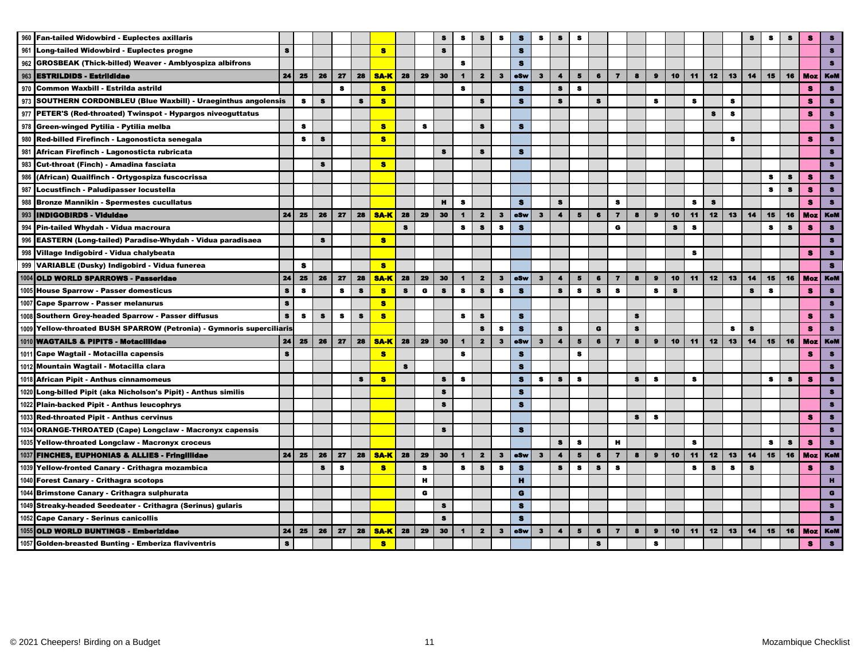|     | 960 Fan-tailed Widowbird - Euplectes axillaris                        |           |           |           |           |              |             |           |           |              | s                    |                         | s            | S            | s            | s                    | s                       |                |                         |           |           |              |           |              |           | s            | я            |    | s            | $\bullet$  |
|-----|-----------------------------------------------------------------------|-----------|-----------|-----------|-----------|--------------|-------------|-----------|-----------|--------------|----------------------|-------------------------|--------------|--------------|--------------|----------------------|-------------------------|----------------|-------------------------|-----------|-----------|--------------|-----------|--------------|-----------|--------------|--------------|----|--------------|------------|
|     | 961 Long-tailed Widowbird - Euplectes progne                          | s         |           |           |           |              | $\bullet$   |           |           | $\mathbf{s}$ |                      |                         |              | $\mathbf{s}$ |              |                      |                         |                |                         |           |           |              |           |              |           |              |              |    |              | s          |
|     | 962 GROSBEAK (Thick-billed) Weaver - Amblyospiza albifrons            |           |           |           |           |              |             |           |           |              | s                    |                         |              | $\mathbf{s}$ |              |                      |                         |                |                         |           |           |              |           |              |           |              |              |    |              |            |
| 963 | <b>IESTRILDIDS - Estriididae</b>                                      | 24        | 25        | 26        | 27        | 28           | <b>SA-K</b> | 28        | 29        | 30           | $\blacktriangleleft$ | $\mathbf{2}$            | $\mathbf{3}$ | eSw          | $\mathbf{3}$ | $\blacktriangleleft$ | 5                       | 6              | $\overline{7}$          | 8         | $\bullet$ | 10           | 11        | 12           | 13        | 14           | 15           | 16 | Moz          | <b>KeM</b> |
|     | 970 Common Waxbill - Estrilda astrild                                 |           |           |           | s         |              | $\bullet$   |           |           |              | $\bullet$            |                         |              | $\bullet$    |              | $\bullet$            | s                       |                |                         |           |           |              |           |              |           |              |              |    | s            | $\bullet$  |
| 973 | SOUTHERN CORDONBLEU (Blue Waxbill) - Uraeginthus angolensis           |           | $\bullet$ | $\bullet$ |           | s            | s           |           |           |              |                      | s                       |              | s            |              | $\bullet$            |                         | s              |                         |           | $\bullet$ |              | s         |              | s         |              |              |    | s            | $\bullet$  |
|     | 977 PETER'S (Red-throated) Twinspot - Hypargos niveoguttatus          |           |           |           |           |              |             |           |           |              |                      |                         |              |              |              |                      |                         |                |                         |           |           |              |           | $\bullet$    | $\bullet$ |              |              |    | s            | $\bullet$  |
|     | 978 Green-winged Pytilia - Pytilia melba                              |           | s         |           |           |              | s.          |           | s         |              |                      | s                       |              | $\bullet$    |              |                      |                         |                |                         |           |           |              |           |              |           |              |              |    |              | $\bullet$  |
|     | 980 Red-billed Firefinch - Lagonosticta senegala                      |           | 8         | $\bullet$ |           |              | $\bullet$   |           |           |              |                      |                         |              |              |              |                      |                         |                |                         |           |           |              |           |              | s         |              |              |    | s            | $\bullet$  |
| 981 | African Firefinch - Lagonosticta rubricata                            |           |           |           |           |              |             |           |           | $\bullet$    |                      | $\bullet$               |              | $\bullet$    |              |                      |                         |                |                         |           |           |              |           |              |           |              |              |    |              | $\bullet$  |
| 983 | Cut-throat (Finch) - Amadina fasciata                                 |           |           | 8         |           |              | $\bullet$   |           |           |              |                      |                         |              |              |              |                      |                         |                |                         |           |           |              |           |              |           |              |              |    |              | $\bullet$  |
| 986 | (African) Quailfinch - Ortygospiza fuscocrissa                        |           |           |           |           |              |             |           |           |              |                      |                         |              |              |              |                      |                         |                |                         |           |           |              |           |              |           |              | $\bullet$    | s  | s            | $\bullet$  |
|     | 987 Locustfinch - Paludipasser locustella                             |           |           |           |           |              |             |           |           |              |                      |                         |              |              |              |                      |                         |                |                         |           |           |              |           |              |           |              | $\bullet$    | s  | s            | $\bullet$  |
| 988 | <b>Bronze Mannikin - Spermestes cucullatus</b>                        |           |           |           |           |              |             |           |           | $\mathbf{H}$ | $\bullet$            |                         |              | $\bullet$    |              | $\bullet$            |                         |                | $\bullet$               |           |           |              | $\bullet$ | $\mathbf{s}$ |           |              |              |    | s            | $\bullet$  |
| 993 | <b>INDIGOBIRDS - Viduldae</b>                                         | 24        | 25        | 26        | 27        | 28           | <b>SA-K</b> | 28        | 29        | 30           | $\blacksquare$       | $\mathbf{2}$            | $\mathbf{3}$ | eSw          | $\mathbf{3}$ | $\blacktriangleleft$ | $5^{\circ}$             | 6              | $\overline{\mathbf{z}}$ | 8         | $\bullet$ | 10           | 11        | 12           | 13        | 14           | 15           | 16 | Moz          | <b>KeM</b> |
|     | 994 Pin-tailed Whydah - Vidua macroura                                |           |           |           |           |              |             | $\bullet$ |           |              | $\bullet$            | $\mathbf{s}$            | $\bullet$    | s            |              |                      |                         |                | G                       |           |           | $\mathbf{s}$ | s         |              |           |              | s            | s  | $\mathbf{s}$ | $\bullet$  |
| 996 | EASTERN (Long-tailed) Paradise-Whydah - Vidua paradisaea              |           |           | s         |           |              | <b>S</b>    |           |           |              |                      |                         |              |              |              |                      |                         |                |                         |           |           |              |           |              |           |              |              |    |              | $\bullet$  |
|     | 998 Village Indigobird - Vidua chalybeata                             |           |           |           |           |              |             |           |           |              |                      |                         |              |              |              |                      |                         |                |                         |           |           |              | s         |              |           |              |              |    | s.           | $\bullet$  |
|     | 999 VARIABLE (Dusky) Indigobird - Vidua funerea                       |           | S         |           |           |              | $\bullet$   |           |           |              |                      |                         |              |              |              |                      |                         |                |                         |           |           |              |           |              |           |              |              |    |              | $\bullet$  |
|     | 1004 OLD WORLD SPARROWS - Passeridae                                  | 24        | 25        | 26        | 27        | 28           | <b>SA-K</b> | 28        | 29        | 30           | $\blacksquare$       | $\mathbf{2}$            | $\mathbf{3}$ | eSw          | $\mathbf{3}$ | $\blacktriangleleft$ | 5                       | 6              | $\overline{\mathbf{z}}$ | 8         | $\bullet$ | 10           | 11        | 12           | 13        | 14           | 15           | 16 | Moz          | <b>KeM</b> |
|     | 1005 House Sparrow - Passer domesticus                                | $\bullet$ | $\bullet$ |           | $\bullet$ | $\mathbf{s}$ | $\bullet$   | $\bullet$ | $\bullet$ | $\bullet$    | $\bullet$            | $\bullet$               | s            | $\mathbf{s}$ |              | $\bullet$            | $\bullet$               | $\mathbf{s}$   | $\mathbf{s}$            |           | s         | $\bullet$    |           |              |           | $\bullet$    | $\mathbf{s}$ |    | s            | $\bullet$  |
|     | 1007 Cape Sparrow - Passer melanurus                                  | s         |           |           |           |              | s           |           |           |              |                      |                         |              |              |              |                      |                         |                |                         |           |           |              |           |              |           |              |              |    |              | $\bullet$  |
|     | 1008 Southern Grey-headed Sparrow - Passer diffusus                   | s         | $\bullet$ | s         | $\bullet$ | s            | s           |           |           |              | $\bullet$            | s                       |              | $\bullet$    |              |                      |                         |                |                         | s         |           |              |           |              |           |              |              |    | s            | $\bullet$  |
|     | 1009 Yellow-throated BUSH SPARROW (Petronia) - Gymnoris superciliaris |           |           |           |           |              |             |           |           |              |                      | $\bullet$               | s            | $\mathbf{s}$ |              | $\bullet$            |                         | $\mathbf G$    |                         | $\bullet$ |           |              |           |              | s         | s            |              |    | s            | $\bullet$  |
|     | 1010 WAGTAILS & PIPITS - Motacillidae                                 | 24        | 25        | 26        | 27        | 28           | <b>SA-K</b> | 28        | 29        | 30           | $\blacktriangleleft$ | $\mathbf{2}$            | $\mathbf{3}$ | oSw          | $\mathbf{3}$ | $\blacktriangleleft$ | 5                       | 6              | $\overline{\mathbf{z}}$ | 8         | $\bullet$ | 10           | 11        | 12           | 13        | 14           | 15           | 16 | <b>Moz</b>   | <b>KeM</b> |
|     | 1011 Cape Wagtail - Motacilla capensis                                | $\bullet$ |           |           |           |              | s           |           |           |              | $\bullet$            |                         |              | $\bullet$    |              |                      | $\bullet$               |                |                         |           |           |              |           |              |           |              |              |    | s            | $\bullet$  |
|     | 1012 Mountain Wagtail - Motacilla clara                               |           |           |           |           |              |             | $\bullet$ |           |              |                      |                         |              | $\bullet$    |              |                      |                         |                |                         |           |           |              |           |              |           |              |              |    |              | $\bullet$  |
|     | 1018 African Pipit - Anthus cinnamomeus                               |           |           |           |           | s            | $\bullet$   |           |           | $\bullet$    | $\bullet$            |                         |              | s            | $\bullet$    | $\bullet$            | s                       |                |                         | $\bullet$ | $\bf s$   |              | s         |              |           |              | s            | S  | s            | $\bullet$  |
|     | 1020 Long-billed Pipit (aka Nicholson's Pipit) - Anthus similis       |           |           |           |           |              |             |           |           | $\bullet$    |                      |                         |              | $\bullet$    |              |                      |                         |                |                         |           |           |              |           |              |           |              |              |    |              | $\bullet$  |
|     | 1022 Plain-backed Pipit - Anthus leucophrys                           |           |           |           |           |              |             |           |           | $\bullet$    |                      |                         |              | $\bullet$    |              |                      |                         |                |                         |           |           |              |           |              |           |              |              |    |              | 8          |
|     | 1033 Red-throated Pipit - Anthus cervinus                             |           |           |           |           |              |             |           |           |              |                      |                         |              |              |              |                      |                         |                |                         | $\bullet$ | s         |              |           |              |           |              |              |    | 8            | $\bullet$  |
|     | 1034 ORANGE-THROATED (Cape) Longclaw - Macronyx capensis              |           |           |           |           |              |             |           |           | $\bullet$    |                      |                         |              | $\bullet$    |              |                      |                         |                |                         |           |           |              |           |              |           |              |              |    |              | $\bullet$  |
|     | 1035 Yellow-throated Longclaw - Macronyx croceus                      |           |           |           |           |              |             |           |           |              |                      |                         |              |              |              | s                    | s                       |                | $\mathbf H$             |           |           |              | s         |              |           |              | $\bullet$    | s  | я            | 8          |
|     | 1037 FINCHES, EUPHONIAS & ALLIES - Fringillidae                       | 24        | 25        | 26        | 27        | 28           | <b>SA-K</b> | 28        | 29        | 30           | $\mathbf{1}$         | $\overline{\mathbf{z}}$ | $\mathbf{3}$ | eSw          | $\mathbf{3}$ | $\blacktriangleleft$ | 5                       | $6\phantom{1}$ | $\overline{7}$          | 8         | $\bullet$ | 10           | 11        | 12           | 13        | 14           | 15           | 16 | <b>Moz</b>   | <b>KoM</b> |
|     | 1039 Yellow-fronted Canary - Crithagra mozambica                      |           |           | $\bullet$ | $\bullet$ |              | s           |           | $\bullet$ |              | $\bullet$            | $\mathbf{s}$            | $\bullet$    | $\bullet$    |              | $\mathbf{s}$         | $\bullet$               | $\bullet$      | $\bullet$               |           |           |              | $\bullet$ | $\bullet$    | $\bullet$ | $\mathbf{s}$ |              |    | s.           | $\bullet$  |
|     | 1040 Forest Canary - Crithagra scotops                                |           |           |           |           |              |             |           | н         |              |                      |                         |              | $\mathbf{H}$ |              |                      |                         |                |                         |           |           |              |           |              |           |              |              |    |              |            |
|     | 1044 Brimstone Canary - Crithagra sulphurata                          |           |           |           |           |              |             |           | $\bullet$ |              |                      |                         |              | $\mathbf G$  |              |                      |                         |                |                         |           |           |              |           |              |           |              |              |    |              | G          |
|     | 1049 Streaky-headed Seedeater - Crithagra (Serinus) gularis           |           |           |           |           |              |             |           |           | $\bullet$    |                      |                         |              | $\bullet$    |              |                      |                         |                |                         |           |           |              |           |              |           |              |              |    |              | $\bullet$  |
|     | 1052 Cape Canary - Serinus canicollis                                 |           |           |           |           |              |             |           |           | s            |                      |                         |              | s            |              |                      |                         |                |                         |           |           |              |           |              |           |              |              |    |              | $\bullet$  |
|     | 1055 OLD WORLD BUNTINGS - Emberizidae                                 | 24        | 25        | 26        | 27        | 28           | <b>SA-K</b> | 28        | 29        | 30           | $\blacksquare$       | $\mathbf{2}$            | $\mathbf{3}$ | esw          | $\mathbf{3}$ | $\blacktriangleleft$ | $\overline{\mathbf{5}}$ | $\bullet$      | $\overline{7}$          | 8         | $\bullet$ | 10           | 11        | 12           | 13        | 14           | 15           | 16 | <b>Moz</b>   | <b>KeM</b> |
|     | 1057 Golden-breasted Bunting - Emberiza flaviventris                  | $\bf 8$   |           |           |           |              | <b>S</b>    |           |           |              |                      |                         |              |              |              |                      |                         | 8              |                         |           | 8         |              |           |              |           |              |              |    | s            | $\bullet$  |